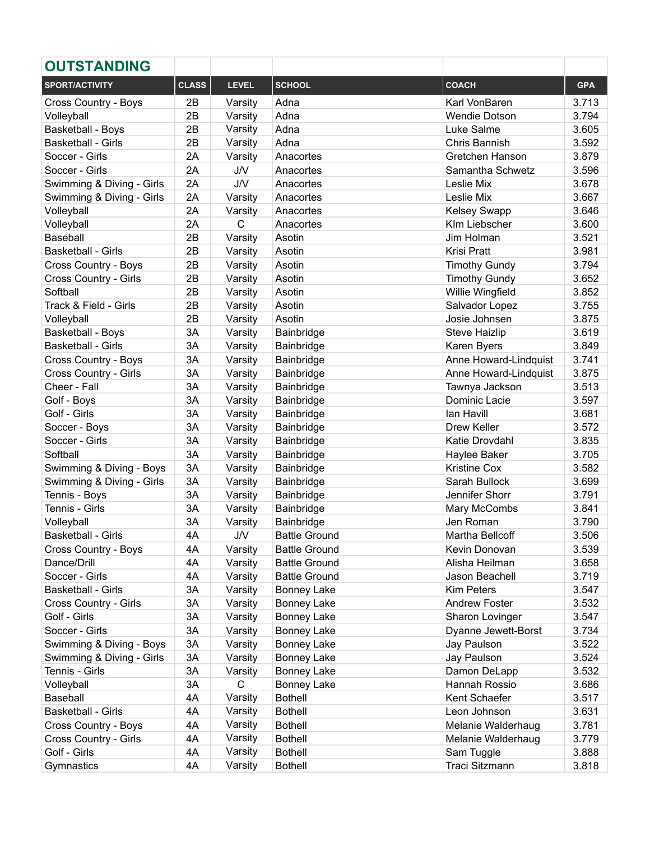| <b>OUTSTANDING</b>        |              |              |                      |                       |            |
|---------------------------|--------------|--------------|----------------------|-----------------------|------------|
| SPORT/ACTIVITY            | <b>CLASS</b> | <b>LEVEL</b> | <b>SCHOOL</b>        | <b>COACH</b>          | <b>GPA</b> |
| Cross Country - Boys      | 2B           | Varsity      | Adna                 | Karl VonBaren         | 3.713      |
| Volleyball                | 2B           | Varsity      | Adna                 | <b>Wendie Dotson</b>  | 3.794      |
| Basketball - Boys         | 2B           | Varsity      | Adna                 | Luke Salme            | 3.605      |
| <b>Basketball - Girls</b> | 2B           | Varsity      | Adna                 | Chris Bannish         | 3.592      |
| Soccer - Girls            | 2A           | Varsity      | Anacortes            | Gretchen Hanson       | 3.879      |
| Soccer - Girls            | 2A           | <b>J/V</b>   | Anacortes            | Samantha Schwetz      | 3.596      |
| Swimming & Diving - Girls | 2A           | <b>J/V</b>   | Anacortes            | Leslie Mix            | 3.678      |
| Swimming & Diving - Girls | 2A           | Varsity      | Anacortes            | Leslie Mix            | 3.667      |
| Volleyball                | 2A           | Varsity      | Anacortes            | <b>Kelsey Swapp</b>   | 3.646      |
| Volleyball                | 2A           | $\mathsf{C}$ | Anacortes            | Klm Liebscher         | 3.600      |
| Baseball                  | 2B           | Varsity      | Asotin               | Jim Holman            | 3.521      |
| <b>Basketball - Girls</b> | 2B           | Varsity      | Asotin               | Krisi Pratt           | 3.981      |
| Cross Country - Boys      | 2B           | Varsity      | Asotin               | <b>Timothy Gundy</b>  | 3.794      |
| Cross Country - Girls     | 2B           | Varsity      | Asotin               | <b>Timothy Gundy</b>  | 3.652      |
| Softball                  | 2B           | Varsity      | Asotin               | Willie Wingfield      | 3.852      |
| Track & Field - Girls     | 2B           | Varsity      | Asotin               | Salvador Lopez        | 3.755      |
| Volleyball                | 2B           | Varsity      | Asotin               | Josie Johnsen         | 3.875      |
| Basketball - Boys         | 3A           | Varsity      | Bainbridge           | <b>Steve Haizlip</b>  | 3.619      |
| Basketball - Girls        | 3A           | Varsity      | Bainbridge           | Karen Byers           | 3.849      |
| Cross Country - Boys      | 3A           | Varsity      | Bainbridge           | Anne Howard-Lindquist | 3.741      |
| Cross Country - Girls     | 3A           | Varsity      | Bainbridge           | Anne Howard-Lindquist | 3.875      |
| Cheer - Fall              | 3A           | Varsity      | Bainbridge           | Tawnya Jackson        | 3.513      |
| Golf - Boys               | 3A           | Varsity      | Bainbridge           | Dominic Lacie         | 3.597      |
| Golf - Girls              | 3A           | Varsity      | Bainbridge           | lan Havill            | 3.681      |
| Soccer - Boys             | 3A           | Varsity      | Bainbridge           | Drew Keller           | 3.572      |
| Soccer - Girls            | 3A           | Varsity      | Bainbridge           | Katie Drovdahl        | 3.835      |
| Softball                  | 3A           | Varsity      | Bainbridge           | Haylee Baker          | 3.705      |
| Swimming & Diving - Boys  | 3A           | Varsity      | Bainbridge           | <b>Kristine Cox</b>   | 3.582      |
| Swimming & Diving - Girls | 3A           | Varsity      | Bainbridge           | Sarah Bullock         | 3.699      |
| Tennis - Boys             | 3A           | Varsity      | Bainbridge           | Jennifer Shorr        | 3.791      |
| Tennis - Girls            | 3A           | Varsity      | Bainbridge           | Mary McCombs          | 3.841      |
| Volleyball                | 3A           | Varsity      | Bainbridge           | Jen Roman             | 3.790      |
| <b>Basketball - Girls</b> | 4A           | J/V          | <b>Battle Ground</b> | Martha Bellcoff       | 3.506      |
| Cross Country - Boys      | 4A           | Varsity      | <b>Battle Ground</b> | Kevin Donovan         | 3.539      |
| Dance/Drill               | 4A           | Varsity      | <b>Battle Ground</b> | Alisha Heilman        | 3.658      |
| Soccer - Girls            | 4A           | Varsity      | <b>Battle Ground</b> | Jason Beachell        | 3.719      |
| <b>Basketball - Girls</b> | 3A           | Varsity      | <b>Bonney Lake</b>   | <b>Kim Peters</b>     | 3.547      |
| Cross Country - Girls     | 3A           | Varsity      | <b>Bonney Lake</b>   | <b>Andrew Foster</b>  | 3.532      |
| Golf - Girls              | 3A           | Varsity      | <b>Bonney Lake</b>   | Sharon Lovinger       | 3.547      |
| Soccer - Girls            | 3A           | Varsity      | <b>Bonney Lake</b>   | Dyanne Jewett-Borst   | 3.734      |
| Swimming & Diving - Boys  | 3A           | Varsity      | <b>Bonney Lake</b>   | Jay Paulson           | 3.522      |
| Swimming & Diving - Girls | 3A           | Varsity      | <b>Bonney Lake</b>   | Jay Paulson           | 3.524      |
| Tennis - Girls            | 3A           | Varsity      | <b>Bonney Lake</b>   | Damon DeLapp          | 3.532      |
| Volleyball                | 3A           | C            | <b>Bonney Lake</b>   | Hannah Rossio         | 3.686      |
| Baseball                  | 4A           | Varsity      | <b>Bothell</b>       | Kent Schaefer         | 3.517      |
| <b>Basketball - Girls</b> | 4A           | Varsity      | <b>Bothell</b>       | Leon Johnson          | 3.631      |
| Cross Country - Boys      | 4A           | Varsity      | <b>Bothell</b>       | Melanie Walderhaug    | 3.781      |
| Cross Country - Girls     | 4A           | Varsity      | <b>Bothell</b>       | Melanie Walderhaug    | 3.779      |
| Golf - Girls              | 4A           | Varsity      | <b>Bothell</b>       | Sam Tuggle            | 3.888      |
| Gymnastics                | 4A           | Varsity      | <b>Bothell</b>       | Traci Sitzmann        | 3.818      |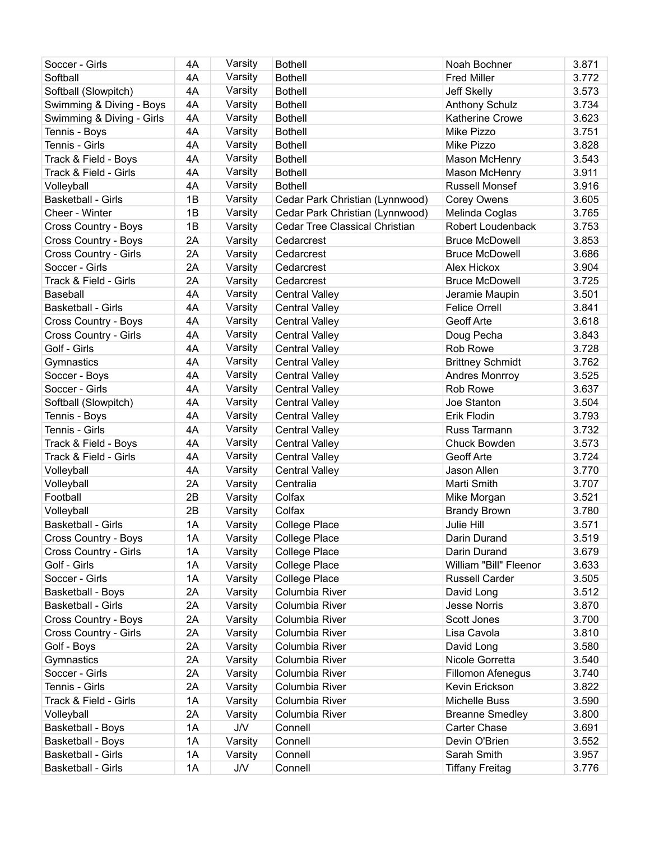| Soccer - Girls            | 4A | Varsity    | <b>Bothell</b>                  | Noah Bochner            | 3.871 |
|---------------------------|----|------------|---------------------------------|-------------------------|-------|
| Softball                  | 4A | Varsity    | <b>Bothell</b>                  | <b>Fred Miller</b>      | 3.772 |
| Softball (Slowpitch)      | 4A | Varsity    | <b>Bothell</b>                  | Jeff Skelly             | 3.573 |
| Swimming & Diving - Boys  | 4A | Varsity    | <b>Bothell</b>                  | <b>Anthony Schulz</b>   | 3.734 |
| Swimming & Diving - Girls | 4A | Varsity    | <b>Bothell</b>                  | Katherine Crowe         | 3.623 |
| Tennis - Boys             | 4A | Varsity    | <b>Bothell</b>                  | Mike Pizzo              | 3.751 |
| Tennis - Girls            | 4A | Varsity    | <b>Bothell</b>                  | Mike Pizzo              | 3.828 |
| Track & Field - Boys      | 4A | Varsity    | <b>Bothell</b>                  | Mason McHenry           | 3.543 |
| Track & Field - Girls     | 4A | Varsity    | <b>Bothell</b>                  | Mason McHenry           | 3.911 |
| Volleyball                | 4A | Varsity    | <b>Bothell</b>                  | <b>Russell Monsef</b>   | 3.916 |
| <b>Basketball - Girls</b> | 1B | Varsity    | Cedar Park Christian (Lynnwood) | <b>Corey Owens</b>      | 3.605 |
| Cheer - Winter            | 1B | Varsity    | Cedar Park Christian (Lynnwood) | Melinda Coglas          | 3.765 |
| Cross Country - Boys      | 1B | Varsity    | Cedar Tree Classical Christian  | Robert Loudenback       | 3.753 |
| Cross Country - Boys      | 2A | Varsity    | Cedarcrest                      | <b>Bruce McDowell</b>   | 3.853 |
| Cross Country - Girls     | 2A | Varsity    | Cedarcrest                      | <b>Bruce McDowell</b>   | 3.686 |
| Soccer - Girls            | 2A | Varsity    | Cedarcrest                      | Alex Hickox             | 3.904 |
| Track & Field - Girls     | 2A | Varsity    | Cedarcrest                      | <b>Bruce McDowell</b>   | 3.725 |
| Baseball                  | 4A | Varsity    | <b>Central Valley</b>           | Jeramie Maupin          | 3.501 |
| <b>Basketball - Girls</b> | 4A | Varsity    | <b>Central Valley</b>           | <b>Felice Orrell</b>    | 3.841 |
| Cross Country - Boys      | 4A | Varsity    | <b>Central Valley</b>           | Geoff Arte              | 3.618 |
| Cross Country - Girls     | 4A | Varsity    | <b>Central Valley</b>           | Doug Pecha              | 3.843 |
| Golf - Girls              | 4A | Varsity    | <b>Central Valley</b>           | Rob Rowe                | 3.728 |
| Gymnastics                | 4A | Varsity    | <b>Central Valley</b>           | <b>Brittney Schmidt</b> | 3.762 |
| Soccer - Boys             | 4A | Varsity    | <b>Central Valley</b>           | Andres Monrroy          | 3.525 |
| Soccer - Girls            | 4A | Varsity    | <b>Central Valley</b>           | Rob Rowe                | 3.637 |
| Softball (Slowpitch)      | 4A | Varsity    | <b>Central Valley</b>           | Joe Stanton             | 3.504 |
| Tennis - Boys             | 4A | Varsity    | <b>Central Valley</b>           | Erik Flodin             | 3.793 |
| Tennis - Girls            | 4A | Varsity    | <b>Central Valley</b>           | Russ Tarmann            | 3.732 |
| Track & Field - Boys      | 4A | Varsity    | <b>Central Valley</b>           | Chuck Bowden            | 3.573 |
| Track & Field - Girls     | 4A | Varsity    | <b>Central Valley</b>           | Geoff Arte              | 3.724 |
| Volleyball                | 4A | Varsity    | <b>Central Valley</b>           | Jason Allen             | 3.770 |
| Volleyball                | 2A | Varsity    | Centralia                       | Marti Smith             | 3.707 |
| Football                  | 2B | Varsity    | Colfax                          | Mike Morgan             | 3.521 |
| Volleyball                | 2B | Varsity    | Colfax                          | <b>Brandy Brown</b>     | 3.780 |
| <b>Basketball - Girls</b> | 1A | Varsity    | College Place                   | Julie Hill              | 3.571 |
| Cross Country - Boys      | 1A | Varsity    | College Place                   | Darin Durand            | 3.519 |
| Cross Country - Girls     | 1A | Varsity    | College Place                   | Darin Durand            | 3.679 |
| Golf - Girls              | 1A | Varsity    | College Place                   | William "Bill" Fleenor  | 3.633 |
| Soccer - Girls            | 1A | Varsity    | College Place                   | <b>Russell Carder</b>   | 3.505 |
| <b>Basketball - Boys</b>  | 2A | Varsity    | Columbia River                  | David Long              | 3.512 |
| <b>Basketball - Girls</b> | 2A | Varsity    | Columbia River                  | <b>Jesse Norris</b>     | 3.870 |
| Cross Country - Boys      | 2A | Varsity    | Columbia River                  | Scott Jones             | 3.700 |
| Cross Country - Girls     | 2A | Varsity    | Columbia River                  | Lisa Cavola             | 3.810 |
| Golf - Boys               | 2A | Varsity    | Columbia River                  | David Long              | 3.580 |
| Gymnastics                | 2A | Varsity    | Columbia River                  | Nicole Gorretta         | 3.540 |
| Soccer - Girls            | 2A | Varsity    | Columbia River                  | Fillomon Afenegus       | 3.740 |
| Tennis - Girls            | 2A | Varsity    | Columbia River                  | Kevin Erickson          | 3.822 |
| Track & Field - Girls     | 1A | Varsity    | Columbia River                  | Michelle Buss           | 3.590 |
| Volleyball                | 2A | Varsity    | Columbia River                  | <b>Breanne Smedley</b>  | 3.800 |
| <b>Basketball - Boys</b>  | 1A | J/V        | Connell                         | Carter Chase            | 3.691 |
| <b>Basketball - Boys</b>  | 1A | Varsity    | Connell                         | Devin O'Brien           | 3.552 |
| <b>Basketball - Girls</b> | 1A | Varsity    | Connell                         | Sarah Smith             | 3.957 |
| Basketball - Girls        | 1A | <b>J/V</b> | Connell                         | <b>Tiffany Freitag</b>  | 3.776 |
|                           |    |            |                                 |                         |       |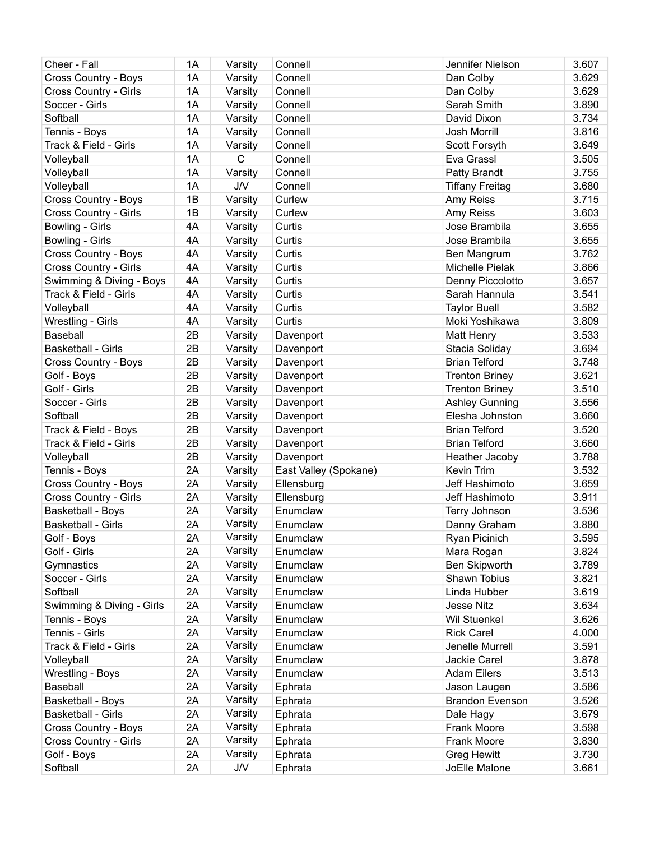| Cheer - Fall              | 1A | Varsity                 | Connell               | Jennifer Nielson       | 3.607 |
|---------------------------|----|-------------------------|-----------------------|------------------------|-------|
| Cross Country - Boys      | 1A | Varsity                 | Connell               | Dan Colby              | 3.629 |
| Cross Country - Girls     | 1A | Varsity                 | Connell               | Dan Colby              | 3.629 |
| Soccer - Girls            | 1A | Varsity                 | Connell               | Sarah Smith            | 3.890 |
| Softball                  | 1A | Varsity                 | Connell               | David Dixon            | 3.734 |
| Tennis - Boys             | 1A | Varsity                 | Connell               | Josh Morrill           | 3.816 |
| Track & Field - Girls     | 1A |                         | Connell               |                        | 3.649 |
|                           | 1A | Varsity<br>$\mathsf{C}$ |                       | Scott Forsyth          | 3.505 |
| Volleyball                |    |                         | Connell               | Eva Grassl             |       |
| Volleyball                | 1A | Varsity                 | Connell               | Patty Brandt           | 3.755 |
| Volleyball                | 1A | J/V                     | Connell               | <b>Tiffany Freitag</b> | 3.680 |
| Cross Country - Boys      | 1B | Varsity                 | Curlew                | Amy Reiss              | 3.715 |
| Cross Country - Girls     | 1B | Varsity                 | Curlew                | Amy Reiss              | 3.603 |
| Bowling - Girls           | 4A | Varsity                 | Curtis                | Jose Brambila          | 3.655 |
| Bowling - Girls           | 4A | Varsity                 | Curtis                | Jose Brambila          | 3.655 |
| Cross Country - Boys      | 4A | Varsity                 | Curtis                | Ben Mangrum            | 3.762 |
| Cross Country - Girls     | 4A | Varsity                 | Curtis                | Michelle Pielak        | 3.866 |
| Swimming & Diving - Boys  | 4A | Varsity                 | Curtis                | Denny Piccolotto       | 3.657 |
| Track & Field - Girls     | 4A | Varsity                 | Curtis                | Sarah Hannula          | 3.541 |
| Volleyball                | 4A | Varsity                 | Curtis                | <b>Taylor Buell</b>    | 3.582 |
| Wrestling - Girls         | 4A | Varsity                 | Curtis                | Moki Yoshikawa         | 3.809 |
| Baseball                  | 2B | Varsity                 | Davenport             | Matt Henry             | 3.533 |
| <b>Basketball - Girls</b> | 2B | Varsity                 | Davenport             | Stacia Soliday         | 3.694 |
| Cross Country - Boys      | 2B | Varsity                 | Davenport             | <b>Brian Telford</b>   | 3.748 |
| Golf - Boys               | 2B | Varsity                 | Davenport             | <b>Trenton Briney</b>  | 3.621 |
| Golf - Girls              | 2B | Varsity                 | Davenport             | <b>Trenton Briney</b>  | 3.510 |
| Soccer - Girls            | 2B | Varsity                 | Davenport             | <b>Ashley Gunning</b>  | 3.556 |
| Softball                  | 2B | Varsity                 | Davenport             | Elesha Johnston        | 3.660 |
| Track & Field - Boys      | 2B | Varsity                 | Davenport             | <b>Brian Telford</b>   | 3.520 |
| Track & Field - Girls     | 2B | Varsity                 | Davenport             | <b>Brian Telford</b>   | 3.660 |
| Volleyball                | 2B | Varsity                 | Davenport             | Heather Jacoby         | 3.788 |
| Tennis - Boys             | 2A | Varsity                 | East Valley (Spokane) | Kevin Trim             | 3.532 |
| Cross Country - Boys      | 2A |                         |                       | Jeff Hashimoto         | 3.659 |
| Cross Country - Girls     | 2A | Varsity                 | Ellensburg            | Jeff Hashimoto         |       |
|                           |    | Varsity                 | Ellensburg            |                        | 3.911 |
| <b>Basketball - Boys</b>  | 2A | Varsity                 | Enumclaw              | Terry Johnson          | 3.536 |
| <b>Basketball - Girls</b> | 2A | Varsity                 | Enumclaw              | Danny Graham           | 3.880 |
| Golf - Boys               | 2A | Varsity                 | Enumclaw              | Ryan Picinich          | 3.595 |
| Golf - Girls              | 2A | Varsity                 | Enumclaw              | Mara Rogan             | 3.824 |
| Gymnastics                | 2A | Varsity                 | Enumclaw              | Ben Skipworth          | 3.789 |
| Soccer - Girls            | 2A | Varsity                 | Enumclaw              | Shawn Tobius           | 3.821 |
| Softball                  | 2A | Varsity                 | Enumclaw              | Linda Hubber           | 3.619 |
| Swimming & Diving - Girls | 2A | Varsity                 | Enumclaw              | <b>Jesse Nitz</b>      | 3.634 |
| Tennis - Boys             | 2A | Varsity                 | Enumclaw              | <b>Wil Stuenkel</b>    | 3.626 |
| Tennis - Girls            | 2A | Varsity                 | Enumclaw              | <b>Rick Carel</b>      | 4.000 |
| Track & Field - Girls     | 2A | Varsity                 | Enumclaw              | Jenelle Murrell        | 3.591 |
| Volleyball                | 2A | Varsity                 | Enumclaw              | Jackie Carel           | 3.878 |
| Wrestling - Boys          | 2A | Varsity                 | Enumclaw              | <b>Adam Eilers</b>     | 3.513 |
| Baseball                  | 2A | Varsity                 | Ephrata               | Jason Laugen           | 3.586 |
| Basketball - Boys         | 2A | Varsity                 | Ephrata               | <b>Brandon Evenson</b> | 3.526 |
| <b>Basketball - Girls</b> | 2A | Varsity                 | Ephrata               | Dale Hagy              | 3.679 |
| Cross Country - Boys      | 2A | Varsity                 | Ephrata               | Frank Moore            | 3.598 |
| Cross Country - Girls     | 2A | Varsity                 | Ephrata               | Frank Moore            | 3.830 |
| Golf - Boys               | 2A | Varsity                 | Ephrata               | <b>Greg Hewitt</b>     | 3.730 |
| Softball                  | 2A | J/V                     | Ephrata               | JoElle Malone          | 3.661 |
|                           |    |                         |                       |                        |       |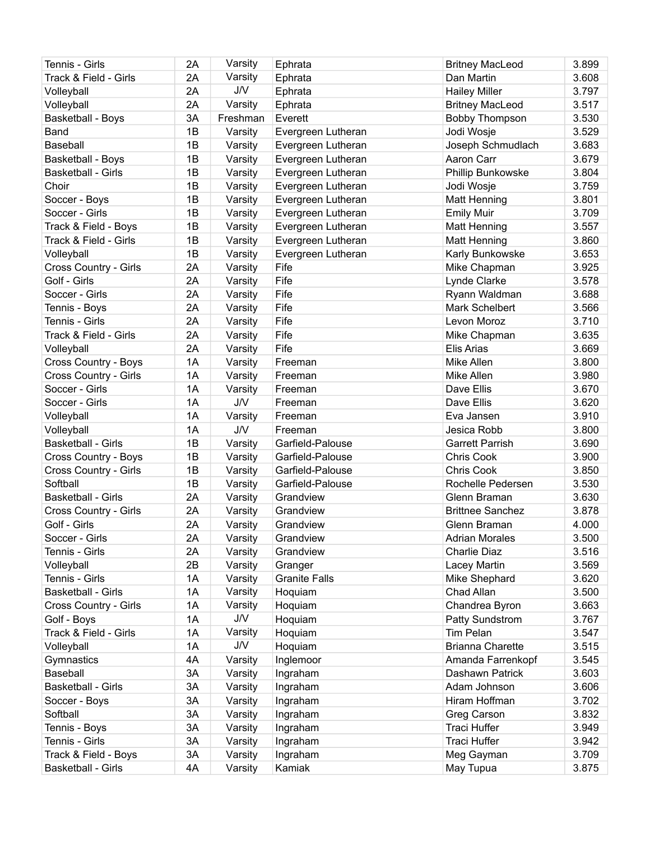| Tennis - Girls            | 2A | Varsity    | Ephrata              | <b>Britney MacLeod</b>  | 3.899 |
|---------------------------|----|------------|----------------------|-------------------------|-------|
| Track & Field - Girls     | 2A | Varsity    | Ephrata              | Dan Martin              | 3.608 |
| Volleyball                | 2A | J/V        | Ephrata              | <b>Hailey Miller</b>    | 3.797 |
| Volleyball                | 2A | Varsity    | Ephrata              | <b>Britney MacLeod</b>  | 3.517 |
| <b>Basketball - Boys</b>  | 3A | Freshman   | Everett              | <b>Bobby Thompson</b>   | 3.530 |
| Band                      | 1B | Varsity    | Evergreen Lutheran   | Jodi Wosje              | 3.529 |
| Baseball                  | 1B | Varsity    | Evergreen Lutheran   | Joseph Schmudlach       | 3.683 |
| <b>Basketball - Boys</b>  | 1B | Varsity    | Evergreen Lutheran   | Aaron Carr              | 3.679 |
| <b>Basketball - Girls</b> | 1B | Varsity    | Evergreen Lutheran   | Phillip Bunkowske       | 3.804 |
| Choir                     | 1B | Varsity    | Evergreen Lutheran   | Jodi Wosje              | 3.759 |
| Soccer - Boys             | 1B | Varsity    | Evergreen Lutheran   | <b>Matt Henning</b>     | 3.801 |
| Soccer - Girls            | 1B |            |                      |                         | 3.709 |
|                           |    | Varsity    | Evergreen Lutheran   | <b>Emily Muir</b>       |       |
| Track & Field - Boys      | 1B | Varsity    | Evergreen Lutheran   | <b>Matt Henning</b>     | 3.557 |
| Track & Field - Girls     | 1B | Varsity    | Evergreen Lutheran   | Matt Henning            | 3.860 |
| Volleyball                | 1B | Varsity    | Evergreen Lutheran   | Karly Bunkowske         | 3.653 |
| Cross Country - Girls     | 2A | Varsity    | Fife                 | Mike Chapman            | 3.925 |
| Golf - Girls              | 2A | Varsity    | Fife                 | Lynde Clarke            | 3.578 |
| Soccer - Girls            | 2A | Varsity    | Fife                 | Ryann Waldman           | 3.688 |
| Tennis - Boys             | 2A | Varsity    | Fife                 | Mark Schelbert          | 3.566 |
| Tennis - Girls            | 2A | Varsity    | Fife                 | Levon Moroz             | 3.710 |
| Track & Field - Girls     | 2A | Varsity    | Fife                 | Mike Chapman            | 3.635 |
| Volleyball                | 2A | Varsity    | Fife                 | Elis Arias              | 3.669 |
| Cross Country - Boys      | 1A | Varsity    | Freeman              | Mike Allen              | 3.800 |
| Cross Country - Girls     | 1A | Varsity    | Freeman              | Mike Allen              | 3.980 |
| Soccer - Girls            | 1A | Varsity    | Freeman              | Dave Ellis              | 3.670 |
| Soccer - Girls            | 1A | <b>J/V</b> | Freeman              | Dave Ellis              | 3.620 |
| Volleyball                | 1A | Varsity    | Freeman              | Eva Jansen              | 3.910 |
| Volleyball                | 1A | J/V        | Freeman              | Jesica Robb             | 3.800 |
| <b>Basketball - Girls</b> | 1B | Varsity    | Garfield-Palouse     | <b>Garrett Parrish</b>  | 3.690 |
| Cross Country - Boys      | 1B | Varsity    | Garfield-Palouse     | <b>Chris Cook</b>       | 3.900 |
| Cross Country - Girls     | 1B | Varsity    | Garfield-Palouse     | <b>Chris Cook</b>       | 3.850 |
| Softball                  | 1B | Varsity    | Garfield-Palouse     | Rochelle Pedersen       | 3.530 |
| <b>Basketball - Girls</b> | 2A | Varsity    | Grandview            | Glenn Braman            | 3.630 |
| Cross Country - Girls     | 2A | Varsity    | Grandview            | <b>Brittnee Sanchez</b> | 3.878 |
| Golf - Girls              | 2A |            |                      | Glenn Braman            | 4.000 |
|                           |    | Varsity    | Grandview            |                         |       |
| Soccer - Girls            | 2A | Varsity    | Grandview            | <b>Adrian Morales</b>   | 3.500 |
| Tennis - Girls            | 2A | Varsity    | Grandview            | Charlie Diaz            | 3.516 |
| Volleyball                | 2B | Varsity    | Granger              | Lacey Martin            | 3.569 |
| Tennis - Girls            | 1A | Varsity    | <b>Granite Falls</b> | Mike Shephard           | 3.620 |
| <b>Basketball - Girls</b> | 1A | Varsity    | Hoquiam              | Chad Allan              | 3.500 |
| Cross Country - Girls     | 1A | Varsity    | Hoquiam              | Chandrea Byron          | 3.663 |
| Golf - Boys               | 1A | <b>J/V</b> | Hoquiam              | Patty Sundstrom         | 3.767 |
| Track & Field - Girls     | 1A | Varsity    | Hoquiam              | <b>Tim Pelan</b>        | 3.547 |
| Volleyball                | 1A | <b>J/V</b> | Hoquiam              | <b>Brianna Charette</b> | 3.515 |
| Gymnastics                | 4A | Varsity    | Inglemoor            | Amanda Farrenkopf       | 3.545 |
| Baseball                  | 3A | Varsity    | Ingraham             | Dashawn Patrick         | 3.603 |
| <b>Basketball - Girls</b> | 3A | Varsity    | Ingraham             | Adam Johnson            | 3.606 |
| Soccer - Boys             | 3A | Varsity    | Ingraham             | Hiram Hoffman           | 3.702 |
| Softball                  | 3A | Varsity    | Ingraham             | Greg Carson             | 3.832 |
| Tennis - Boys             | 3A | Varsity    | Ingraham             | Traci Huffer            | 3.949 |
| Tennis - Girls            | 3A | Varsity    | Ingraham             | <b>Traci Huffer</b>     | 3.942 |
| Track & Field - Boys      | 3A | Varsity    | Ingraham             | Meg Gayman              | 3.709 |
| <b>Basketball - Girls</b> | 4A | Varsity    | Kamiak               | May Tupua               | 3.875 |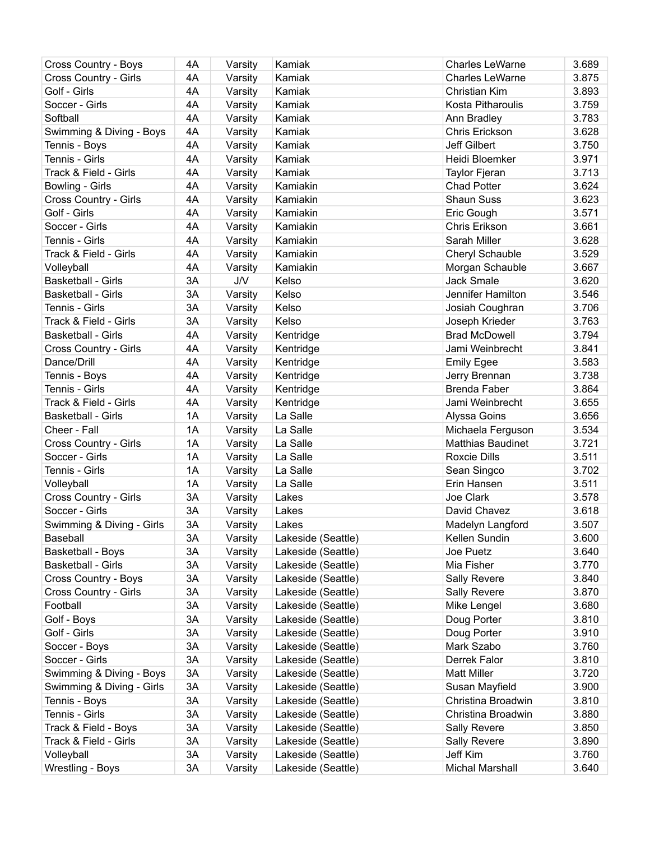| Cross Country - Boys      | 4A | Varsity    | Kamiak             | <b>Charles LeWarne</b> | 3.689 |
|---------------------------|----|------------|--------------------|------------------------|-------|
| Cross Country - Girls     | 4A | Varsity    | Kamiak             | <b>Charles LeWarne</b> | 3.875 |
| Golf - Girls              | 4A | Varsity    | Kamiak             | Christian Kim          | 3.893 |
| Soccer - Girls            | 4A | Varsity    | Kamiak             | Kosta Pitharoulis      | 3.759 |
| Softball                  | 4A | Varsity    | Kamiak             | Ann Bradley            | 3.783 |
| Swimming & Diving - Boys  | 4A | Varsity    | Kamiak             | Chris Erickson         | 3.628 |
| Tennis - Boys             | 4A | Varsity    | Kamiak             | <b>Jeff Gilbert</b>    | 3.750 |
| Tennis - Girls            | 4A |            | Kamiak             | Heidi Bloemker         | 3.971 |
| Track & Field - Girls     | 4A | Varsity    | Kamiak             |                        | 3.713 |
|                           |    | Varsity    |                    | <b>Taylor Fjeran</b>   |       |
| Bowling - Girls           | 4A | Varsity    | Kamiakin           | <b>Chad Potter</b>     | 3.624 |
| Cross Country - Girls     | 4A | Varsity    | Kamiakin           | <b>Shaun Suss</b>      | 3.623 |
| Golf - Girls              | 4A | Varsity    | Kamiakin           | Eric Gough             | 3.571 |
| Soccer - Girls            | 4A | Varsity    | Kamiakin           | Chris Erikson          | 3.661 |
| Tennis - Girls            | 4A | Varsity    | Kamiakin           | Sarah Miller           | 3.628 |
| Track & Field - Girls     | 4A | Varsity    | Kamiakin           | Cheryl Schauble        | 3.529 |
| Volleyball                | 4A | Varsity    | Kamiakin           | Morgan Schauble        | 3.667 |
| <b>Basketball - Girls</b> | 3A | <b>J/V</b> | Kelso              | <b>Jack Smale</b>      | 3.620 |
| <b>Basketball - Girls</b> | 3A | Varsity    | Kelso              | Jennifer Hamilton      | 3.546 |
| Tennis - Girls            | 3A | Varsity    | Kelso              | Josiah Coughran        | 3.706 |
| Track & Field - Girls     | 3A | Varsity    | Kelso              | Joseph Krieder         | 3.763 |
| <b>Basketball - Girls</b> | 4A | Varsity    | Kentridge          | <b>Brad McDowell</b>   | 3.794 |
| Cross Country - Girls     | 4A | Varsity    | Kentridge          | Jami Weinbrecht        | 3.841 |
| Dance/Drill               | 4A | Varsity    | Kentridge          | <b>Emily Egee</b>      | 3.583 |
| Tennis - Boys             | 4A | Varsity    | Kentridge          | Jerry Brennan          | 3.738 |
| Tennis - Girls            | 4A | Varsity    | Kentridge          | <b>Brenda Faber</b>    | 3.864 |
| Track & Field - Girls     | 4A | Varsity    | Kentridge          | Jami Weinbrecht        | 3.655 |
| <b>Basketball - Girls</b> | 1A | Varsity    | La Salle           | Alyssa Goins           | 3.656 |
| Cheer - Fall              | 1A |            | La Salle           | Michaela Ferguson      | 3.534 |
|                           | 1A | Varsity    |                    |                        | 3.721 |
| Cross Country - Girls     |    | Varsity    | La Salle           | Matthias Baudinet      |       |
| Soccer - Girls            | 1A | Varsity    | La Salle           | <b>Roxcie Dills</b>    | 3.511 |
| Tennis - Girls            | 1A | Varsity    | La Salle           | Sean Singco            | 3.702 |
| Volleyball                | 1A | Varsity    | La Salle           | Erin Hansen            | 3.511 |
| Cross Country - Girls     | 3A | Varsity    | Lakes              | Joe Clark              | 3.578 |
| Soccer - Girls            | 3A | Varsity    | Lakes              | David Chavez           | 3.618 |
| Swimming & Diving - Girls | 3A | Varsity    | Lakes              | Madelyn Langford       | 3.507 |
| Baseball                  | 3A | Varsity    | Lakeside (Seattle) | Kellen Sundin          | 3.600 |
| <b>Basketball - Boys</b>  | 3A | Varsity    | Lakeside (Seattle) | Joe Puetz              | 3.640 |
| <b>Basketball - Girls</b> | 3A | Varsity    | Lakeside (Seattle) | Mia Fisher             | 3.770 |
| Cross Country - Boys      | 3A | Varsity    | Lakeside (Seattle) | <b>Sally Revere</b>    | 3.840 |
| Cross Country - Girls     | 3A | Varsity    | Lakeside (Seattle) | <b>Sally Revere</b>    | 3.870 |
| Football                  | 3A | Varsity    | Lakeside (Seattle) | Mike Lengel            | 3.680 |
| Golf - Boys               | 3A | Varsity    | Lakeside (Seattle) | Doug Porter            | 3.810 |
| Golf - Girls              | 3A | Varsity    | Lakeside (Seattle) | Doug Porter            | 3.910 |
| Soccer - Boys             | 3A | Varsity    | Lakeside (Seattle) | Mark Szabo             | 3.760 |
| Soccer - Girls            | 3A | Varsity    | Lakeside (Seattle) | Derrek Falor           | 3.810 |
| Swimming & Diving - Boys  | 3A | Varsity    | Lakeside (Seattle) | <b>Matt Miller</b>     | 3.720 |
| Swimming & Diving - Girls | 3A | Varsity    | Lakeside (Seattle) | Susan Mayfield         | 3.900 |
| Tennis - Boys             | 3A | Varsity    | Lakeside (Seattle) | Christina Broadwin     | 3.810 |
| Tennis - Girls            | 3A | Varsity    | Lakeside (Seattle) | Christina Broadwin     | 3.880 |
| Track & Field - Boys      | 3A | Varsity    | Lakeside (Seattle) | <b>Sally Revere</b>    | 3.850 |
| Track & Field - Girls     | 3A | Varsity    | Lakeside (Seattle) |                        | 3.890 |
|                           |    |            |                    | <b>Sally Revere</b>    |       |
| Volleyball                | 3A | Varsity    | Lakeside (Seattle) | Jeff Kim               | 3.760 |
| <b>Wrestling - Boys</b>   | 3A | Varsity    | Lakeside (Seattle) | Michal Marshall        | 3.640 |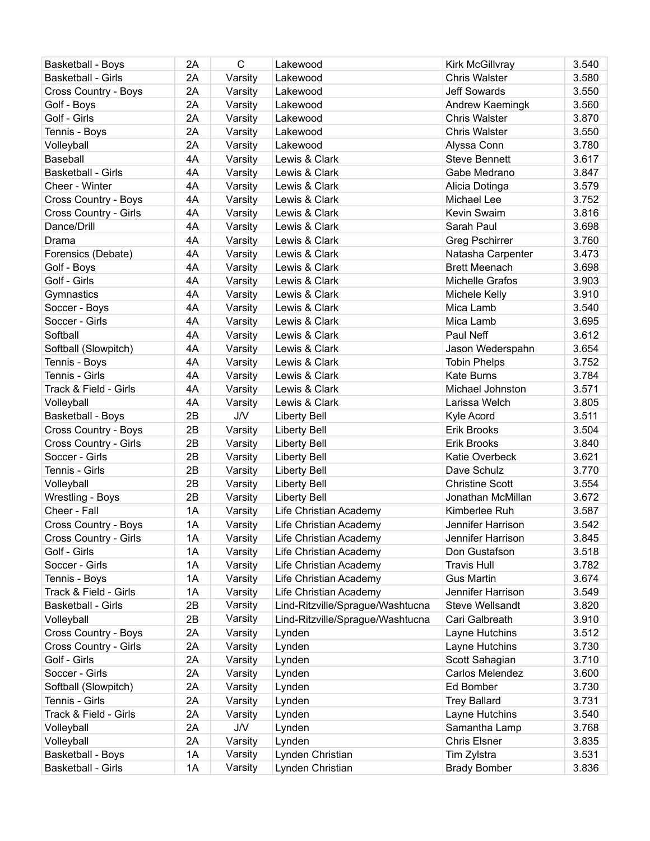| <b>Basketball - Boys</b>    | 2A | $\mathsf C$ | Lakewood                         | Kirk McGillvray        | 3.540 |
|-----------------------------|----|-------------|----------------------------------|------------------------|-------|
| <b>Basketball - Girls</b>   | 2A | Varsity     | Lakewood                         | <b>Chris Walster</b>   | 3.580 |
| Cross Country - Boys        | 2A | Varsity     | Lakewood                         | <b>Jeff Sowards</b>    | 3.550 |
| Golf - Boys                 | 2A | Varsity     | Lakewood                         | Andrew Kaemingk        | 3.560 |
| Golf - Girls                | 2A | Varsity     | Lakewood                         | <b>Chris Walster</b>   | 3.870 |
| Tennis - Boys               | 2A | Varsity     | Lakewood                         | <b>Chris Walster</b>   | 3.550 |
| Volleyball                  | 2A | Varsity     | Lakewood                         | Alyssa Conn            | 3.780 |
| Baseball                    | 4A | Varsity     | Lewis & Clark                    | <b>Steve Bennett</b>   | 3.617 |
| <b>Basketball - Girls</b>   | 4A | Varsity     | Lewis & Clark                    | Gabe Medrano           | 3.847 |
| Cheer - Winter              | 4A | Varsity     | Lewis & Clark                    | Alicia Dotinga         | 3.579 |
| Cross Country - Boys        | 4A | Varsity     | Lewis & Clark                    | Michael Lee            | 3.752 |
| Cross Country - Girls       | 4A | Varsity     | Lewis & Clark                    | Kevin Swaim            | 3.816 |
| Dance/Drill                 | 4A | Varsity     | Lewis & Clark                    | Sarah Paul             | 3.698 |
| Drama                       | 4A | Varsity     | Lewis & Clark                    | <b>Greg Pschirrer</b>  | 3.760 |
| Forensics (Debate)          | 4A | Varsity     | Lewis & Clark                    | Natasha Carpenter      | 3.473 |
| Golf - Boys                 | 4A | Varsity     | Lewis & Clark                    | <b>Brett Meenach</b>   | 3.698 |
| Golf - Girls                | 4A | Varsity     | Lewis & Clark                    | Michelle Grafos        | 3.903 |
| Gymnastics                  | 4A | Varsity     | Lewis & Clark                    | Michele Kelly          | 3.910 |
| Soccer - Boys               | 4A | Varsity     | Lewis & Clark                    | Mica Lamb              | 3.540 |
| Soccer - Girls              | 4A | Varsity     | Lewis & Clark                    | Mica Lamb              | 3.695 |
| Softball                    | 4A |             | Lewis & Clark                    | Paul Neff              | 3.612 |
|                             |    | Varsity     |                                  |                        |       |
| Softball (Slowpitch)        | 4A | Varsity     | Lewis & Clark                    | Jason Wederspahn       | 3.654 |
| Tennis - Boys               | 4A | Varsity     | Lewis & Clark                    | <b>Tobin Phelps</b>    | 3.752 |
| Tennis - Girls              | 4A | Varsity     | Lewis & Clark                    | <b>Kate Burns</b>      | 3.784 |
| Track & Field - Girls       | 4A | Varsity     | Lewis & Clark                    | Michael Johnston       | 3.571 |
| Volleyball                  | 4A | Varsity     | Lewis & Clark                    | Larissa Welch          | 3.805 |
| Basketball - Boys           | 2B | J/V         | <b>Liberty Bell</b>              | Kyle Acord             | 3.511 |
| Cross Country - Boys        | 2B | Varsity     | <b>Liberty Bell</b>              | Erik Brooks            | 3.504 |
| Cross Country - Girls       | 2B | Varsity     | <b>Liberty Bell</b>              | <b>Erik Brooks</b>     | 3.840 |
| Soccer - Girls              | 2B | Varsity     | <b>Liberty Bell</b>              | Katie Overbeck         | 3.621 |
| Tennis - Girls              | 2B | Varsity     | <b>Liberty Bell</b>              | Dave Schulz            | 3.770 |
| Volleyball                  | 2B | Varsity     | <b>Liberty Bell</b>              | <b>Christine Scott</b> | 3.554 |
| Wrestling - Boys            | 2B | Varsity     | <b>Liberty Bell</b>              | Jonathan McMillan      | 3.672 |
| Cheer - Fall                | 1A | Varsity     | Life Christian Academy           | Kimberlee Ruh          | 3.587 |
| <b>Cross Country - Boys</b> | 1A | Varsity     | Life Christian Academy           | Jennifer Harrison      | 3.542 |
| Cross Country - Girls       | 1A | Varsity     | Life Christian Academy           | Jennifer Harrison      | 3.845 |
| Golf - Girls                | 1A | Varsity     | Life Christian Academy           | Don Gustafson          | 3.518 |
| Soccer - Girls              | 1A | Varsity     | Life Christian Academy           | <b>Travis Hull</b>     | 3.782 |
| Tennis - Boys               | 1A | Varsity     | Life Christian Academy           | <b>Gus Martin</b>      | 3.674 |
| Track & Field - Girls       | 1A | Varsity     | Life Christian Academy           | Jennifer Harrison      | 3.549 |
| <b>Basketball - Girls</b>   | 2B | Varsity     | Lind-Ritzville/Sprague/Washtucna | <b>Steve Wellsandt</b> | 3.820 |
| Volleyball                  | 2B | Varsity     | Lind-Ritzville/Sprague/Washtucna | Cari Galbreath         | 3.910 |
| Cross Country - Boys        | 2A | Varsity     | Lynden                           | Layne Hutchins         | 3.512 |
| Cross Country - Girls       | 2A | Varsity     | Lynden                           | Layne Hutchins         | 3.730 |
| Golf - Girls                | 2A | Varsity     | Lynden                           | Scott Sahagian         | 3.710 |
| Soccer - Girls              | 2A | Varsity     | Lynden                           | Carlos Melendez        | 3.600 |
| Softball (Slowpitch)        | 2A | Varsity     | Lynden                           | Ed Bomber              | 3.730 |
| Tennis - Girls              | 2A | Varsity     | Lynden                           | <b>Trey Ballard</b>    | 3.731 |
| Track & Field - Girls       | 2A | Varsity     | Lynden                           | Layne Hutchins         | 3.540 |
| Volleyball                  | 2A | J/V         | Lynden                           | Samantha Lamp          | 3.768 |
| Volleyball                  | 2A | Varsity     | Lynden                           | <b>Chris Elsner</b>    | 3.835 |
| Basketball - Boys           | 1A | Varsity     | Lynden Christian                 | Tim Zylstra            | 3.531 |
| Basketball - Girls          | 1A | Varsity     | Lynden Christian                 | <b>Brady Bomber</b>    | 3.836 |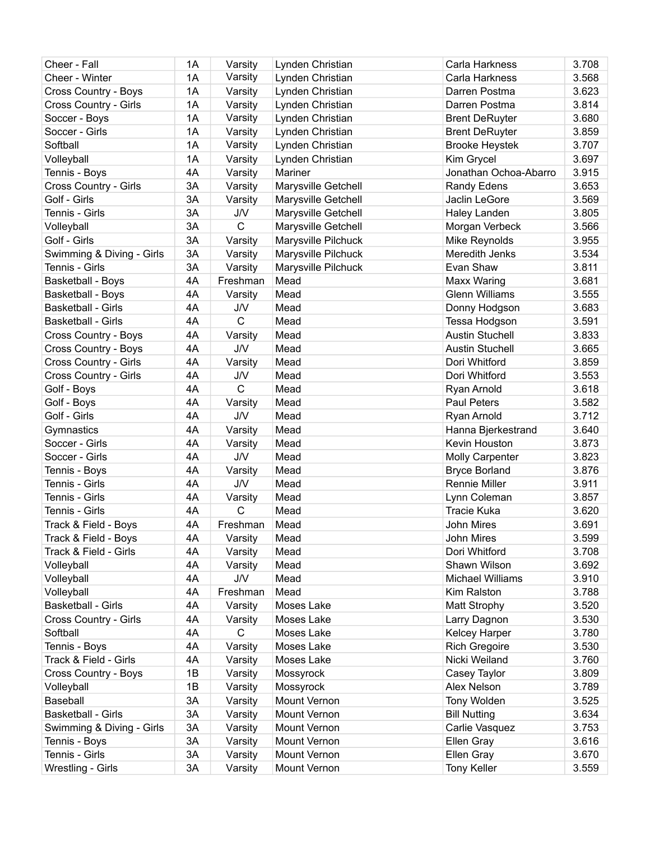| Cheer - Fall              | 1A | Varsity               | Lynden Christian    | Carla Harkness         | 3.708 |
|---------------------------|----|-----------------------|---------------------|------------------------|-------|
| Cheer - Winter            | 1A | Varsity               | Lynden Christian    | Carla Harkness         | 3.568 |
| Cross Country - Boys      | 1A | Varsity               | Lynden Christian    | Darren Postma          | 3.623 |
| Cross Country - Girls     | 1A | Varsity               | Lynden Christian    | Darren Postma          | 3.814 |
| Soccer - Boys             | 1A | Varsity               | Lynden Christian    | <b>Brent DeRuyter</b>  | 3.680 |
| Soccer - Girls            | 1A | Varsity               | Lynden Christian    | <b>Brent DeRuyter</b>  | 3.859 |
| Softball                  | 1A | Varsity               | Lynden Christian    | <b>Brooke Heystek</b>  | 3.707 |
| Volleyball                | 1A | Varsity               | Lynden Christian    | Kim Grycel             | 3.697 |
| Tennis - Boys             | 4A | Varsity               | Mariner             | Jonathan Ochoa-Abarro  | 3.915 |
| Cross Country - Girls     | 3A | Varsity               | Marysville Getchell | <b>Randy Edens</b>     | 3.653 |
| Golf - Girls              | 3A | Varsity               | Marysville Getchell | Jaclin LeGore          | 3.569 |
| Tennis - Girls            | 3A | J/V                   | Marysville Getchell | Haley Landen           | 3.805 |
| Volleyball                | 3A | $\mathsf{C}$          | Marysville Getchell | Morgan Verbeck         | 3.566 |
| Golf - Girls              | 3A | Varsity               | Marysville Pilchuck | Mike Reynolds          | 3.955 |
| Swimming & Diving - Girls | 3A | Varsity               | Marysville Pilchuck | Meredith Jenks         | 3.534 |
| Tennis - Girls            | 3A | Varsity               | Marysville Pilchuck | Evan Shaw              | 3.811 |
| <b>Basketball - Boys</b>  | 4A | Freshman              | Mead                | Maxx Waring            | 3.681 |
| <b>Basketball - Boys</b>  | 4A | Varsity               | Mead                | <b>Glenn Williams</b>  | 3.555 |
| <b>Basketball - Girls</b> | 4A | J/V                   | Mead                | Donny Hodgson          | 3.683 |
| <b>Basketball - Girls</b> | 4A | $\mathsf{C}$          | Mead                | Tessa Hodgson          | 3.591 |
|                           | 4A |                       | Mead                | <b>Austin Stuchell</b> | 3.833 |
| Cross Country - Boys      |    | Varsity<br><b>J/V</b> |                     |                        |       |
| Cross Country - Boys      | 4A |                       | Mead                | <b>Austin Stuchell</b> | 3.665 |
| Cross Country - Girls     | 4A | Varsity               | Mead                | Dori Whitford          | 3.859 |
| Cross Country - Girls     | 4A | J/V                   | Mead                | Dori Whitford          | 3.553 |
| Golf - Boys               | 4A | $\mathsf{C}$          | Mead                | Ryan Arnold            | 3.618 |
| Golf - Boys               | 4A | Varsity               | Mead                | Paul Peters            | 3.582 |
| Golf - Girls              | 4A | J/V                   | Mead                | Ryan Arnold            | 3.712 |
| Gymnastics                | 4A | Varsity               | Mead                | Hanna Bjerkestrand     | 3.640 |
| Soccer - Girls            | 4A | Varsity               | Mead                | Kevin Houston          | 3.873 |
| Soccer - Girls            | 4A | <b>J/V</b>            | Mead                | <b>Molly Carpenter</b> | 3.823 |
| Tennis - Boys             | 4A | Varsity               | Mead                | <b>Bryce Borland</b>   | 3.876 |
| Tennis - Girls            | 4A | <b>J/V</b>            | Mead                | <b>Rennie Miller</b>   | 3.911 |
| Tennis - Girls            | 4A | Varsity               | Mead                | Lynn Coleman           | 3.857 |
| Tennis - Girls            | 4A | $\mathsf{C}$          | Mead                | <b>Tracie Kuka</b>     | 3.620 |
| Track & Field - Boys      | 4A | Freshman              | Mead                | John Mires             | 3.691 |
| Track & Field - Boys      | 4A | Varsity               | Mead                | John Mires             | 3.599 |
| Track & Field - Girls     | 4A | Varsity               | Mead                | Dori Whitford          | 3.708 |
| Volleyball                | 4A | Varsity               | Mead                | Shawn Wilson           | 3.692 |
| Volleyball                | 4A | <b>J/V</b>            | Mead                | Michael Williams       | 3.910 |
| Volleyball                | 4A | Freshman              | Mead                | Kim Ralston            | 3.788 |
| <b>Basketball - Girls</b> | 4A | Varsity               | Moses Lake          | Matt Strophy           | 3.520 |
| Cross Country - Girls     | 4A | Varsity               | Moses Lake          | Larry Dagnon           | 3.530 |
| Softball                  | 4A | C                     | Moses Lake          | Kelcey Harper          | 3.780 |
| Tennis - Boys             | 4A | Varsity               | Moses Lake          | <b>Rich Gregoire</b>   | 3.530 |
| Track & Field - Girls     | 4A | Varsity               | Moses Lake          | Nicki Weiland          | 3.760 |
| Cross Country - Boys      | 1B | Varsity               | Mossyrock           | Casey Taylor           | 3.809 |
| Volleyball                | 1B | Varsity               | Mossyrock           | Alex Nelson            | 3.789 |
| Baseball                  | 3A | Varsity               | Mount Vernon        | Tony Wolden            | 3.525 |
| <b>Basketball - Girls</b> | 3A | Varsity               | Mount Vernon        | <b>Bill Nutting</b>    | 3.634 |
| Swimming & Diving - Girls | 3A | Varsity               | Mount Vernon        | Carlie Vasquez         | 3.753 |
| Tennis - Boys             | 3A | Varsity               | Mount Vernon        | Ellen Gray             | 3.616 |
| Tennis - Girls            | 3A | Varsity               | Mount Vernon        | Ellen Gray             | 3.670 |
| <b>Wrestling - Girls</b>  | 3A | Varsity               | Mount Vernon        | Tony Keller            | 3.559 |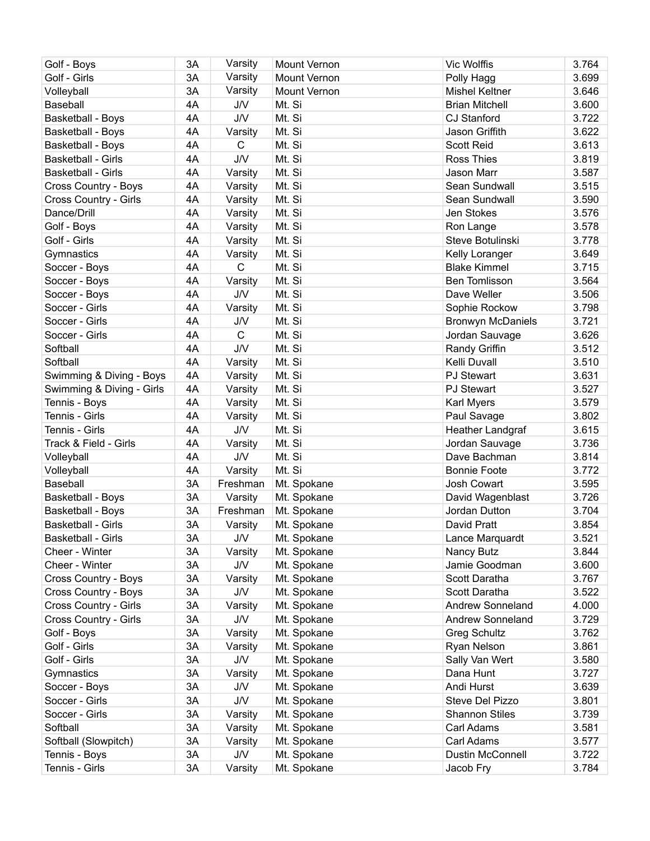| Golf - Boys               | 3A | Varsity      | <b>Mount Vernon</b> | Vic Wolffis              | 3.764 |
|---------------------------|----|--------------|---------------------|--------------------------|-------|
| Golf - Girls              | 3A | Varsity      | <b>Mount Vernon</b> | Polly Hagg               | 3.699 |
| Volleyball                | 3A | Varsity      | Mount Vernon        | <b>Mishel Keltner</b>    | 3.646 |
| Baseball                  | 4A | <b>J/V</b>   | Mt. Si              | <b>Brian Mitchell</b>    | 3.600 |
| Basketball - Boys         | 4A | J/V          | Mt. Si              | <b>CJ Stanford</b>       | 3.722 |
| <b>Basketball - Boys</b>  | 4A | Varsity      | Mt. Si              | Jason Griffith           | 3.622 |
| Basketball - Boys         | 4A | $\mathsf{C}$ | Mt. Si              | <b>Scott Reid</b>        | 3.613 |
| Basketball - Girls        | 4A | <b>J/V</b>   | Mt. Si              | <b>Ross Thies</b>        | 3.819 |
| <b>Basketball - Girls</b> | 4A | Varsity      | Mt. Si              | Jason Marr               | 3.587 |
| Cross Country - Boys      | 4A | Varsity      | Mt. Si              | Sean Sundwall            | 3.515 |
| Cross Country - Girls     | 4A | Varsity      | Mt. Si              | Sean Sundwall            | 3.590 |
| Dance/Drill               | 4A | Varsity      | Mt. Si              | Jen Stokes               | 3.576 |
| Golf - Boys               | 4A | Varsity      | Mt. Si              | Ron Lange                | 3.578 |
| Golf - Girls              | 4A | Varsity      | Mt. Si              | Steve Botulinski         | 3.778 |
| Gymnastics                | 4A | Varsity      | Mt. Si              | Kelly Loranger           | 3.649 |
| Soccer - Boys             | 4A | $\mathsf{C}$ | Mt. Si              | <b>Blake Kimmel</b>      | 3.715 |
| Soccer - Boys             | 4A | Varsity      | Mt. Si              | Ben Tomlisson            | 3.564 |
| Soccer - Boys             | 4A | J/V          | Mt. Si              | Dave Weller              | 3.506 |
| Soccer - Girls            | 4A | Varsity      | Mt. Si              | Sophie Rockow            | 3.798 |
| Soccer - Girls            | 4A | J/V          | Mt. Si              | <b>Bronwyn McDaniels</b> | 3.721 |
| Soccer - Girls            | 4A | $\mathsf{C}$ | Mt. Si              | Jordan Sauvage           | 3.626 |
| Softball                  | 4A | <b>J/V</b>   | Mt. Si              | Randy Griffin            | 3.512 |
| Softball                  | 4A | Varsity      | Mt. Si              | Kelli Duvall             | 3.510 |
| Swimming & Diving - Boys  | 4A | Varsity      | Mt. Si              | <b>PJ Stewart</b>        | 3.631 |
| Swimming & Diving - Girls | 4A | Varsity      | Mt. Si              | <b>PJ Stewart</b>        | 3.527 |
| Tennis - Boys             | 4A | Varsity      | Mt. Si              | Karl Myers               | 3.579 |
| Tennis - Girls            | 4A | Varsity      | Mt. Si              | Paul Savage              | 3.802 |
| Tennis - Girls            | 4A | J/V          | Mt. Si              | <b>Heather Landgraf</b>  | 3.615 |
| Track & Field - Girls     | 4A | Varsity      | Mt. Si              | Jordan Sauvage           | 3.736 |
| Volleyball                | 4A | <b>J/V</b>   | Mt. Si              | Dave Bachman             | 3.814 |
| Volleyball                | 4A | Varsity      | Mt. Si              | <b>Bonnie Foote</b>      | 3.772 |
| Baseball                  | 3A | Freshman     | Mt. Spokane         | Josh Cowart              | 3.595 |
| Basketball - Boys         | 3A | Varsity      | Mt. Spokane         | David Wagenblast         | 3.726 |
| Basketball - Boys         | 3A | Freshman     | Mt. Spokane         | Jordan Dutton            | 3.704 |
| <b>Basketball - Girls</b> | 3A | Varsity      | Mt. Spokane         | David Pratt              | 3.854 |
| <b>Basketball - Girls</b> | 3A | <b>J/V</b>   | Mt. Spokane         | Lance Marquardt          | 3.521 |
| Cheer - Winter            | 3A | Varsity      | Mt. Spokane         | Nancy Butz               | 3.844 |
| Cheer - Winter            | 3A | <b>J/V</b>   | Mt. Spokane         | Jamie Goodman            | 3.600 |
| Cross Country - Boys      | 3A | Varsity      | Mt. Spokane         | Scott Daratha            | 3.767 |
| Cross Country - Boys      | 3A | J/V          | Mt. Spokane         | Scott Daratha            | 3.522 |
| Cross Country - Girls     | 3A | Varsity      | Mt. Spokane         | Andrew Sonneland         | 4.000 |
| Cross Country - Girls     | 3A | J/V          | Mt. Spokane         | <b>Andrew Sonneland</b>  | 3.729 |
| Golf - Boys               | 3A | Varsity      | Mt. Spokane         | <b>Greg Schultz</b>      | 3.762 |
| Golf - Girls              | 3A | Varsity      | Mt. Spokane         | Ryan Nelson              | 3.861 |
| Golf - Girls              | 3A | <b>J/V</b>   | Mt. Spokane         | Sally Van Wert           | 3.580 |
| Gymnastics                | 3A | Varsity      | Mt. Spokane         | Dana Hunt                | 3.727 |
| Soccer - Boys             | 3A | J/V          | Mt. Spokane         | Andi Hurst               | 3.639 |
| Soccer - Girls            | 3A | J/V          | Mt. Spokane         | Steve Del Pizzo          | 3.801 |
| Soccer - Girls            | 3A |              | Mt. Spokane         | <b>Shannon Stiles</b>    | 3.739 |
| Softball                  | 3A | Varsity      |                     | Carl Adams               | 3.581 |
|                           | 3A | Varsity      | Mt. Spokane         | Carl Adams               |       |
| Softball (Slowpitch)      |    | Varsity      | Mt. Spokane         |                          | 3.577 |
| Tennis - Boys             | 3A | J/V          | Mt. Spokane         | Dustin McConnell         | 3.722 |
| Tennis - Girls            | 3A | Varsity      | Mt. Spokane         | Jacob Fry                | 3.784 |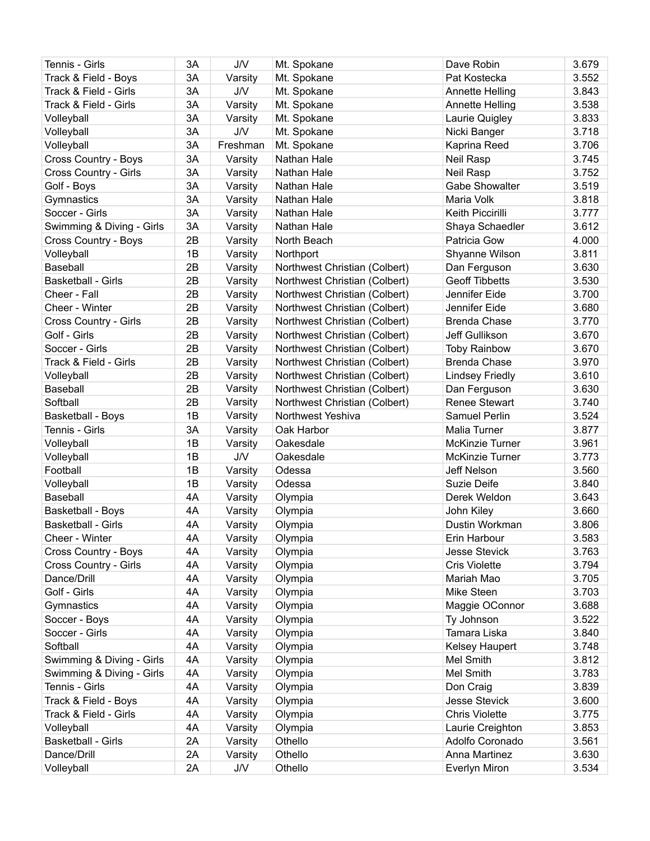| Tennis - Girls            | 3A | <b>J/V</b> | Mt. Spokane                   | Dave Robin             | 3.679 |
|---------------------------|----|------------|-------------------------------|------------------------|-------|
| Track & Field - Boys      | 3A | Varsity    | Mt. Spokane                   | Pat Kostecka           | 3.552 |
| Track & Field - Girls     | 3A | <b>J/V</b> | Mt. Spokane                   | Annette Helling        | 3.843 |
| Track & Field - Girls     | 3A | Varsity    | Mt. Spokane                   | Annette Helling        | 3.538 |
| Volleyball                | 3A | Varsity    | Mt. Spokane                   | Laurie Quigley         | 3.833 |
| Volleyball                | 3A | <b>J/V</b> | Mt. Spokane                   | Nicki Banger           | 3.718 |
| Volleyball                | 3A | Freshman   | Mt. Spokane                   | Kaprina Reed           | 3.706 |
| Cross Country - Boys      | 3A | Varsity    | Nathan Hale                   | Neil Rasp              | 3.745 |
| Cross Country - Girls     | 3A | Varsity    | Nathan Hale                   | Neil Rasp              | 3.752 |
| Golf - Boys               | 3A | Varsity    | Nathan Hale                   | <b>Gabe Showalter</b>  | 3.519 |
| Gymnastics                | 3A | Varsity    | Nathan Hale                   | Maria Volk             | 3.818 |
| Soccer - Girls            | 3A | Varsity    | Nathan Hale                   | Keith Piccirilli       | 3.777 |
| Swimming & Diving - Girls | 3A | Varsity    | Nathan Hale                   | Shaya Schaedler        | 3.612 |
| Cross Country - Boys      | 2B | Varsity    | North Beach                   | Patricia Gow           | 4.000 |
| Volleyball                | 1B | Varsity    | Northport                     | Shyanne Wilson         | 3.811 |
| Baseball                  | 2B | Varsity    | Northwest Christian (Colbert) | Dan Ferguson           | 3.630 |
| <b>Basketball - Girls</b> | 2B | Varsity    | Northwest Christian (Colbert) | <b>Geoff Tibbetts</b>  | 3.530 |
| Cheer - Fall              | 2B | Varsity    | Northwest Christian (Colbert) | Jennifer Eide          | 3.700 |
| Cheer - Winter            | 2B | Varsity    | Northwest Christian (Colbert) | Jennifer Eide          | 3.680 |
| Cross Country - Girls     | 2B | Varsity    | Northwest Christian (Colbert) | <b>Brenda Chase</b>    | 3.770 |
| Golf - Girls              | 2B | Varsity    | Northwest Christian (Colbert) | Jeff Gullikson         | 3.670 |
| Soccer - Girls            | 2B | Varsity    | Northwest Christian (Colbert) | <b>Toby Rainbow</b>    | 3.670 |
| Track & Field - Girls     | 2B | Varsity    | Northwest Christian (Colbert) | <b>Brenda Chase</b>    | 3.970 |
| Volleyball                | 2B | Varsity    | Northwest Christian (Colbert) | <b>Lindsey Friedly</b> | 3.610 |
| Baseball                  | 2B | Varsity    | Northwest Christian (Colbert) | Dan Ferguson           | 3.630 |
| Softball                  | 2B | Varsity    | Northwest Christian (Colbert) | <b>Renee Stewart</b>   | 3.740 |
| Basketball - Boys         | 1B | Varsity    | Northwest Yeshiva             | Samuel Perlin          | 3.524 |
| Tennis - Girls            | 3A | Varsity    | Oak Harbor                    | Malia Turner           | 3.877 |
| Volleyball                | 1B | Varsity    | Oakesdale                     | <b>McKinzie Turner</b> | 3.961 |
| Volleyball                | 1B | J/V        | Oakesdale                     | <b>McKinzie Turner</b> | 3.773 |
| Football                  | 1B | Varsity    | Odessa                        | Jeff Nelson            | 3.560 |
| Volleyball                | 1B | Varsity    | Odessa                        | <b>Suzie Deife</b>     | 3.840 |
| Baseball                  | 4A | Varsity    | Olympia                       | Derek Weldon           | 3.643 |
| Basketball - Boys         | 4A | Varsity    | Olympia                       | John Kiley             | 3.660 |
| <b>Basketball - Girls</b> | 4A | Varsity    | Olympia                       | Dustin Workman         | 3.806 |
| Cheer - Winter            | 4A | Varsity    | Olympia                       | Erin Harbour           | 3.583 |
| Cross Country - Boys      | 4A | Varsity    | Olympia                       | <b>Jesse Stevick</b>   | 3.763 |
| Cross Country - Girls     | 4A | Varsity    | Olympia                       | <b>Cris Violette</b>   | 3.794 |
| Dance/Drill               | 4A | Varsity    | Olympia                       | Mariah Mao             | 3.705 |
| Golf - Girls              | 4A | Varsity    | Olympia                       | Mike Steen             | 3.703 |
| Gymnastics                | 4A | Varsity    | Olympia                       | Maggie OConnor         | 3.688 |
| Soccer - Boys             | 4A | Varsity    | Olympia                       | Ty Johnson             | 3.522 |
| Soccer - Girls            | 4A | Varsity    | Olympia                       | Tamara Liska           | 3.840 |
| Softball                  | 4A | Varsity    | Olympia                       | Kelsey Haupert         | 3.748 |
| Swimming & Diving - Girls | 4A | Varsity    | Olympia                       | Mel Smith              | 3.812 |
| Swimming & Diving - Girls | 4A | Varsity    | Olympia                       | Mel Smith              | 3.783 |
| Tennis - Girls            | 4A | Varsity    | Olympia                       | Don Craig              | 3.839 |
| Track & Field - Boys      | 4A | Varsity    | Olympia                       | <b>Jesse Stevick</b>   | 3.600 |
| Track & Field - Girls     | 4A | Varsity    | Olympia                       | <b>Chris Violette</b>  | 3.775 |
| Volleyball                | 4A | Varsity    | Olympia                       | Laurie Creighton       | 3.853 |
| Basketball - Girls        | 2A | Varsity    | Othello                       | Adolfo Coronado        | 3.561 |
| Dance/Drill               | 2A | Varsity    | Othello                       | Anna Martinez          | 3.630 |
| Volleyball                | 2A | <b>J/V</b> | Othello                       | <b>Everlyn Miron</b>   | 3.534 |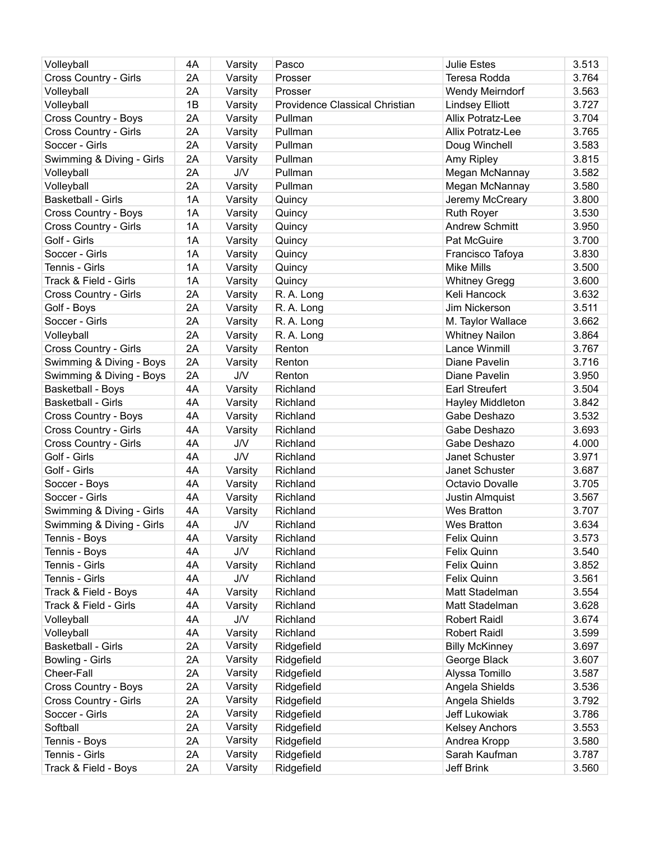| Volleyball                   | 4A | Varsity    | Pasco                          | <b>Julie Estes</b>     | 3.513 |
|------------------------------|----|------------|--------------------------------|------------------------|-------|
| <b>Cross Country - Girls</b> | 2A | Varsity    | Prosser                        | Teresa Rodda           | 3.764 |
| Volleyball                   | 2A | Varsity    | Prosser                        | Wendy Meirndorf        | 3.563 |
| Volleyball                   | 1B | Varsity    | Providence Classical Christian | <b>Lindsey Elliott</b> | 3.727 |
| <b>Cross Country - Boys</b>  | 2A | Varsity    | Pullman                        | Allix Potratz-Lee      | 3.704 |
| Cross Country - Girls        | 2A | Varsity    | Pullman                        | Allix Potratz-Lee      | 3.765 |
| Soccer - Girls               | 2A | Varsity    | Pullman                        | Doug Winchell          | 3.583 |
| Swimming & Diving - Girls    | 2A | Varsity    | Pullman                        | Amy Ripley             | 3.815 |
| Volleyball                   | 2A | J/V        | Pullman                        | Megan McNannay         | 3.582 |
| Volleyball                   | 2A | Varsity    | Pullman                        | Megan McNannay         | 3.580 |
| <b>Basketball - Girls</b>    | 1A | Varsity    | Quincy                         | Jeremy McCreary        | 3.800 |
| Cross Country - Boys         | 1A | Varsity    | Quincy                         | <b>Ruth Royer</b>      | 3.530 |
| Cross Country - Girls        | 1A | Varsity    | Quincy                         | <b>Andrew Schmitt</b>  | 3.950 |
| Golf - Girls                 | 1A | Varsity    | Quincy                         | Pat McGuire            | 3.700 |
| Soccer - Girls               | 1A | Varsity    | Quincy                         | Francisco Tafoya       | 3.830 |
| Tennis - Girls               | 1A | Varsity    | Quincy                         | <b>Mike Mills</b>      | 3.500 |
| Track & Field - Girls        | 1A | Varsity    | Quincy                         | <b>Whitney Gregg</b>   | 3.600 |
| Cross Country - Girls        | 2A | Varsity    | R. A. Long                     | Keli Hancock           | 3.632 |
| Golf - Boys                  | 2A | Varsity    | R. A. Long                     | Jim Nickerson          | 3.511 |
| Soccer - Girls               | 2A | Varsity    | R. A. Long                     | M. Taylor Wallace      | 3.662 |
| Volleyball                   | 2A | Varsity    | R. A. Long                     | <b>Whitney Nailon</b>  | 3.864 |
| Cross Country - Girls        | 2A | Varsity    | Renton                         | Lance Winmill          | 3.767 |
| Swimming & Diving - Boys     | 2A | Varsity    | Renton                         | Diane Pavelin          | 3.716 |
| Swimming & Diving - Boys     | 2A | J/V        | Renton                         | Diane Pavelin          | 3.950 |
| <b>Basketball - Boys</b>     | 4A | Varsity    | Richland                       | <b>Earl Streufert</b>  | 3.504 |
| <b>Basketball - Girls</b>    | 4A | Varsity    | Richland                       | Hayley Middleton       | 3.842 |
| Cross Country - Boys         | 4A | Varsity    | Richland                       | Gabe Deshazo           | 3.532 |
| Cross Country - Girls        | 4A | Varsity    | Richland                       | Gabe Deshazo           | 3.693 |
| Cross Country - Girls        | 4A | <b>J/V</b> | Richland                       | Gabe Deshazo           | 4.000 |
| Golf - Girls                 | 4A | <b>J/V</b> | Richland                       | Janet Schuster         | 3.971 |
| Golf - Girls                 | 4A | Varsity    | Richland                       | Janet Schuster         | 3.687 |
| Soccer - Boys                | 4A | Varsity    | Richland                       | Octavio Dovalle        | 3.705 |
| Soccer - Girls               | 4A | Varsity    | Richland                       | Justin Almquist        | 3.567 |
| Swimming & Diving - Girls    | 4A | Varsity    | Richland                       | <b>Wes Bratton</b>     | 3.707 |
| Swimming & Diving - Girls    | 4A | <b>J/V</b> | Richland                       | Wes Bratton            | 3.634 |
| Tennis - Boys                | 4A | Varsity    | Richland                       | Felix Quinn            | 3.573 |
| Tennis - Boys                | 4A | <b>J/V</b> | Richland                       | Felix Quinn            | 3.540 |
| Tennis - Girls               | 4A | Varsity    | Richland                       | Felix Quinn            | 3.852 |
| Tennis - Girls               | 4A | <b>J/V</b> | Richland                       | Felix Quinn            | 3.561 |
| Track & Field - Boys         | 4A | Varsity    | Richland                       | Matt Stadelman         | 3.554 |
| Track & Field - Girls        | 4A | Varsity    | Richland                       | Matt Stadelman         | 3.628 |
| Volleyball                   | 4A | J/V        | Richland                       | <b>Robert Raidl</b>    | 3.674 |
| Volleyball                   | 4A | Varsity    | Richland                       | <b>Robert Raidl</b>    | 3.599 |
| Basketball - Girls           | 2A | Varsity    | Ridgefield                     | <b>Billy McKinney</b>  | 3.697 |
| Bowling - Girls              | 2A | Varsity    | Ridgefield                     | George Black           | 3.607 |
| Cheer-Fall                   | 2A | Varsity    | Ridgefield                     | Alyssa Tomillo         | 3.587 |
| Cross Country - Boys         | 2A | Varsity    | Ridgefield                     | Angela Shields         | 3.536 |
| Cross Country - Girls        | 2A | Varsity    | Ridgefield                     | Angela Shields         | 3.792 |
| Soccer - Girls               | 2A | Varsity    | Ridgefield                     | Jeff Lukowiak          | 3.786 |
| Softball                     | 2A | Varsity    | Ridgefield                     | <b>Kelsey Anchors</b>  | 3.553 |
| Tennis - Boys                | 2A | Varsity    | Ridgefield                     | Andrea Kropp           | 3.580 |
| Tennis - Girls               | 2A | Varsity    | Ridgefield                     | Sarah Kaufman          | 3.787 |
| Track & Field - Boys         | 2A | Varsity    | Ridgefield                     | Jeff Brink             | 3.560 |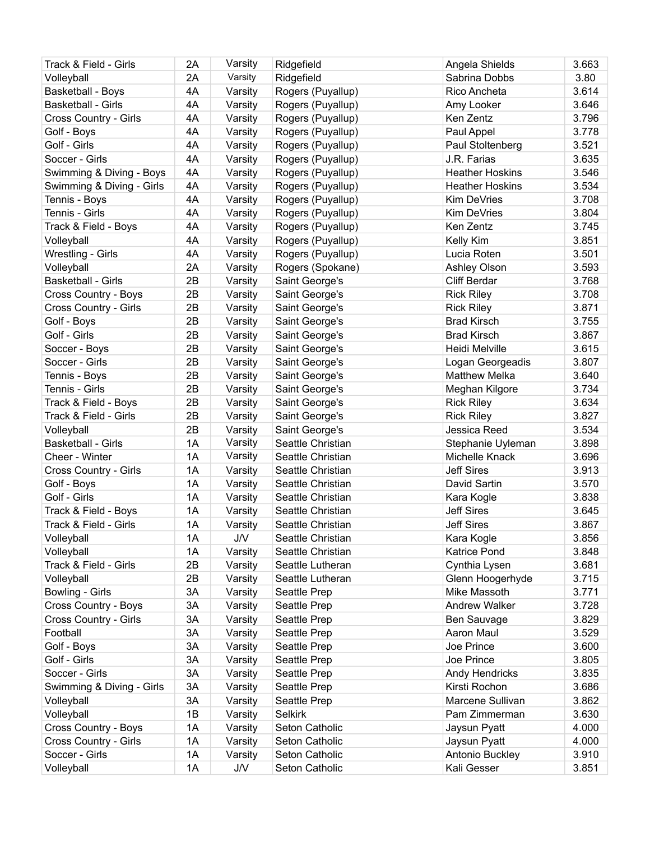| Track & Field - Girls                   | 2A | Varsity            | Ridgefield        | Angela Shields         | 3.663 |
|-----------------------------------------|----|--------------------|-------------------|------------------------|-------|
| Volleyball                              | 2A | Varsity            | Ridgefield        | Sabrina Dobbs          | 3.80  |
| <b>Basketball - Boys</b>                | 4A | Varsity            | Rogers (Puyallup) | Rico Ancheta           | 3.614 |
| <b>Basketball - Girls</b>               | 4A | Varsity            | Rogers (Puyallup) | Amy Looker             | 3.646 |
| Cross Country - Girls                   | 4A | Varsity            | Rogers (Puyallup) | Ken Zentz              | 3.796 |
| Golf - Boys                             | 4A | Varsity            | Rogers (Puyallup) | Paul Appel             | 3.778 |
| Golf - Girls                            | 4A | Varsity            | Rogers (Puyallup) | Paul Stoltenberg       | 3.521 |
| Soccer - Girls                          | 4A | Varsity            | Rogers (Puyallup) | J.R. Farias            | 3.635 |
| Swimming & Diving - Boys                | 4A | Varsity            | Rogers (Puyallup) | <b>Heather Hoskins</b> | 3.546 |
| Swimming & Diving - Girls               | 4A | Varsity            | Rogers (Puyallup) | <b>Heather Hoskins</b> | 3.534 |
| Tennis - Boys                           | 4A | Varsity            | Rogers (Puyallup) | Kim DeVries            | 3.708 |
| Tennis - Girls                          | 4A | Varsity            | Rogers (Puyallup) | Kim DeVries            | 3.804 |
| Track & Field - Boys                    | 4A | Varsity            | Rogers (Puyallup) | Ken Zentz              | 3.745 |
| Volleyball                              | 4A | Varsity            | Rogers (Puyallup) | Kelly Kim              | 3.851 |
| Wrestling - Girls                       | 4A | Varsity            | Rogers (Puyallup) | Lucia Roten            | 3.501 |
| Volleyball                              | 2A | Varsity            | Rogers (Spokane)  | Ashley Olson           | 3.593 |
| <b>Basketball - Girls</b>               | 2B | Varsity            | Saint George's    | <b>Cliff Berdar</b>    | 3.768 |
| Cross Country - Boys                    | 2B | Varsity            | Saint George's    | <b>Rick Riley</b>      | 3.708 |
| Cross Country - Girls                   | 2B | Varsity            | Saint George's    | <b>Rick Riley</b>      | 3.871 |
| Golf - Boys                             | 2B | Varsity            | Saint George's    | <b>Brad Kirsch</b>     | 3.755 |
| Golf - Girls                            | 2B | Varsity            | Saint George's    | <b>Brad Kirsch</b>     | 3.867 |
| Soccer - Boys                           | 2B | Varsity            | Saint George's    | Heidi Melville         | 3.615 |
| Soccer - Girls                          | 2B | Varsity            | Saint George's    | Logan Georgeadis       | 3.807 |
| Tennis - Boys                           | 2B | Varsity            | Saint George's    | <b>Matthew Melka</b>   | 3.640 |
| Tennis - Girls                          | 2B | Varsity            | Saint George's    | Meghan Kilgore         | 3.734 |
| Track & Field - Boys                    | 2B | Varsity            | Saint George's    | <b>Rick Riley</b>      | 3.634 |
| Track & Field - Girls                   | 2B | Varsity            | Saint George's    | <b>Rick Riley</b>      | 3.827 |
|                                         | 2B |                    | Saint George's    | Jessica Reed           | 3.534 |
| Volleyball<br><b>Basketball - Girls</b> | 1A | Varsity<br>Varsity | Seattle Christian | Stephanie Uyleman      | 3.898 |
|                                         | 1A | Varsity            | Seattle Christian | Michelle Knack         | 3.696 |
| Cheer - Winter                          | 1A |                    | Seattle Christian | <b>Jeff Sires</b>      |       |
| Cross Country - Girls                   |    | Varsity            |                   |                        | 3.913 |
| Golf - Boys                             | 1A | Varsity            | Seattle Christian | David Sartin           | 3.570 |
| Golf - Girls                            | 1A | Varsity            | Seattle Christian | Kara Kogle             | 3.838 |
| Track & Field - Boys                    | 1A | Varsity            | Seattle Christian | <b>Jeff Sires</b>      | 3.645 |
| Track & Field - Girls                   | 1A | Varsity            | Seattle Christian | <b>Jeff Sires</b>      | 3.867 |
| Volleyball                              | 1A | <b>J/V</b>         | Seattle Christian | Kara Kogle             | 3.856 |
| Volleyball                              | 1A | Varsity            | Seattle Christian | Katrice Pond           | 3.848 |
| Track & Field - Girls                   | 2B | Varsity            | Seattle Lutheran  | Cynthia Lysen          | 3.681 |
| Volleyball                              | 2B | Varsity            | Seattle Lutheran  | Glenn Hoogerhyde       | 3.715 |
| Bowling - Girls                         | 3A | Varsity            | Seattle Prep      | Mike Massoth           | 3.771 |
| Cross Country - Boys                    | 3A | Varsity            | Seattle Prep      | <b>Andrew Walker</b>   | 3.728 |
| Cross Country - Girls                   | 3A | Varsity            | Seattle Prep      | Ben Sauvage            | 3.829 |
| Football                                | 3A | Varsity            | Seattle Prep      | Aaron Maul             | 3.529 |
| Golf - Boys                             | 3A | Varsity            | Seattle Prep      | Joe Prince             | 3.600 |
| Golf - Girls                            | 3A | Varsity            | Seattle Prep      | Joe Prince             | 3.805 |
| Soccer - Girls                          | 3A | Varsity            | Seattle Prep      | Andy Hendricks         | 3.835 |
| Swimming & Diving - Girls               | 3A | Varsity            | Seattle Prep      | Kirsti Rochon          | 3.686 |
| Volleyball                              | 3A | Varsity            | Seattle Prep      | Marcene Sullivan       | 3.862 |
| Volleyball                              | 1B | Varsity            | Selkirk           | Pam Zimmerman          | 3.630 |
| Cross Country - Boys                    | 1A | Varsity            | Seton Catholic    | Jaysun Pyatt           | 4.000 |
| Cross Country - Girls                   | 1A | Varsity            | Seton Catholic    | Jaysun Pyatt           | 4.000 |
| Soccer - Girls                          | 1A | Varsity            | Seton Catholic    | Antonio Buckley        | 3.910 |
| Volleyball                              | 1A | <b>J/V</b>         | Seton Catholic    | Kali Gesser            | 3.851 |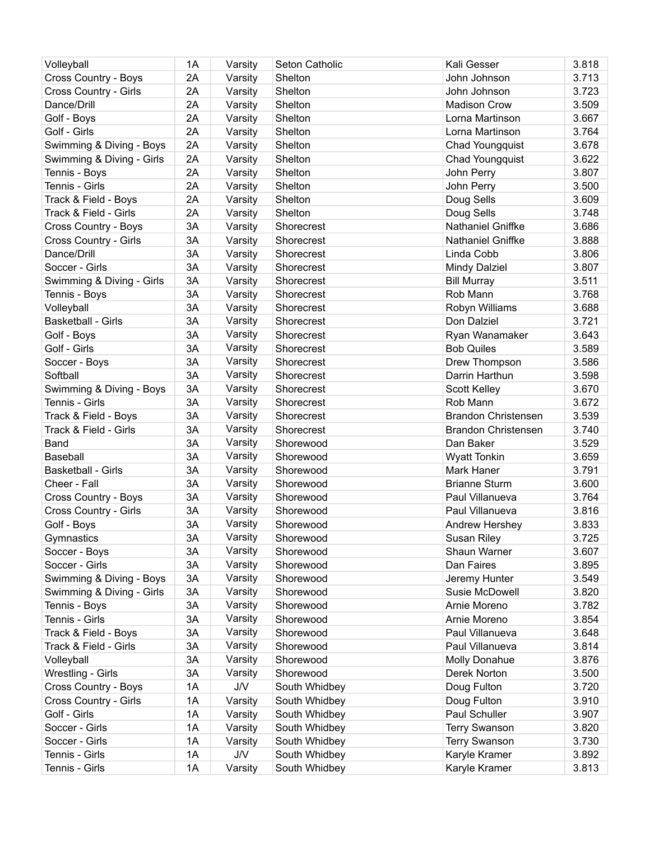| Volleyball                | 1A | Varsity    | Seton Catholic | Kali Gesser                | 3.818 |
|---------------------------|----|------------|----------------|----------------------------|-------|
| Cross Country - Boys      | 2A | Varsity    | Shelton        | John Johnson               | 3.713 |
| Cross Country - Girls     | 2A | Varsity    | Shelton        | John Johnson               | 3.723 |
| Dance/Drill               | 2A | Varsity    | Shelton        | <b>Madison Crow</b>        | 3.509 |
| Golf - Boys               | 2A | Varsity    | Shelton        | Lorna Martinson            | 3.667 |
| Golf - Girls              | 2A | Varsity    | Shelton        | Lorna Martinson            | 3.764 |
| Swimming & Diving - Boys  | 2A | Varsity    | Shelton        | <b>Chad Youngquist</b>     | 3.678 |
| Swimming & Diving - Girls | 2A | Varsity    | Shelton        | <b>Chad Youngquist</b>     | 3.622 |
| Tennis - Boys             | 2A | Varsity    | Shelton        | John Perry                 | 3.807 |
| Tennis - Girls            | 2A | Varsity    | Shelton        | John Perry                 | 3.500 |
| Track & Field - Boys      | 2A | Varsity    | Shelton        | Doug Sells                 | 3.609 |
| Track & Field - Girls     | 2A | Varsity    | Shelton        | Doug Sells                 | 3.748 |
| Cross Country - Boys      | 3A | Varsity    | Shorecrest     | Nathaniel Gniffke          | 3.686 |
| Cross Country - Girls     | 3A | Varsity    | Shorecrest     | Nathaniel Gniffke          | 3.888 |
| Dance/Drill               | 3A | Varsity    | Shorecrest     | Linda Cobb                 | 3.806 |
| Soccer - Girls            | 3A | Varsity    | Shorecrest     | Mindy Dalziel              | 3.807 |
| Swimming & Diving - Girls | 3A | Varsity    | Shorecrest     | <b>Bill Murray</b>         | 3.511 |
| Tennis - Boys             | 3A | Varsity    | Shorecrest     | Rob Mann                   | 3.768 |
| Volleyball                | 3A | Varsity    | Shorecrest     | Robyn Williams             | 3.688 |
| <b>Basketball - Girls</b> | 3A | Varsity    | Shorecrest     | Don Dalziel                | 3.721 |
| Golf - Boys               | 3A | Varsity    | Shorecrest     | Ryan Wanamaker             | 3.643 |
| Golf - Girls              | 3A | Varsity    | Shorecrest     | <b>Bob Quiles</b>          | 3.589 |
| Soccer - Boys             | 3A | Varsity    | Shorecrest     | Drew Thompson              | 3.586 |
| Softball                  | 3A | Varsity    | Shorecrest     | Darrin Harthun             | 3.598 |
| Swimming & Diving - Boys  | 3A | Varsity    | Shorecrest     | Scott Kelley               | 3.670 |
| Tennis - Girls            | 3A | Varsity    | Shorecrest     | Rob Mann                   | 3.672 |
| Track & Field - Boys      | 3A | Varsity    | Shorecrest     | <b>Brandon Christensen</b> | 3.539 |
| Track & Field - Girls     | 3A | Varsity    | Shorecrest     | <b>Brandon Christensen</b> | 3.740 |
| Band                      | 3A | Varsity    | Shorewood      | Dan Baker                  | 3.529 |
| Baseball                  | 3A | Varsity    | Shorewood      | <b>Wyatt Tonkin</b>        | 3.659 |
| <b>Basketball - Girls</b> | 3A | Varsity    | Shorewood      | Mark Haner                 | 3.791 |
| Cheer - Fall              | 3A | Varsity    | Shorewood      | <b>Brianne Sturm</b>       | 3.600 |
| Cross Country - Boys      | 3A | Varsity    | Shorewood      | Paul Villanueva            | 3.764 |
| Cross Country - Girls     | 3A | Varsity    | Shorewood      | Paul Villanueva            | 3.816 |
| Golf - Boys               | 3A | Varsity    | Shorewood      | Andrew Hershey             | 3.833 |
| Gymnastics                | 3A | Varsity    | Shorewood      | Susan Riley                | 3.725 |
| Soccer - Boys             | 3A | Varsity    | Shorewood      | Shaun Warner               | 3.607 |
| Soccer - Girls            | 3A | Varsity    | Shorewood      | Dan Faires                 | 3.895 |
| Swimming & Diving - Boys  | 3A | Varsity    | Shorewood      | Jeremy Hunter              | 3.549 |
| Swimming & Diving - Girls | 3A | Varsity    | Shorewood      | Susie McDowell             | 3.820 |
| Tennis - Boys             | 3A | Varsity    | Shorewood      | Arnie Moreno               | 3.782 |
| Tennis - Girls            | 3A | Varsity    | Shorewood      | Arnie Moreno               | 3.854 |
| Track & Field - Boys      | 3A | Varsity    | Shorewood      | Paul Villanueva            | 3.648 |
| Track & Field - Girls     | 3A | Varsity    | Shorewood      | Paul Villanueva            | 3.814 |
| Volleyball                | 3A | Varsity    | Shorewood      | Molly Donahue              | 3.876 |
| Wrestling - Girls         | 3A | Varsity    | Shorewood      | Derek Norton               | 3.500 |
| Cross Country - Boys      | 1A | <b>J/V</b> | South Whidbey  | Doug Fulton                | 3.720 |
| Cross Country - Girls     | 1A | Varsity    | South Whidbey  | Doug Fulton                | 3.910 |
| Golf - Girls              | 1A | Varsity    | South Whidbey  | Paul Schuller              | 3.907 |
| Soccer - Girls            | 1A | Varsity    | South Whidbey  | <b>Terry Swanson</b>       | 3.820 |
| Soccer - Girls            | 1A | Varsity    | South Whidbey  | <b>Terry Swanson</b>       | 3.730 |
| Tennis - Girls            | 1A | J/V        | South Whidbey  | Karyle Kramer              | 3.892 |
| Tennis - Girls            | 1A | Varsity    | South Whidbey  | Karyle Kramer              | 3.813 |
|                           |    |            |                |                            |       |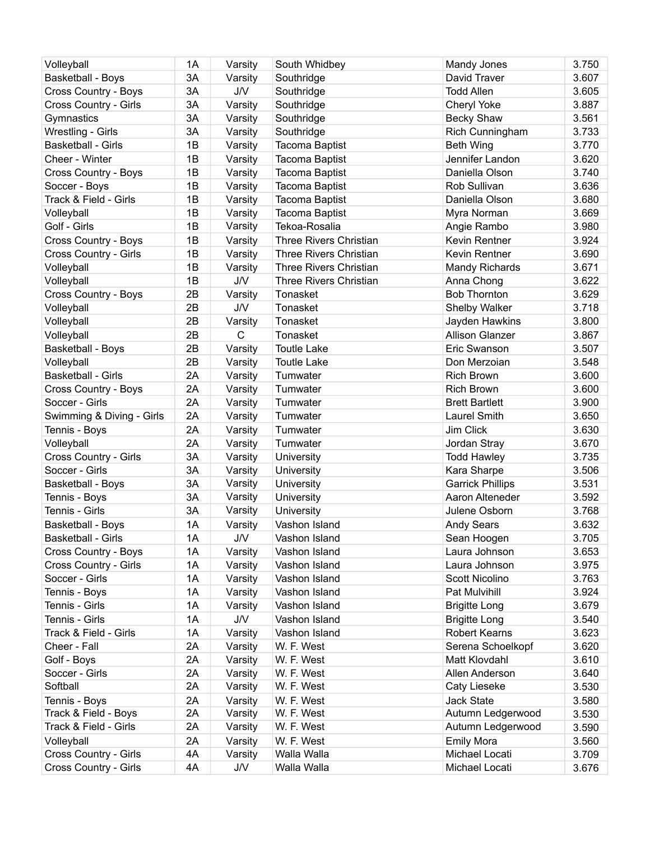| Volleyball                | 1A       | Varsity     | South Whidbey                 | Mandy Jones                    | 3.750 |
|---------------------------|----------|-------------|-------------------------------|--------------------------------|-------|
| Basketball - Boys         | 3A       | Varsity     | Southridge                    | David Traver                   | 3.607 |
| Cross Country - Boys      | 3A       | J/V         | Southridge                    | <b>Todd Allen</b>              | 3.605 |
| Cross Country - Girls     | 3A       | Varsity     | Southridge                    | <b>Cheryl Yoke</b>             | 3.887 |
| Gymnastics                | 3A       | Varsity     | Southridge                    | <b>Becky Shaw</b>              | 3.561 |
| Wrestling - Girls         | 3A       | Varsity     | Southridge                    | Rich Cunningham                | 3.733 |
| <b>Basketball - Girls</b> | 1B       | Varsity     | Tacoma Baptist                | <b>Beth Wing</b>               | 3.770 |
| Cheer - Winter            | 1B       | Varsity     | Tacoma Baptist                | Jennifer Landon                | 3.620 |
| Cross Country - Boys      | 1B       | Varsity     | Tacoma Baptist                | Daniella Olson                 | 3.740 |
| Soccer - Boys             | 1B       | Varsity     | Tacoma Baptist                | Rob Sullivan                   | 3.636 |
| Track & Field - Girls     | 1B       | Varsity     | Tacoma Baptist                | Daniella Olson                 | 3.680 |
| Volleyball                | 1B       | Varsity     | Tacoma Baptist                | Myra Norman                    | 3.669 |
| Golf - Girls              | 1B       | Varsity     | Tekoa-Rosalia                 | Angie Rambo                    | 3.980 |
| Cross Country - Boys      | 1B       | Varsity     | <b>Three Rivers Christian</b> | Kevin Rentner                  | 3.924 |
| Cross Country - Girls     | 1B       | Varsity     | <b>Three Rivers Christian</b> | Kevin Rentner                  | 3.690 |
| Volleyball                | 1B       | Varsity     | <b>Three Rivers Christian</b> | <b>Mandy Richards</b>          | 3.671 |
| Volleyball                | 1B       | J/V         | <b>Three Rivers Christian</b> | Anna Chong                     | 3.622 |
| Cross Country - Boys      | 2B       | Varsity     | Tonasket                      | <b>Bob Thornton</b>            | 3.629 |
| Volleyball                | 2B       | <b>J/V</b>  | Tonasket                      | Shelby Walker                  | 3.718 |
| Volleyball                | 2B       | Varsity     | Tonasket                      | Jayden Hawkins                 | 3.800 |
| Volleyball                | 2B       | $\mathsf C$ | Tonasket                      | <b>Allison Glanzer</b>         | 3.867 |
| <b>Basketball - Boys</b>  | 2B       | Varsity     | <b>Toutle Lake</b>            | Eric Swanson                   | 3.507 |
| Volleyball                | 2B       | Varsity     | <b>Toutle Lake</b>            | Don Merzoian                   | 3.548 |
| <b>Basketball - Girls</b> | 2A       | Varsity     | Tumwater                      | <b>Rich Brown</b>              | 3.600 |
| Cross Country - Boys      | 2A       | Varsity     | Tumwater                      | <b>Rich Brown</b>              | 3.600 |
| Soccer - Girls            | 2A       | Varsity     | Tumwater                      | <b>Brett Bartlett</b>          | 3.900 |
| Swimming & Diving - Girls | 2A       | Varsity     | Tumwater                      | <b>Laurel Smith</b>            | 3.650 |
| Tennis - Boys             | 2A       | Varsity     | Tumwater                      | Jim Click                      | 3.630 |
| Volleyball                | 2A       | Varsity     | Tumwater                      | Jordan Stray                   | 3.670 |
| Cross Country - Girls     | 3A       | Varsity     | <b>University</b>             | <b>Todd Hawley</b>             | 3.735 |
| Soccer - Girls            | 3A       | Varsity     | University                    | Kara Sharpe                    | 3.506 |
| <b>Basketball - Boys</b>  | 3A       | Varsity     | University                    | <b>Garrick Phillips</b>        | 3.531 |
| Tennis - Boys             | 3A       | Varsity     | University                    | Aaron Alteneder                | 3.592 |
| Tennis - Girls            | 3A       | Varsity     | University                    | Julene Osborn                  | 3.768 |
| Basketball - Boys         | 1A       | Varsity     | Vashon Island                 | <b>Andy Sears</b>              | 3.632 |
| <b>Basketball - Girls</b> |          | <b>J/V</b>  | Vashon Island                 |                                | 3.705 |
|                           | 1A<br>1A |             | Vashon Island                 | Sean Hoogen                    | 3.653 |
| Cross Country - Boys      | 1A       | Varsity     | Vashon Island                 | Laura Johnson<br>Laura Johnson | 3.975 |
| Cross Country - Girls     |          | Varsity     |                               | <b>Scott Nicolino</b>          |       |
| Soccer - Girls            | 1A       | Varsity     | Vashon Island                 |                                | 3.763 |
| Tennis - Boys             | 1A       | Varsity     | Vashon Island                 | Pat Mulvihill                  | 3.924 |
| Tennis - Girls            | 1A       | Varsity     | Vashon Island                 | <b>Brigitte Long</b>           | 3.679 |
| Tennis - Girls            | 1A       | J/V         | Vashon Island                 | <b>Brigitte Long</b>           | 3.540 |
| Track & Field - Girls     | 1A       | Varsity     | Vashon Island                 | <b>Robert Kearns</b>           | 3.623 |
| Cheer - Fall              | 2A       | Varsity     | W. F. West                    | Serena Schoelkopf              | 3.620 |
| Golf - Boys               | 2A       | Varsity     | W. F. West                    | Matt Klovdahl                  | 3.610 |
| Soccer - Girls            | 2A       | Varsity     | W. F. West                    | Allen Anderson                 | 3.640 |
| Softball                  | 2A       | Varsity     | W. F. West                    | Caty Lieseke                   | 3.530 |
| Tennis - Boys             | 2A       | Varsity     | W. F. West                    | <b>Jack State</b>              | 3.580 |
| Track & Field - Boys      | 2A       | Varsity     | W. F. West                    | Autumn Ledgerwood              | 3.530 |
| Track & Field - Girls     | 2A       | Varsity     | W. F. West                    | Autumn Ledgerwood              | 3.590 |
| Volleyball                | 2A       | Varsity     | W. F. West                    | <b>Emily Mora</b>              | 3.560 |
| Cross Country - Girls     | 4A       | Varsity     | Walla Walla                   | Michael Locati                 | 3.709 |
| Cross Country - Girls     | 4A       | J/V         | Walla Walla                   | Michael Locati                 | 3.676 |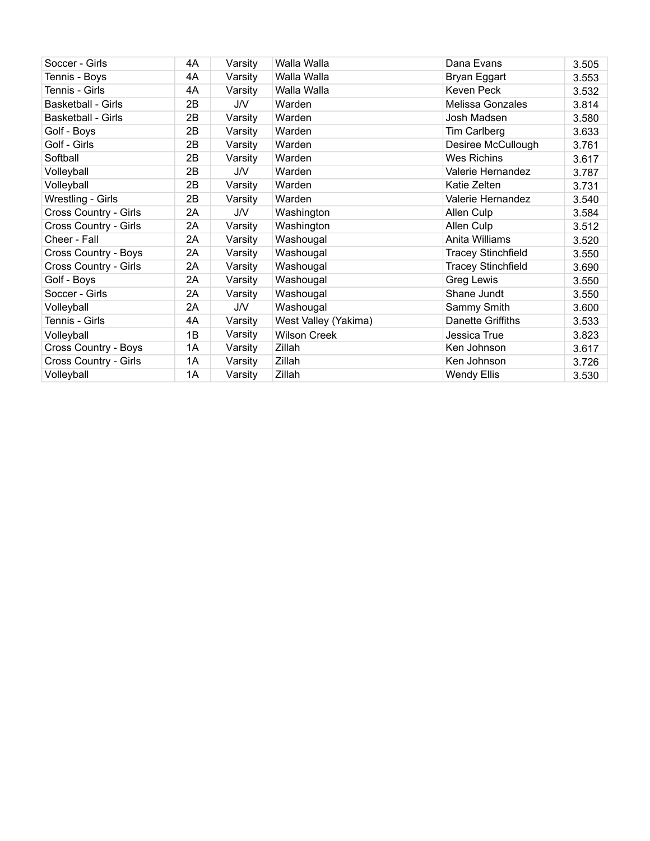| Soccer - Girls               | 4A | Varsity | Walla Walla          | Dana Evans                | 3.505 |
|------------------------------|----|---------|----------------------|---------------------------|-------|
| Tennis - Boys                | 4A | Varsity | Walla Walla          | Bryan Eggart              | 3.553 |
| Tennis - Girls               | 4A | Varsity | Walla Walla          | Keven Peck                | 3.532 |
| <b>Basketball - Girls</b>    | 2B | J/V     | Warden               | Melissa Gonzales          | 3.814 |
| <b>Basketball - Girls</b>    | 2B | Varsity | Warden               | Josh Madsen               | 3.580 |
| Golf - Boys                  | 2B | Varsity | Warden               | Tim Carlberg              | 3.633 |
| Golf - Girls                 | 2B | Varsity | Warden               | Desiree McCullough        | 3.761 |
| Softball                     | 2B | Varsity | Warden               | <b>Wes Richins</b>        | 3.617 |
| Volleyball                   | 2B | J/V     | Warden               | Valerie Hernandez         | 3.787 |
| Volleyball                   | 2B | Varsity | Warden               | Katie Zelten              | 3.731 |
| Wrestling - Girls            | 2B | Varsity | Warden               | Valerie Hernandez         | 3.540 |
| <b>Cross Country - Girls</b> | 2A | J/V     | Washington           | Allen Culp                | 3.584 |
| Cross Country - Girls        | 2A | Varsity | Washington           | Allen Culp                | 3.512 |
| Cheer - Fall                 | 2A | Varsity | Washougal            | Anita Williams            | 3.520 |
| Cross Country - Boys         | 2A | Varsity | Washougal            | <b>Tracey Stinchfield</b> | 3.550 |
| Cross Country - Girls        | 2A | Varsity | Washougal            | <b>Tracey Stinchfield</b> | 3.690 |
| Golf - Boys                  | 2A | Varsity | Washougal            | Greg Lewis                | 3.550 |
| Soccer - Girls               | 2A | Varsity | Washougal            | Shane Jundt               | 3.550 |
| Volleyball                   | 2A | J/V     | Washougal            | Sammy Smith               | 3.600 |
| Tennis - Girls               | 4A | Varsity | West Valley (Yakima) | Danette Griffiths         | 3.533 |
| Volleyball                   | 1B | Varsity | <b>Wilson Creek</b>  | Jessica True              | 3.823 |
| Cross Country - Boys         | 1A | Varsity | Zillah               | Ken Johnson               | 3.617 |
| Cross Country - Girls        | 1A | Varsity | Zillah               | Ken Johnson               | 3.726 |
| Volleyball                   | 1A | Varsity | Zillah               | Wendy Ellis               | 3.530 |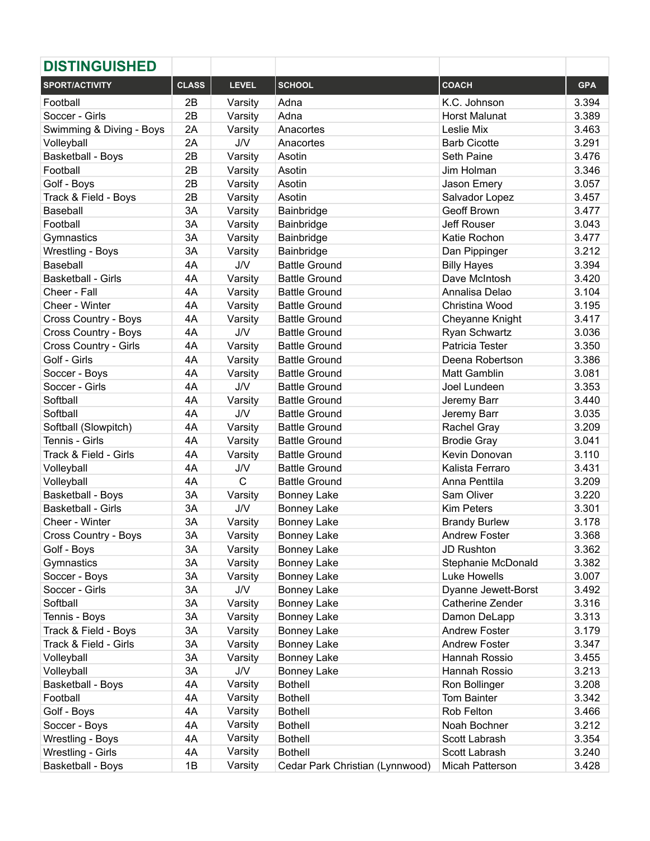| <b>DISTINGUISHED</b>        |              |              |                                 |                      |            |
|-----------------------------|--------------|--------------|---------------------------------|----------------------|------------|
| <b>SPORT/ACTIVITY</b>       | <b>CLASS</b> | <b>LEVEL</b> | <b>SCHOOL</b>                   | <b>COACH</b>         | <b>GPA</b> |
| Football                    | 2B           | Varsity      | Adna                            | K.C. Johnson         | 3.394      |
| Soccer - Girls              | 2B           | Varsity      | Adna                            | <b>Horst Malunat</b> | 3.389      |
| Swimming & Diving - Boys    | 2A           | Varsity      | Anacortes                       | Leslie Mix           | 3.463      |
| Volleyball                  | 2A           | J/V          | Anacortes                       | <b>Barb Cicotte</b>  | 3.291      |
| Basketball - Boys           | 2B           | Varsity      | Asotin                          | Seth Paine           | 3.476      |
| Football                    | 2B           | Varsity      | Asotin                          | Jim Holman           | 3.346      |
| Golf - Boys                 | 2B           | Varsity      | Asotin                          | Jason Emery          | 3.057      |
| Track & Field - Boys        | 2B           | Varsity      | Asotin                          | Salvador Lopez       | 3.457      |
| Baseball                    | 3A           | Varsity      | Bainbridge                      | Geoff Brown          | 3.477      |
| Football                    | 3A           | Varsity      | Bainbridge                      | <b>Jeff Rouser</b>   | 3.043      |
| Gymnastics                  | 3A           | Varsity      | Bainbridge                      | Katie Rochon         | 3.477      |
| Wrestling - Boys            | 3A           | Varsity      | Bainbridge                      | Dan Pippinger        | 3.212      |
| Baseball                    | 4A           | <b>J/V</b>   | <b>Battle Ground</b>            | <b>Billy Hayes</b>   | 3.394      |
| Basketball - Girls          | 4A           | Varsity      | <b>Battle Ground</b>            | Dave McIntosh        | 3.420      |
| Cheer - Fall                | 4A           | Varsity      | <b>Battle Ground</b>            | Annalisa Delao       | 3.104      |
| Cheer - Winter              | 4A           | Varsity      | <b>Battle Ground</b>            | Christina Wood       | 3.195      |
| Cross Country - Boys        | 4A           | Varsity      | <b>Battle Ground</b>            | Cheyanne Knight      | 3.417      |
| <b>Cross Country - Boys</b> | 4A           | J/V          | <b>Battle Ground</b>            | Ryan Schwartz        | 3.036      |
| Cross Country - Girls       | 4A           | Varsity      | <b>Battle Ground</b>            | Patricia Tester      | 3.350      |
| Golf - Girls                | 4A           | Varsity      | <b>Battle Ground</b>            | Deena Robertson      | 3.386      |
| Soccer - Boys               | 4A           | Varsity      | <b>Battle Ground</b>            | Matt Gamblin         | 3.081      |
| Soccer - Girls              | 4A           | <b>J/V</b>   | <b>Battle Ground</b>            | Joel Lundeen         | 3.353      |
| Softball                    | 4A           | Varsity      | <b>Battle Ground</b>            | Jeremy Barr          | 3.440      |
| Softball                    | 4A           | <b>J/V</b>   | <b>Battle Ground</b>            | Jeremy Barr          | 3.035      |
| Softball (Slowpitch)        | 4A           | Varsity      | <b>Battle Ground</b>            | Rachel Gray          | 3.209      |
| Tennis - Girls              | 4A           | Varsity      | <b>Battle Ground</b>            | <b>Brodie Gray</b>   | 3.041      |
| Track & Field - Girls       | 4A           | Varsity      | <b>Battle Ground</b>            | Kevin Donovan        | 3.110      |
| Volleyball                  | 4A           | J/V          | <b>Battle Ground</b>            | Kalista Ferraro      | 3.431      |
| Volleyball                  | 4A           | $\mathsf{C}$ | <b>Battle Ground</b>            | Anna Penttila        | 3.209      |
| Basketball - Boys           | 3A           | Varsity      | <b>Bonney Lake</b>              | Sam Oliver           | 3.220      |
| <b>Basketball - Girls</b>   | 3A           | <b>J/V</b>   | <b>Bonney Lake</b>              | <b>Kim Peters</b>    | 3.301      |
| Cheer - Winter              | 3A           | Varsity      | <b>Bonney Lake</b>              | <b>Brandy Burlew</b> | 3.178      |
| <b>Cross Country - Boys</b> | 3A           | Varsity      | <b>Bonney Lake</b>              | <b>Andrew Foster</b> | 3.368      |
| Golf - Boys                 | 3A           | Varsity      | <b>Bonney Lake</b>              | <b>JD Rushton</b>    | 3.362      |
| Gymnastics                  | 3A           | Varsity      | <b>Bonney Lake</b>              | Stephanie McDonald   | 3.382      |
| Soccer - Boys               | 3A           | Varsity      | <b>Bonney Lake</b>              | Luke Howells         | 3.007      |
| Soccer - Girls              | 3A           | J/V          | <b>Bonney Lake</b>              | Dyanne Jewett-Borst  | 3.492      |
| Softball                    | 3A           | Varsity      | <b>Bonney Lake</b>              | Catherine Zender     | 3.316      |
| Tennis - Boys               | 3A           | Varsity      | <b>Bonney Lake</b>              | Damon DeLapp         | 3.313      |
| Track & Field - Boys        | 3A           | Varsity      | <b>Bonney Lake</b>              | <b>Andrew Foster</b> | 3.179      |
| Track & Field - Girls       | 3A           | Varsity      | <b>Bonney Lake</b>              | <b>Andrew Foster</b> | 3.347      |
| Volleyball                  | 3A           | Varsity      | <b>Bonney Lake</b>              | Hannah Rossio        | 3.455      |
| Volleyball                  | 3A           | J/V          | <b>Bonney Lake</b>              | Hannah Rossio        | 3.213      |
| <b>Basketball - Boys</b>    | 4A           | Varsity      | <b>Bothell</b>                  | Ron Bollinger        | 3.208      |
| Football                    | 4A           | Varsity      | <b>Bothell</b>                  | Tom Bainter          | 3.342      |
| Golf - Boys                 | 4A           | Varsity      | <b>Bothell</b>                  | Rob Felton           | 3.466      |
| Soccer - Boys               | 4A           | Varsity      | <b>Bothell</b>                  | Noah Bochner         | 3.212      |
| Wrestling - Boys            | 4A           | Varsity      | <b>Bothell</b>                  | Scott Labrash        | 3.354      |
| Wrestling - Girls           | 4A           | Varsity      | <b>Bothell</b>                  | Scott Labrash        | 3.240      |
| Basketball - Boys           | 1B           | Varsity      | Cedar Park Christian (Lynnwood) | Micah Patterson      | 3.428      |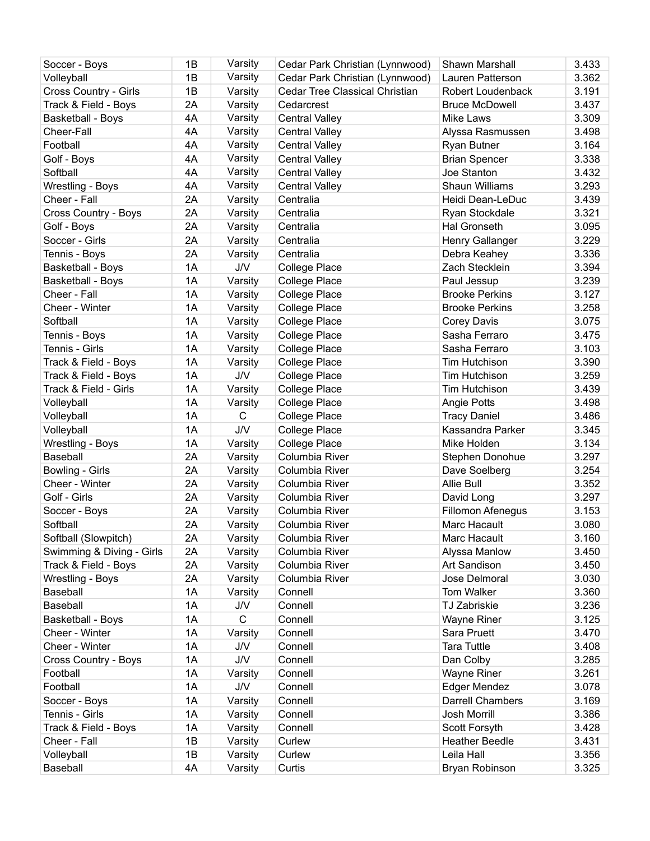| Varsity<br>Volleyball<br>1B<br>Cedar Park Christian (Lynnwood)<br>Lauren Patterson<br>Cedar Tree Classical Christian<br>Cross Country - Girls<br>1B<br>Varsity<br>Robert Loudenback<br>Track & Field - Boys<br>2A<br>Varsity<br><b>Bruce McDowell</b><br>Cedarcrest<br>Varsity<br>4A<br>Basketball - Boys<br><b>Central Valley</b><br>Mike Laws<br>Varsity<br>4A<br><b>Central Valley</b><br>Cheer-Fall<br>Alyssa Rasmussen<br>Varsity<br>Football<br>4A<br><b>Central Valley</b><br>Ryan Butner<br>Varsity<br>Golf - Boys<br>4A<br><b>Central Valley</b><br><b>Brian Spencer</b><br>Softball<br>4A<br>Varsity<br>Joe Stanton<br><b>Central Valley</b><br>Varsity<br>4A<br>Shaun Williams<br>Wrestling - Boys<br><b>Central Valley</b><br>Cheer - Fall<br>2A<br>Centralia<br>Heidi Dean-LeDuc<br>Varsity<br>2A<br>Centralia<br>Cross Country - Boys<br>Varsity<br>Ryan Stockdale | 3.362<br>3.191<br>3.437<br>3.309<br>3.498<br>3.164<br>3.338<br>3.432<br>3.293<br>3.439<br>3.321<br>3.095<br>3.229 |
|----------------------------------------------------------------------------------------------------------------------------------------------------------------------------------------------------------------------------------------------------------------------------------------------------------------------------------------------------------------------------------------------------------------------------------------------------------------------------------------------------------------------------------------------------------------------------------------------------------------------------------------------------------------------------------------------------------------------------------------------------------------------------------------------------------------------------------------------------------------------------------|-------------------------------------------------------------------------------------------------------------------|
|                                                                                                                                                                                                                                                                                                                                                                                                                                                                                                                                                                                                                                                                                                                                                                                                                                                                                  |                                                                                                                   |
|                                                                                                                                                                                                                                                                                                                                                                                                                                                                                                                                                                                                                                                                                                                                                                                                                                                                                  |                                                                                                                   |
|                                                                                                                                                                                                                                                                                                                                                                                                                                                                                                                                                                                                                                                                                                                                                                                                                                                                                  |                                                                                                                   |
|                                                                                                                                                                                                                                                                                                                                                                                                                                                                                                                                                                                                                                                                                                                                                                                                                                                                                  |                                                                                                                   |
|                                                                                                                                                                                                                                                                                                                                                                                                                                                                                                                                                                                                                                                                                                                                                                                                                                                                                  |                                                                                                                   |
|                                                                                                                                                                                                                                                                                                                                                                                                                                                                                                                                                                                                                                                                                                                                                                                                                                                                                  |                                                                                                                   |
|                                                                                                                                                                                                                                                                                                                                                                                                                                                                                                                                                                                                                                                                                                                                                                                                                                                                                  |                                                                                                                   |
|                                                                                                                                                                                                                                                                                                                                                                                                                                                                                                                                                                                                                                                                                                                                                                                                                                                                                  |                                                                                                                   |
|                                                                                                                                                                                                                                                                                                                                                                                                                                                                                                                                                                                                                                                                                                                                                                                                                                                                                  |                                                                                                                   |
|                                                                                                                                                                                                                                                                                                                                                                                                                                                                                                                                                                                                                                                                                                                                                                                                                                                                                  |                                                                                                                   |
|                                                                                                                                                                                                                                                                                                                                                                                                                                                                                                                                                                                                                                                                                                                                                                                                                                                                                  |                                                                                                                   |
| Golf - Boys<br>2A<br>Varsity<br>Centralia<br>Hal Gronseth                                                                                                                                                                                                                                                                                                                                                                                                                                                                                                                                                                                                                                                                                                                                                                                                                        |                                                                                                                   |
| 2A<br>Soccer - Girls<br>Varsity<br>Centralia<br>Henry Gallanger                                                                                                                                                                                                                                                                                                                                                                                                                                                                                                                                                                                                                                                                                                                                                                                                                  |                                                                                                                   |
| 2A<br>Tennis - Boys<br>Centralia<br>Debra Keahey<br>Varsity                                                                                                                                                                                                                                                                                                                                                                                                                                                                                                                                                                                                                                                                                                                                                                                                                      | 3.336                                                                                                             |
| 1A<br>Basketball - Boys<br><b>J/V</b><br>Zach Stecklein<br><b>College Place</b>                                                                                                                                                                                                                                                                                                                                                                                                                                                                                                                                                                                                                                                                                                                                                                                                  | 3.394                                                                                                             |
| 1A<br><b>College Place</b><br><b>Basketball - Boys</b><br>Varsity<br>Paul Jessup                                                                                                                                                                                                                                                                                                                                                                                                                                                                                                                                                                                                                                                                                                                                                                                                 | 3.239                                                                                                             |
| Cheer - Fall<br>1A<br>College Place<br><b>Brooke Perkins</b><br>Varsity                                                                                                                                                                                                                                                                                                                                                                                                                                                                                                                                                                                                                                                                                                                                                                                                          | 3.127                                                                                                             |
| Cheer - Winter<br>1A<br><b>College Place</b><br><b>Brooke Perkins</b><br>Varsity                                                                                                                                                                                                                                                                                                                                                                                                                                                                                                                                                                                                                                                                                                                                                                                                 | 3.258                                                                                                             |
| Softball<br>1A<br>College Place<br>Varsity<br><b>Corey Davis</b>                                                                                                                                                                                                                                                                                                                                                                                                                                                                                                                                                                                                                                                                                                                                                                                                                 | 3.075                                                                                                             |
| 1A<br>Tennis - Boys<br>Varsity<br><b>College Place</b><br>Sasha Ferraro                                                                                                                                                                                                                                                                                                                                                                                                                                                                                                                                                                                                                                                                                                                                                                                                          | 3.475                                                                                                             |
| Tennis - Girls<br>1A<br>Varsity<br><b>College Place</b><br>Sasha Ferraro                                                                                                                                                                                                                                                                                                                                                                                                                                                                                                                                                                                                                                                                                                                                                                                                         | 3.103                                                                                                             |
| 1A<br>Track & Field - Boys<br>Tim Hutchison<br>Varsity<br><b>College Place</b>                                                                                                                                                                                                                                                                                                                                                                                                                                                                                                                                                                                                                                                                                                                                                                                                   | 3.390                                                                                                             |
| 1A<br>J/V<br>Tim Hutchison<br>Track & Field - Boys<br><b>College Place</b>                                                                                                                                                                                                                                                                                                                                                                                                                                                                                                                                                                                                                                                                                                                                                                                                       | 3.259                                                                                                             |
| 1A<br>Track & Field - Girls<br><b>College Place</b><br>Tim Hutchison                                                                                                                                                                                                                                                                                                                                                                                                                                                                                                                                                                                                                                                                                                                                                                                                             | 3.439                                                                                                             |
| Varsity<br>1A                                                                                                                                                                                                                                                                                                                                                                                                                                                                                                                                                                                                                                                                                                                                                                                                                                                                    | 3.498                                                                                                             |
| Volleyball<br>Varsity<br><b>College Place</b><br><b>Angie Potts</b><br>$\mathsf{C}$                                                                                                                                                                                                                                                                                                                                                                                                                                                                                                                                                                                                                                                                                                                                                                                              | 3.486                                                                                                             |
| Volleyball<br>1A<br>College Place<br><b>Tracy Daniel</b>                                                                                                                                                                                                                                                                                                                                                                                                                                                                                                                                                                                                                                                                                                                                                                                                                         |                                                                                                                   |
| Volleyball<br>1A<br>J/V<br><b>College Place</b><br>Kassandra Parker<br>1A                                                                                                                                                                                                                                                                                                                                                                                                                                                                                                                                                                                                                                                                                                                                                                                                        | 3.345<br>3.134                                                                                                    |
| Wrestling - Boys<br>Varsity<br><b>College Place</b><br>Mike Holden                                                                                                                                                                                                                                                                                                                                                                                                                                                                                                                                                                                                                                                                                                                                                                                                               |                                                                                                                   |
| 2A<br>Baseball<br>Varsity<br>Columbia River<br>Stephen Donohue                                                                                                                                                                                                                                                                                                                                                                                                                                                                                                                                                                                                                                                                                                                                                                                                                   | 3.297                                                                                                             |
| 2A<br>Bowling - Girls<br>Columbia River<br>Dave Soelberg<br>Varsity                                                                                                                                                                                                                                                                                                                                                                                                                                                                                                                                                                                                                                                                                                                                                                                                              | 3.254                                                                                                             |
| 2A<br>Cheer - Winter<br>Columbia River<br>Allie Bull<br>Varsity                                                                                                                                                                                                                                                                                                                                                                                                                                                                                                                                                                                                                                                                                                                                                                                                                  | 3.352                                                                                                             |
| 2A<br>Golf - Girls<br>Columbia River<br>David Long<br>Varsity                                                                                                                                                                                                                                                                                                                                                                                                                                                                                                                                                                                                                                                                                                                                                                                                                    | 3.297                                                                                                             |
| 2A<br>Fillomon Afenegus<br>Soccer - Boys<br>Varsity<br>Columbia River                                                                                                                                                                                                                                                                                                                                                                                                                                                                                                                                                                                                                                                                                                                                                                                                            | 3.153                                                                                                             |
| Softball<br>2A<br>Columbia River<br>Marc Hacault<br>Varsity                                                                                                                                                                                                                                                                                                                                                                                                                                                                                                                                                                                                                                                                                                                                                                                                                      | 3.080                                                                                                             |
| Softball (Slowpitch)<br>Marc Hacault<br>2A<br>Columbia River<br>Varsity                                                                                                                                                                                                                                                                                                                                                                                                                                                                                                                                                                                                                                                                                                                                                                                                          | 3.160                                                                                                             |
| 2A<br>Swimming & Diving - Girls<br>Varsity<br>Columbia River<br>Alyssa Manlow                                                                                                                                                                                                                                                                                                                                                                                                                                                                                                                                                                                                                                                                                                                                                                                                    | 3.450                                                                                                             |
| 2A<br>Track & Field - Boys<br>Varsity<br>Columbia River<br>Art Sandison                                                                                                                                                                                                                                                                                                                                                                                                                                                                                                                                                                                                                                                                                                                                                                                                          | 3.450                                                                                                             |
| 2A<br>Columbia River<br>Wrestling - Boys<br>Varsity<br>Jose Delmoral                                                                                                                                                                                                                                                                                                                                                                                                                                                                                                                                                                                                                                                                                                                                                                                                             | 3.030                                                                                                             |
| 1A<br>Baseball<br>Connell<br>Tom Walker<br>Varsity                                                                                                                                                                                                                                                                                                                                                                                                                                                                                                                                                                                                                                                                                                                                                                                                                               | 3.360                                                                                                             |
| 1A<br>Baseball<br>Connell<br>TJ Zabriskie<br>J/V                                                                                                                                                                                                                                                                                                                                                                                                                                                                                                                                                                                                                                                                                                                                                                                                                                 | 3.236                                                                                                             |
| $\mathsf{C}$<br>Connell<br>Basketball - Boys<br>1A<br><b>Wayne Riner</b>                                                                                                                                                                                                                                                                                                                                                                                                                                                                                                                                                                                                                                                                                                                                                                                                         | 3.125                                                                                                             |
| 1A<br>Sara Pruett<br>Cheer - Winter<br>Connell<br>Varsity                                                                                                                                                                                                                                                                                                                                                                                                                                                                                                                                                                                                                                                                                                                                                                                                                        | 3.470                                                                                                             |
| Cheer - Winter<br>1A<br>J/V<br>Connell<br><b>Tara Tuttle</b>                                                                                                                                                                                                                                                                                                                                                                                                                                                                                                                                                                                                                                                                                                                                                                                                                     | 3.408                                                                                                             |
| 1A<br><b>J/V</b><br>Connell<br>Dan Colby<br>Cross Country - Boys                                                                                                                                                                                                                                                                                                                                                                                                                                                                                                                                                                                                                                                                                                                                                                                                                 | 3.285                                                                                                             |
| Football<br>1A<br>Connell<br><b>Wayne Riner</b><br>Varsity                                                                                                                                                                                                                                                                                                                                                                                                                                                                                                                                                                                                                                                                                                                                                                                                                       | 3.261                                                                                                             |
| Football<br>1A<br><b>J/V</b><br><b>Edger Mendez</b><br>Connell                                                                                                                                                                                                                                                                                                                                                                                                                                                                                                                                                                                                                                                                                                                                                                                                                   | 3.078                                                                                                             |
| 1A<br><b>Darrell Chambers</b><br>Connell<br>Soccer - Boys<br>Varsity                                                                                                                                                                                                                                                                                                                                                                                                                                                                                                                                                                                                                                                                                                                                                                                                             | 3.169                                                                                                             |
| 1A<br>Josh Morrill<br>Tennis - Girls<br>Connell<br>Varsity                                                                                                                                                                                                                                                                                                                                                                                                                                                                                                                                                                                                                                                                                                                                                                                                                       | 3.386                                                                                                             |
| 1A<br>Varsity<br>Connell<br>Scott Forsyth<br>Track & Field - Boys                                                                                                                                                                                                                                                                                                                                                                                                                                                                                                                                                                                                                                                                                                                                                                                                                | 3.428                                                                                                             |
| Curlew<br>Cheer - Fall<br>1B<br>Varsity<br><b>Heather Beedle</b>                                                                                                                                                                                                                                                                                                                                                                                                                                                                                                                                                                                                                                                                                                                                                                                                                 | 3.431                                                                                                             |
| 1B<br>Volleyball<br>Varsity<br>Curlew<br>Leila Hall                                                                                                                                                                                                                                                                                                                                                                                                                                                                                                                                                                                                                                                                                                                                                                                                                              | 3.356                                                                                                             |
| 4A<br>Baseball<br>Curtis<br>Varsity<br>Bryan Robinson                                                                                                                                                                                                                                                                                                                                                                                                                                                                                                                                                                                                                                                                                                                                                                                                                            | 3.325                                                                                                             |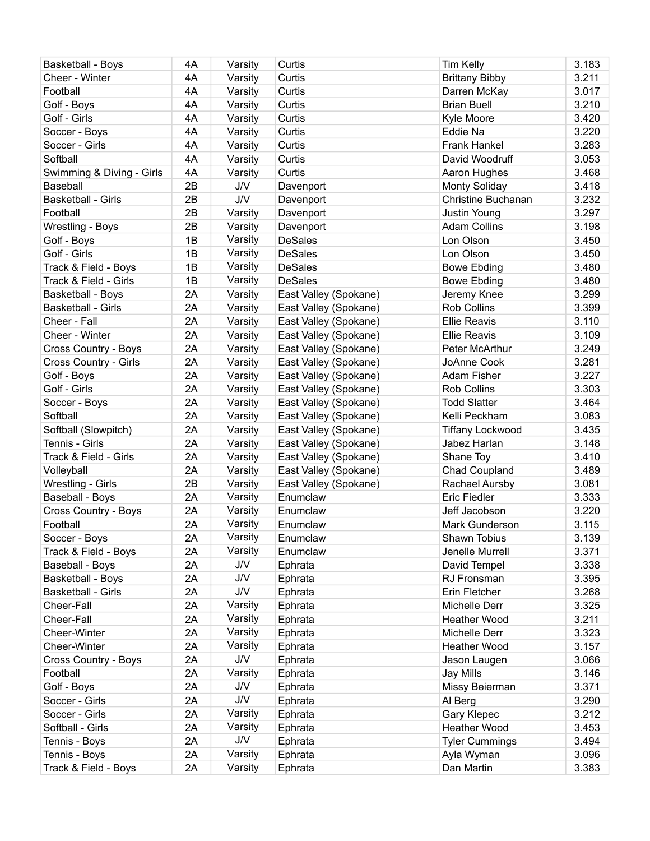| Basketball - Boys           | 4A | Varsity    | Curtis                | <b>Tim Kelly</b>          | 3.183 |
|-----------------------------|----|------------|-----------------------|---------------------------|-------|
| Cheer - Winter              | 4A | Varsity    | Curtis                | <b>Brittany Bibby</b>     | 3.211 |
| Football                    | 4A | Varsity    | Curtis                | Darren McKay              | 3.017 |
| Golf - Boys                 | 4A | Varsity    | Curtis                | <b>Brian Buell</b>        | 3.210 |
| Golf - Girls                | 4A | Varsity    | Curtis                | Kyle Moore                | 3.420 |
| Soccer - Boys               | 4A | Varsity    | Curtis                | Eddie Na                  | 3.220 |
| Soccer - Girls              | 4A | Varsity    | Curtis                | <b>Frank Hankel</b>       | 3.283 |
| Softball                    | 4A | Varsity    | Curtis                | David Woodruff            | 3.053 |
| Swimming & Diving - Girls   | 4A | Varsity    | Curtis                | Aaron Hughes              | 3.468 |
| Baseball                    | 2B | <b>J/V</b> | Davenport             | <b>Monty Soliday</b>      | 3.418 |
| Basketball - Girls          | 2B | J/V        | Davenport             | <b>Christine Buchanan</b> | 3.232 |
| Football                    | 2B | Varsity    | Davenport             | Justin Young              | 3.297 |
| Wrestling - Boys            | 2B | Varsity    | Davenport             | <b>Adam Collins</b>       | 3.198 |
| Golf - Boys                 | 1B | Varsity    | <b>DeSales</b>        | Lon Olson                 | 3.450 |
| Golf - Girls                | 1B | Varsity    | <b>DeSales</b>        | Lon Olson                 | 3.450 |
| Track & Field - Boys        | 1B | Varsity    | <b>DeSales</b>        | <b>Bowe Ebding</b>        | 3.480 |
| Track & Field - Girls       | 1B | Varsity    | <b>DeSales</b>        | <b>Bowe Ebding</b>        | 3.480 |
| Basketball - Boys           | 2A | Varsity    | East Valley (Spokane) | Jeremy Knee               | 3.299 |
| <b>Basketball - Girls</b>   | 2A | Varsity    | East Valley (Spokane) | <b>Rob Collins</b>        | 3.399 |
| Cheer - Fall                | 2A | Varsity    | East Valley (Spokane) | <b>Ellie Reavis</b>       | 3.110 |
| Cheer - Winter              | 2A |            | East Valley (Spokane) | <b>Ellie Reavis</b>       | 3.109 |
| <b>Cross Country - Boys</b> | 2A | Varsity    |                       | Peter McArthur            | 3.249 |
|                             |    | Varsity    | East Valley (Spokane) |                           |       |
| Cross Country - Girls       | 2A | Varsity    | East Valley (Spokane) | JoAnne Cook               | 3.281 |
| Golf - Boys                 | 2A | Varsity    | East Valley (Spokane) | Adam Fisher               | 3.227 |
| Golf - Girls                | 2A | Varsity    | East Valley (Spokane) | <b>Rob Collins</b>        | 3.303 |
| Soccer - Boys               | 2A | Varsity    | East Valley (Spokane) | <b>Todd Slatter</b>       | 3.464 |
| Softball                    | 2A | Varsity    | East Valley (Spokane) | Kelli Peckham             | 3.083 |
| Softball (Slowpitch)        | 2A | Varsity    | East Valley (Spokane) | <b>Tiffany Lockwood</b>   | 3.435 |
| Tennis - Girls              | 2A | Varsity    | East Valley (Spokane) | Jabez Harlan              | 3.148 |
| Track & Field - Girls       | 2A | Varsity    | East Valley (Spokane) | Shane Toy                 | 3.410 |
| Volleyball                  | 2A | Varsity    | East Valley (Spokane) | Chad Coupland             | 3.489 |
| Wrestling - Girls           | 2B | Varsity    | East Valley (Spokane) | Rachael Aursby            | 3.081 |
| Baseball - Boys             | 2A | Varsity    | Enumclaw              | <b>Eric Fiedler</b>       | 3.333 |
| Cross Country - Boys        | 2A | Varsity    | Enumclaw              | Jeff Jacobson             | 3.220 |
| Football                    | 2A | Varsity    | Enumclaw              | Mark Gunderson            | 3.115 |
| Soccer - Boys               | 2A | Varsity    | Enumclaw              | Shawn Tobius              | 3.139 |
| Track & Field - Boys        | 2A | Varsity    | Enumclaw              | Jenelle Murrell           | 3.371 |
| Baseball - Boys             | 2A | <b>J/V</b> | Ephrata               | David Tempel              | 3.338 |
| Basketball - Boys           | 2A | J/V        | Ephrata               | RJ Fronsman               | 3.395 |
| <b>Basketball - Girls</b>   | 2A | <b>J/V</b> | Ephrata               | Erin Fletcher             | 3.268 |
| Cheer-Fall                  | 2A | Varsity    | Ephrata               | Michelle Derr             | 3.325 |
| Cheer-Fall                  | 2A | Varsity    | Ephrata               | Heather Wood              | 3.211 |
| Cheer-Winter                | 2A | Varsity    | Ephrata               | Michelle Derr             | 3.323 |
| Cheer-Winter                | 2A | Varsity    | Ephrata               | <b>Heather Wood</b>       | 3.157 |
| Cross Country - Boys        | 2A | J/V        | Ephrata               | Jason Laugen              | 3.066 |
| Football                    | 2A | Varsity    | Ephrata               | Jay Mills                 | 3.146 |
| Golf - Boys                 | 2A | J/V        | Ephrata               | Missy Beierman            | 3.371 |
| Soccer - Girls              | 2A | <b>J/V</b> | Ephrata               | Al Berg                   | 3.290 |
| Soccer - Girls              | 2A | Varsity    | Ephrata               | Gary Klepec               | 3.212 |
| Softball - Girls            | 2A | Varsity    | Ephrata               | Heather Wood              | 3.453 |
| Tennis - Boys               | 2A | J/V        | Ephrata               | <b>Tyler Cummings</b>     | 3.494 |
| Tennis - Boys               | 2A | Varsity    | Ephrata               | Ayla Wyman                | 3.096 |
| Track & Field - Boys        | 2A | Varsity    | Ephrata               | Dan Martin                | 3.383 |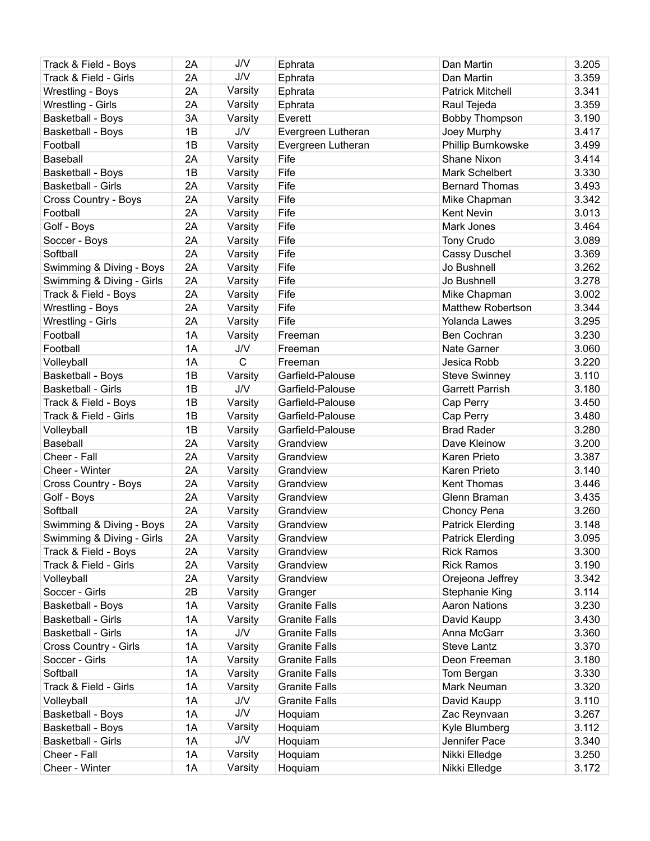| Track & Field - Boys      | 2A | J/V          | Ephrata              | Dan Martin                 | 3.205 |
|---------------------------|----|--------------|----------------------|----------------------------|-------|
| Track & Field - Girls     | 2A | J/V          | Ephrata              | Dan Martin                 | 3.359 |
| Wrestling - Boys          | 2A | Varsity      | Ephrata              | <b>Patrick Mitchell</b>    | 3.341 |
| Wrestling - Girls         | 2A | Varsity      | Ephrata              | Raul Tejeda                | 3.359 |
| Basketball - Boys         | 3A | Varsity      | Everett              | <b>Bobby Thompson</b>      | 3.190 |
| Basketball - Boys         | 1B | <b>J/V</b>   | Evergreen Lutheran   | Joey Murphy                | 3.417 |
| Football                  | 1B | Varsity      | Evergreen Lutheran   | Phillip Burnkowske         | 3.499 |
| Baseball                  | 2A | Varsity      | Fife                 | <b>Shane Nixon</b>         | 3.414 |
| Basketball - Boys         | 1B | Varsity      | Fife                 | Mark Schelbert             | 3.330 |
| Basketball - Girls        | 2A | Varsity      | Fife                 | <b>Bernard Thomas</b>      | 3.493 |
| Cross Country - Boys      | 2A | Varsity      | Fife                 | Mike Chapman               | 3.342 |
| Football                  | 2A | Varsity      | Fife                 | <b>Kent Nevin</b>          | 3.013 |
| Golf - Boys               | 2A | Varsity      | Fife                 | Mark Jones                 | 3.464 |
| Soccer - Boys             | 2A | Varsity      | Fife                 | Tony Crudo                 | 3.089 |
| Softball                  | 2A | Varsity      | Fife                 | <b>Cassy Duschel</b>       | 3.369 |
| Swimming & Diving - Boys  | 2A | Varsity      | Fife                 | Jo Bushnell                | 3.262 |
| Swimming & Diving - Girls | 2A | Varsity      | Fife                 | Jo Bushnell                | 3.278 |
| Track & Field - Boys      | 2A | Varsity      | Fife                 | Mike Chapman               | 3.002 |
| Wrestling - Boys          | 2A | Varsity      | Fife                 | <b>Matthew Robertson</b>   | 3.344 |
| Wrestling - Girls         | 2A | Varsity      | Fife                 | Yolanda Lawes              | 3.295 |
| Football                  | 1A | Varsity      | Freeman              | Ben Cochran                | 3.230 |
| Football                  | 1A | <b>J/V</b>   |                      |                            | 3.060 |
|                           | 1A | $\mathsf{C}$ | Freeman<br>Freeman   | Nate Garner<br>Jesica Robb | 3.220 |
| Volleyball                | 1B |              |                      |                            | 3.110 |
| <b>Basketball - Boys</b>  | 1B | Varsity      | Garfield-Palouse     | <b>Steve Swinney</b>       | 3.180 |
| Basketball - Girls        |    | J/V          | Garfield-Palouse     | <b>Garrett Parrish</b>     |       |
| Track & Field - Boys      | 1B | Varsity      | Garfield-Palouse     | Cap Perry                  | 3.450 |
| Track & Field - Girls     | 1B | Varsity      | Garfield-Palouse     | Cap Perry                  | 3.480 |
| Volleyball                | 1B | Varsity      | Garfield-Palouse     | <b>Brad Rader</b>          | 3.280 |
| Baseball                  | 2A | Varsity      | Grandview            | Dave Kleinow               | 3.200 |
| Cheer - Fall              | 2A | Varsity      | Grandview            | Karen Prieto               | 3.387 |
| Cheer - Winter            | 2A | Varsity      | Grandview            | Karen Prieto               | 3.140 |
| Cross Country - Boys      | 2A | Varsity      | Grandview            | Kent Thomas                | 3.446 |
| Golf - Boys               | 2A | Varsity      | Grandview            | Glenn Braman               | 3.435 |
| Softball                  | 2A | Varsity      | Grandview            | Choncy Pena                | 3.260 |
| Swimming & Diving - Boys  | 2A | Varsity      | Grandview            | Patrick Elerding           | 3.148 |
| Swimming & Diving - Girls | 2A | Varsity      | Grandview            | <b>Patrick Elerding</b>    | 3.095 |
| Track & Field - Boys      | 2A | Varsity      | Grandview            | <b>Rick Ramos</b>          | 3.300 |
| Track & Field - Girls     | 2A | Varsity      | Grandview            | <b>Rick Ramos</b>          | 3.190 |
| Volleyball                | 2A | Varsity      | Grandview            | Orejeona Jeffrey           | 3.342 |
| Soccer - Girls            | 2B | Varsity      | Granger              | Stephanie King             | 3.114 |
| Basketball - Boys         | 1A | Varsity      | <b>Granite Falls</b> | <b>Aaron Nations</b>       | 3.230 |
| Basketball - Girls        | 1A | Varsity      | <b>Granite Falls</b> | David Kaupp                | 3.430 |
| <b>Basketball - Girls</b> | 1A | J/V          | <b>Granite Falls</b> | Anna McGarr                | 3.360 |
| Cross Country - Girls     | 1A | Varsity      | <b>Granite Falls</b> | Steve Lantz                | 3.370 |
| Soccer - Girls            | 1A | Varsity      | <b>Granite Falls</b> | Deon Freeman               | 3.180 |
| Softball                  | 1A | Varsity      | <b>Granite Falls</b> | Tom Bergan                 | 3.330 |
| Track & Field - Girls     | 1A | Varsity      | <b>Granite Falls</b> | Mark Neuman                | 3.320 |
| Volleyball                | 1A | J/V          | <b>Granite Falls</b> | David Kaupp                | 3.110 |
| Basketball - Boys         | 1A | J/V          | Hoquiam              | Zac Reynvaan               | 3.267 |
| <b>Basketball - Boys</b>  | 1A | Varsity      | Hoquiam              | Kyle Blumberg              | 3.112 |
| <b>Basketball - Girls</b> | 1A | J/V          | Hoquiam              | Jennifer Pace              | 3.340 |
| Cheer - Fall              | 1A | Varsity      | Hoquiam              | Nikki Elledge              | 3.250 |
| Cheer - Winter            | 1A | Varsity      | Hoquiam              | Nikki Elledge              | 3.172 |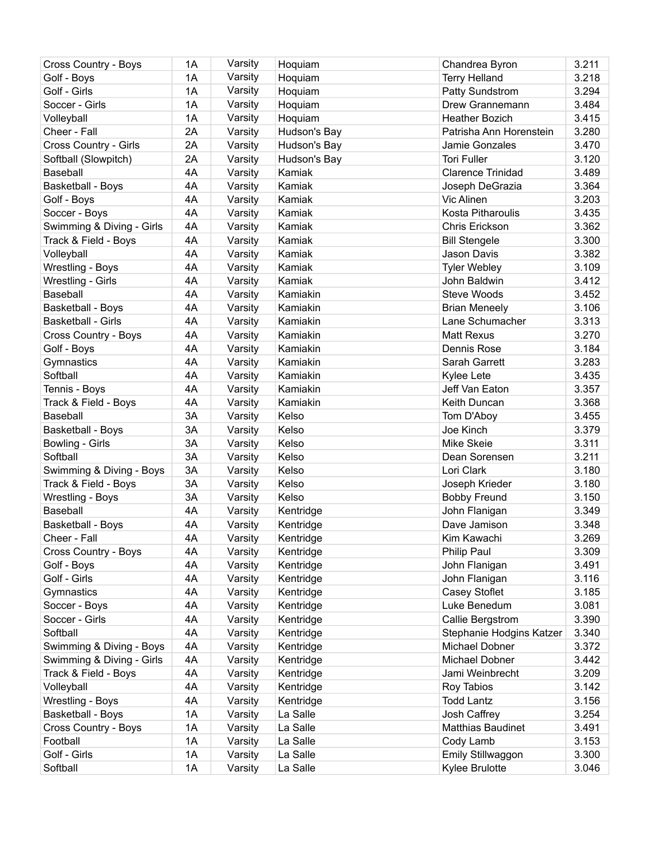| Cross Country - Boys                | 1A       | Varsity | Hoquiam                | Chandrea Byron           | 3.211          |
|-------------------------------------|----------|---------|------------------------|--------------------------|----------------|
| Golf - Boys                         | 1A       | Varsity | Hoquiam                | <b>Terry Helland</b>     | 3.218          |
| Golf - Girls                        | 1A       | Varsity | Hoquiam                | Patty Sundstrom          | 3.294          |
| Soccer - Girls                      | 1A       | Varsity | Hoquiam                | Drew Grannemann          | 3.484          |
| Volleyball                          | 1A       | Varsity | Hoquiam                | <b>Heather Bozich</b>    | 3.415          |
| Cheer - Fall                        | 2A       | Varsity | Hudson's Bay           | Patrisha Ann Horenstein  | 3.280          |
| Cross Country - Girls               | 2A       | Varsity | Hudson's Bay           | Jamie Gonzales           | 3.470          |
| Softball (Slowpitch)                | 2A       | Varsity | Hudson's Bay           | <b>Tori Fuller</b>       | 3.120          |
| Baseball                            | 4A       | Varsity | Kamiak                 | <b>Clarence Trinidad</b> | 3.489          |
| <b>Basketball - Boys</b>            | 4A       | Varsity | Kamiak                 | Joseph DeGrazia          | 3.364          |
| Golf - Boys                         | 4A       | Varsity | Kamiak                 | Vic Alinen               | 3.203          |
| Soccer - Boys                       | 4A       | Varsity | Kamiak                 | <b>Kosta Pitharoulis</b> | 3.435          |
| Swimming & Diving - Girls           | 4A       | Varsity | Kamiak                 | Chris Erickson           | 3.362          |
| Track & Field - Boys                | 4A       | Varsity | Kamiak                 | <b>Bill Stengele</b>     | 3.300          |
| Volleyball                          | 4A       | Varsity | Kamiak                 | Jason Davis              | 3.382          |
| Wrestling - Boys                    | 4A       | Varsity | Kamiak                 | <b>Tyler Webley</b>      | 3.109          |
| Wrestling - Girls                   | 4A       | Varsity | Kamiak                 | John Baldwin             | 3.412          |
| <b>Baseball</b>                     | 4A       | Varsity | Kamiakin               | <b>Steve Woods</b>       | 3.452          |
| Basketball - Boys                   | 4A       | Varsity | Kamiakin               | <b>Brian Meneely</b>     | 3.106          |
| <b>Basketball - Girls</b>           | 4A       | Varsity | Kamiakin               | Lane Schumacher          | 3.313          |
| Cross Country - Boys                | 4A       | Varsity | Kamiakin               | <b>Matt Rexus</b>        | 3.270          |
| Golf - Boys                         | 4A       | Varsity | Kamiakin               | Dennis Rose              | 3.184          |
| Gymnastics                          | 4A       | Varsity | Kamiakin               | Sarah Garrett            | 3.283          |
| Softball                            | 4A       | Varsity | Kamiakin               | Kylee Lete               | 3.435          |
| Tennis - Boys                       | 4A       | Varsity | Kamiakin               | Jeff Van Eaton           | 3.357          |
| Track & Field - Boys                | 4A       | Varsity | Kamiakin               | Keith Duncan             | 3.368          |
| Baseball                            | 3A       | Varsity | Kelso                  | Tom D'Aboy               | 3.455          |
| Basketball - Boys                   | 3A       | Varsity | Kelso                  | Joe Kinch                | 3.379          |
| Bowling - Girls                     | 3A       | Varsity | Kelso                  | Mike Skeie               | 3.311          |
| Softball                            | 3A       | Varsity | Kelso                  | Dean Sorensen            | 3.211          |
| Swimming & Diving - Boys            | 3A       | Varsity | Kelso                  | Lori Clark               | 3.180          |
| Track & Field - Boys                | 3A       |         | Kelso                  | Joseph Krieder           | 3.180          |
|                                     | 3A       | Varsity | Kelso                  |                          | 3.150          |
| Wrestling - Boys<br><b>Baseball</b> | 4A       | Varsity |                        | <b>Bobby Freund</b>      | 3.349          |
|                                     |          | Varsity | Kentridge              | John Flanigan            |                |
| Basketball - Boys                   | 4A<br>4A | Varsity | Kentridge<br>Kentridge | Dave Jamison             | 3.348          |
| Cheer - Fall                        |          | Varsity |                        | Kim Kawachi              | 3.269<br>3.309 |
| Cross Country - Boys                | 4A       | Varsity | Kentridge              | Philip Paul              |                |
| Golf - Boys                         | 4A       | Varsity | Kentridge              | John Flanigan            | 3.491          |
| Golf - Girls                        | 4A       | Varsity | Kentridge              | John Flanigan            | 3.116          |
| Gymnastics                          | 4A       | Varsity | Kentridge              | Casey Stoflet            | 3.185          |
| Soccer - Boys                       | 4A       | Varsity | Kentridge              | Luke Benedum             | 3.081          |
| Soccer - Girls                      | 4A       | Varsity | Kentridge              | Callie Bergstrom         | 3.390          |
| Softball                            | 4A       | Varsity | Kentridge              | Stephanie Hodgins Katzer | 3.340          |
| Swimming & Diving - Boys            | 4A       | Varsity | Kentridge              | Michael Dobner           | 3.372          |
| Swimming & Diving - Girls           | 4A       | Varsity | Kentridge              | Michael Dobner           | 3.442          |
| Track & Field - Boys                | 4A       | Varsity | Kentridge              | Jami Weinbrecht          | 3.209          |
| Volleyball                          | 4A       | Varsity | Kentridge              | Roy Tabios               | 3.142          |
| Wrestling - Boys                    | 4A       | Varsity | Kentridge              | <b>Todd Lantz</b>        | 3.156          |
| Basketball - Boys                   | 1A       | Varsity | La Salle               | Josh Caffrey             | 3.254          |
| Cross Country - Boys                | 1A       | Varsity | La Salle               | Matthias Baudinet        | 3.491          |
| Football                            | 1A       | Varsity | La Salle               | Cody Lamb                | 3.153          |
| Golf - Girls                        | 1A       | Varsity | La Salle               | Emily Stillwaggon        | 3.300          |
| Softball                            | 1A       | Varsity | La Salle               | Kylee Brulotte           | 3.046          |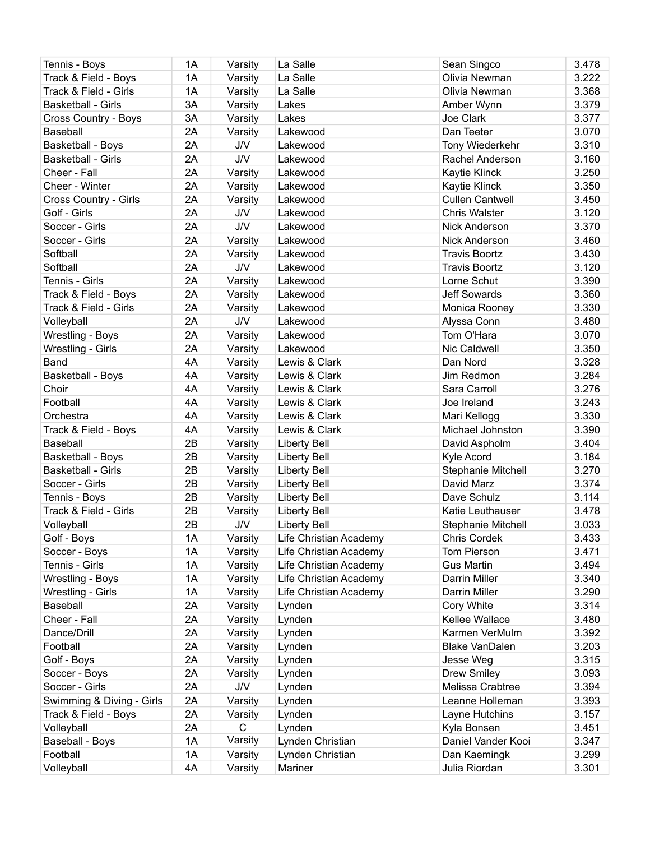| Tennis - Boys                     | 1A | Varsity    | La Salle               | Sean Singco            | 3.478          |
|-----------------------------------|----|------------|------------------------|------------------------|----------------|
| Track & Field - Boys              | 1A | Varsity    | La Salle               | Olivia Newman          | 3.222          |
| Track & Field - Girls             | 1A | Varsity    | La Salle               | Olivia Newman          | 3.368          |
| Basketball - Girls                | 3A | Varsity    | Lakes                  | Amber Wynn             | 3.379          |
| Cross Country - Boys              | 3A | Varsity    | Lakes                  | Joe Clark              | 3.377          |
| <b>Baseball</b>                   | 2A | Varsity    | Lakewood               | Dan Teeter             | 3.070          |
| Basketball - Boys                 | 2A | <b>J/V</b> | Lakewood               | Tony Wiederkehr        | 3.310          |
| <b>Basketball - Girls</b>         | 2A | <b>J/V</b> | Lakewood               | Rachel Anderson        | 3.160          |
| Cheer - Fall                      | 2A | Varsity    | Lakewood               | Kaytie Klinck          | 3.250          |
| Cheer - Winter                    | 2A | Varsity    | Lakewood               | Kaytie Klinck          | 3.350          |
| Cross Country - Girls             | 2A | Varsity    | Lakewood               | <b>Cullen Cantwell</b> | 3.450          |
| Golf - Girls                      | 2A | J/V        | Lakewood               | <b>Chris Walster</b>   | 3.120          |
| Soccer - Girls                    | 2A | <b>J/V</b> | Lakewood               | <b>Nick Anderson</b>   | 3.370          |
| Soccer - Girls                    | 2A | Varsity    | Lakewood               | <b>Nick Anderson</b>   | 3.460          |
| Softball                          | 2A | Varsity    | Lakewood               | <b>Travis Boortz</b>   | 3.430          |
| Softball                          | 2A | J/V        | Lakewood               | <b>Travis Boortz</b>   | 3.120          |
| Tennis - Girls                    | 2A | Varsity    | Lakewood               | Lorne Schut            | 3.390          |
| Track & Field - Boys              | 2A | Varsity    | Lakewood               | <b>Jeff Sowards</b>    | 3.360          |
| Track & Field - Girls             | 2A | Varsity    | Lakewood               | Monica Rooney          | 3.330          |
| Volleyball                        | 2A | <b>J/V</b> | Lakewood               | Alyssa Conn            | 3.480          |
| Wrestling - Boys                  | 2A | Varsity    | Lakewood               | Tom O'Hara             | 3.070          |
| Wrestling - Girls                 | 2A |            | Lakewood               | Nic Caldwell           | 3.350          |
| Band                              | 4A | Varsity    |                        |                        | 3.328          |
|                                   | 4A | Varsity    | Lewis & Clark          | Dan Nord<br>Jim Redmon |                |
| <b>Basketball - Boys</b><br>Choir | 4A | Varsity    | Lewis & Clark          |                        | 3.284<br>3.276 |
|                                   |    | Varsity    | Lewis & Clark          | Sara Carroll           |                |
| Football                          | 4A | Varsity    | Lewis & Clark          | Joe Ireland            | 3.243          |
| Orchestra                         | 4A | Varsity    | Lewis & Clark          | Mari Kellogg           | 3.330          |
| Track & Field - Boys              | 4A | Varsity    | Lewis & Clark          | Michael Johnston       | 3.390          |
| Baseball                          | 2B | Varsity    | <b>Liberty Bell</b>    | David Aspholm          | 3.404          |
| Basketball - Boys                 | 2B | Varsity    | <b>Liberty Bell</b>    | Kyle Acord             | 3.184          |
| <b>Basketball - Girls</b>         | 2B | Varsity    | <b>Liberty Bell</b>    | Stephanie Mitchell     | 3.270          |
| Soccer - Girls                    | 2B | Varsity    | <b>Liberty Bell</b>    | David Marz             | 3.374          |
| Tennis - Boys                     | 2B | Varsity    | <b>Liberty Bell</b>    | Dave Schulz            | 3.114          |
| Track & Field - Girls             | 2B | Varsity    | <b>Liberty Bell</b>    | Katie Leuthauser       | 3.478          |
| Volleyball                        | 2B | J/V        | <b>Liberty Bell</b>    | Stephanie Mitchell     | 3.033          |
| Golf - Boys                       | 1A | Varsity    | Life Christian Academy | <b>Chris Cordek</b>    | 3.433          |
| Soccer - Boys                     | 1A | Varsity    | Life Christian Academy | Tom Pierson            | 3.471          |
| Tennis - Girls                    | 1A | Varsity    | Life Christian Academy | <b>Gus Martin</b>      | 3.494          |
| Wrestling - Boys                  | 1A | Varsity    | Life Christian Academy | Darrin Miller          | 3.340          |
| Wrestling - Girls                 | 1A | Varsity    | Life Christian Academy | Darrin Miller          | 3.290          |
| Baseball                          | 2A | Varsity    | Lynden                 | Cory White             | 3.314          |
| Cheer - Fall                      | 2A | Varsity    | Lynden                 | Kellee Wallace         | 3.480          |
| Dance/Drill                       | 2A | Varsity    | Lynden                 | Karmen VerMulm         | 3.392          |
| Football                          | 2A | Varsity    | Lynden                 | <b>Blake VanDalen</b>  | 3.203          |
| Golf - Boys                       | 2A | Varsity    | Lynden                 | Jesse Weg              | 3.315          |
| Soccer - Boys                     | 2A | Varsity    | Lynden                 | <b>Drew Smiley</b>     | 3.093          |
| Soccer - Girls                    | 2A | <b>J/V</b> | Lynden                 | Melissa Crabtree       | 3.394          |
| Swimming & Diving - Girls         | 2A | Varsity    | Lynden                 | Leanne Holleman        | 3.393          |
| Track & Field - Boys              | 2A | Varsity    | Lynden                 | Layne Hutchins         | 3.157          |
| Volleyball                        | 2A | C          | Lynden                 | Kyla Bonsen            | 3.451          |
| Baseball - Boys                   | 1A | Varsity    | Lynden Christian       | Daniel Vander Kooi     | 3.347          |
| Football                          | 1A | Varsity    | Lynden Christian       | Dan Kaemingk           | 3.299          |
| Volleyball                        | 4A | Varsity    | Mariner                | Julia Riordan          | 3.301          |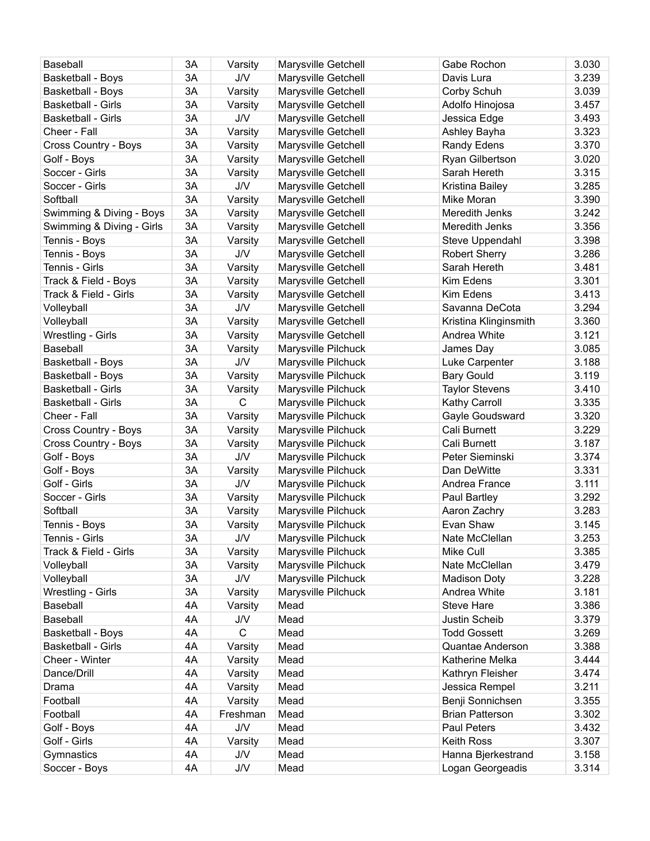| Baseball                  | 3A | Varsity      | Marysville Getchell | Gabe Rochon            | 3.030 |
|---------------------------|----|--------------|---------------------|------------------------|-------|
| <b>Basketball - Boys</b>  | 3A | J/V          | Marysville Getchell | Davis Lura             | 3.239 |
| <b>Basketball - Boys</b>  | 3A | Varsity      | Marysville Getchell | Corby Schuh            | 3.039 |
| <b>Basketball - Girls</b> | 3A | Varsity      | Marysville Getchell | Adolfo Hinojosa        | 3.457 |
| <b>Basketball - Girls</b> | 3A | <b>J/V</b>   | Marysville Getchell | Jessica Edge           | 3.493 |
| Cheer - Fall              | 3A | Varsity      | Marysville Getchell | Ashley Bayha           | 3.323 |
| Cross Country - Boys      | 3A | Varsity      | Marysville Getchell | <b>Randy Edens</b>     | 3.370 |
| Golf - Boys               | 3A | Varsity      | Marysville Getchell | Ryan Gilbertson        | 3.020 |
| Soccer - Girls            | 3A | Varsity      | Marysville Getchell | Sarah Hereth           | 3.315 |
| Soccer - Girls            | 3A | J/V          | Marysville Getchell | Kristina Bailey        | 3.285 |
| Softball                  | 3A | Varsity      | Marysville Getchell | Mike Moran             | 3.390 |
| Swimming & Diving - Boys  | 3A | Varsity      | Marysville Getchell | Meredith Jenks         | 3.242 |
| Swimming & Diving - Girls | 3A | Varsity      | Marysville Getchell | Meredith Jenks         | 3.356 |
| Tennis - Boys             | 3A | Varsity      | Marysville Getchell | Steve Uppendahl        | 3.398 |
| Tennis - Boys             | 3A | J/V          | Marysville Getchell | <b>Robert Sherry</b>   | 3.286 |
| Tennis - Girls            | 3A | Varsity      | Marysville Getchell | Sarah Hereth           | 3.481 |
| Track & Field - Boys      | 3A | Varsity      | Marysville Getchell | Kim Edens              | 3.301 |
| Track & Field - Girls     | 3A | Varsity      | Marysville Getchell | Kim Edens              | 3.413 |
|                           | 3A | J/V          | Marysville Getchell | Savanna DeCota         | 3.294 |
| Volleyball                | 3A | Varsity      | Marysville Getchell | Kristina Klinginsmith  | 3.360 |
| Volleyball                | 3A | Varsity      |                     | Andrea White           | 3.121 |
| Wrestling - Girls         | 3A |              | Marysville Getchell |                        |       |
| Baseball                  | 3A | Varsity      | Marysville Pilchuck | James Day              | 3.085 |
| <b>Basketball - Boys</b>  |    | J/V          | Marysville Pilchuck | Luke Carpenter         | 3.188 |
| <b>Basketball - Boys</b>  | 3A | Varsity      | Marysville Pilchuck | <b>Bary Gould</b>      | 3.119 |
| <b>Basketball - Girls</b> | 3A | Varsity      | Marysville Pilchuck | <b>Taylor Stevens</b>  | 3.410 |
| <b>Basketball - Girls</b> | 3A | C            | Marysville Pilchuck | Kathy Carroll          | 3.335 |
| Cheer - Fall              | 3A | Varsity      | Marysville Pilchuck | Gayle Goudsward        | 3.320 |
| Cross Country - Boys      | 3A | Varsity      | Marysville Pilchuck | Cali Burnett           | 3.229 |
| Cross Country - Boys      | 3A | Varsity      | Marysville Pilchuck | Cali Burnett           | 3.187 |
| Golf - Boys               | 3A | J/V          | Marysville Pilchuck | Peter Sieminski        | 3.374 |
| Golf - Boys               | 3A | Varsity      | Marysville Pilchuck | Dan DeWitte            | 3.331 |
| Golf - Girls              | 3A | J/V          | Marysville Pilchuck | Andrea France          | 3.111 |
| Soccer - Girls            | 3A | Varsity      | Marysville Pilchuck | Paul Bartley           | 3.292 |
| Softball                  | 3A | Varsity      | Marysville Pilchuck | Aaron Zachry           | 3.283 |
| Tennis - Boys             | 3A | Varsity      | Marysville Pilchuck | Evan Shaw              | 3.145 |
| Tennis - Girls            | 3A | <b>J/V</b>   | Marysville Pilchuck | Nate McClellan         | 3.253 |
| Track & Field - Girls     | 3A | Varsity      | Marysville Pilchuck | Mike Cull              | 3.385 |
| Volleyball                | 3A | Varsity      | Marysville Pilchuck | Nate McClellan         | 3.479 |
| Volleyball                | 3A | J/V          | Marysville Pilchuck | <b>Madison Doty</b>    | 3.228 |
| Wrestling - Girls         | 3A | Varsity      | Marysville Pilchuck | Andrea White           | 3.181 |
| Baseball                  | 4A | Varsity      | Mead                | <b>Steve Hare</b>      | 3.386 |
| Baseball                  | 4A | J/V          | Mead                | Justin Scheib          | 3.379 |
| Basketball - Boys         | 4A | $\mathsf{C}$ | Mead                | <b>Todd Gossett</b>    | 3.269 |
| <b>Basketball - Girls</b> | 4A | Varsity      | Mead                | Quantae Anderson       | 3.388 |
| Cheer - Winter            | 4A | Varsity      | Mead                | Katherine Melka        | 3.444 |
| Dance/Drill               | 4A | Varsity      | Mead                | Kathryn Fleisher       | 3.474 |
| Drama                     | 4A | Varsity      | Mead                | Jessica Rempel         | 3.211 |
| Football                  | 4A | Varsity      | Mead                | Benji Sonnichsen       | 3.355 |
| Football                  | 4A | Freshman     | Mead                | <b>Brian Patterson</b> | 3.302 |
| Golf - Boys               | 4A | J/V          | Mead                | Paul Peters            | 3.432 |
| Golf - Girls              | 4A | Varsity      | Mead                | Keith Ross             | 3.307 |
| Gymnastics                | 4A | J/V          | Mead                | Hanna Bjerkestrand     | 3.158 |
| Soccer - Boys             | 4A | <b>J/V</b>   | Mead                | Logan Georgeadis       | 3.314 |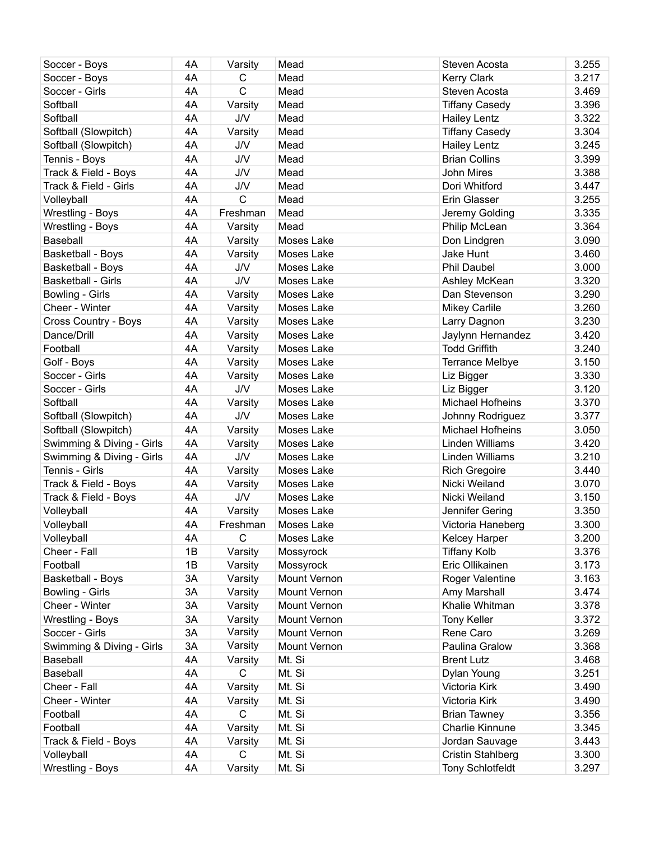| Soccer - Boys             | 4A | Varsity      | Mead         | Steven Acosta            | 3.255 |
|---------------------------|----|--------------|--------------|--------------------------|-------|
| Soccer - Boys             | 4A | C            | Mead         | <b>Kerry Clark</b>       | 3.217 |
| Soccer - Girls            | 4A | C            | Mead         | Steven Acosta            | 3.469 |
| Softball                  | 4A | Varsity      | Mead         | <b>Tiffany Casedy</b>    | 3.396 |
| Softball                  | 4A | <b>J/V</b>   | Mead         | <b>Hailey Lentz</b>      | 3.322 |
| Softball (Slowpitch)      | 4A | Varsity      | Mead         | <b>Tiffany Casedy</b>    | 3.304 |
| Softball (Slowpitch)      | 4A | J/V          | Mead         | <b>Hailey Lentz</b>      | 3.245 |
| Tennis - Boys             | 4A | <b>J/V</b>   | Mead         | <b>Brian Collins</b>     | 3.399 |
| Track & Field - Boys      | 4A | <b>J/V</b>   | Mead         | <b>John Mires</b>        | 3.388 |
| Track & Field - Girls     | 4A | <b>J/V</b>   | Mead         | Dori Whitford            | 3.447 |
| Volleyball                | 4A | $\mathsf{C}$ | Mead         | Erin Glasser             | 3.255 |
| Wrestling - Boys          | 4A | Freshman     | Mead         | Jeremy Golding           | 3.335 |
| Wrestling - Boys          | 4A | Varsity      | Mead         | Philip McLean            | 3.364 |
| Baseball                  | 4A | Varsity      | Moses Lake   | Don Lindgren             | 3.090 |
| Basketball - Boys         | 4A | Varsity      | Moses Lake   | Jake Hunt                | 3.460 |
| <b>Basketball - Boys</b>  | 4A | <b>J/V</b>   | Moses Lake   | <b>Phil Daubel</b>       | 3.000 |
| <b>Basketball - Girls</b> | 4A | J/V          | Moses Lake   | Ashley McKean            | 3.320 |
| Bowling - Girls           | 4A | Varsity      | Moses Lake   | Dan Stevenson            | 3.290 |
| Cheer - Winter            | 4A | Varsity      | Moses Lake   | <b>Mikey Carlile</b>     | 3.260 |
| Cross Country - Boys      | 4A | Varsity      | Moses Lake   | Larry Dagnon             | 3.230 |
| Dance/Drill               | 4A | Varsity      | Moses Lake   | Jaylynn Hernandez        | 3.420 |
| Football                  | 4A | Varsity      | Moses Lake   | <b>Todd Griffith</b>     | 3.240 |
| Golf - Boys               | 4A | Varsity      | Moses Lake   | <b>Terrance Melbye</b>   | 3.150 |
| Soccer - Girls            | 4A | Varsity      | Moses Lake   | Liz Bigger               | 3.330 |
| Soccer - Girls            | 4A | J/V          | Moses Lake   | Liz Bigger               | 3.120 |
| Softball                  | 4A | Varsity      | Moses Lake   | Michael Hofheins         | 3.370 |
| Softball (Slowpitch)      | 4A | <b>J/V</b>   | Moses Lake   | Johnny Rodriguez         | 3.377 |
| Softball (Slowpitch)      | 4A | Varsity      | Moses Lake   | Michael Hofheins         | 3.050 |
| Swimming & Diving - Girls | 4A | Varsity      | Moses Lake   | Linden Williams          | 3.420 |
| Swimming & Diving - Girls | 4A | <b>J/V</b>   | Moses Lake   | Linden Williams          | 3.210 |
| Tennis - Girls            | 4A | Varsity      | Moses Lake   | <b>Rich Gregoire</b>     | 3.440 |
| Track & Field - Boys      | 4A | Varsity      | Moses Lake   | Nicki Weiland            | 3.070 |
| Track & Field - Boys      | 4A | <b>J/V</b>   | Moses Lake   | Nicki Weiland            | 3.150 |
| Volleyball                | 4A | Varsity      | Moses Lake   | Jennifer Gering          | 3.350 |
| Volleyball                | 4A | Freshman     | Moses Lake   | Victoria Haneberg        | 3.300 |
| Volleyball                | 4A | $\mathbf C$  | Moses Lake   | Kelcey Harper            | 3.200 |
| Cheer - Fall              | 1B | Varsity      | Mossyrock    | <b>Tiffany Kolb</b>      | 3.376 |
| Football                  | 1B | Varsity      | Mossyrock    | Eric Ollikainen          | 3.173 |
| Basketball - Boys         | 3A | Varsity      | Mount Vernon | Roger Valentine          | 3.163 |
| Bowling - Girls           | 3A | Varsity      | Mount Vernon | Amy Marshall             | 3.474 |
| Cheer - Winter            | 3A | Varsity      | Mount Vernon | Khalie Whitman           | 3.378 |
| Wrestling - Boys          | 3A | Varsity      | Mount Vernon | <b>Tony Keller</b>       | 3.372 |
| Soccer - Girls            | 3A | Varsity      | Mount Vernon | Rene Caro                | 3.269 |
| Swimming & Diving - Girls | 3A | Varsity      | Mount Vernon | Paulina Gralow           | 3.368 |
| Baseball                  | 4A | Varsity      | Mt. Si       | <b>Brent Lutz</b>        | 3.468 |
| Baseball                  | 4A | $\mathsf{C}$ | Mt. Si       | Dylan Young              | 3.251 |
| Cheer - Fall              | 4A | Varsity      | Mt. Si       | Victoria Kirk            | 3.490 |
| Cheer - Winter            | 4A | Varsity      | Mt. Si       | Victoria Kirk            | 3.490 |
| Football                  | 4A | $\mathsf{C}$ | Mt. Si       | <b>Brian Tawney</b>      | 3.356 |
| Football                  | 4A | Varsity      | Mt. Si       | Charlie Kinnune          | 3.345 |
| Track & Field - Boys      | 4A | Varsity      | Mt. Si       | Jordan Sauvage           | 3.443 |
| Volleyball                | 4A | $\mathsf{C}$ | Mt. Si       | <b>Cristin Stahlberg</b> | 3.300 |
| Wrestling - Boys          | 4A | Varsity      | Mt. Si       | <b>Tony Schlotfeldt</b>  | 3.297 |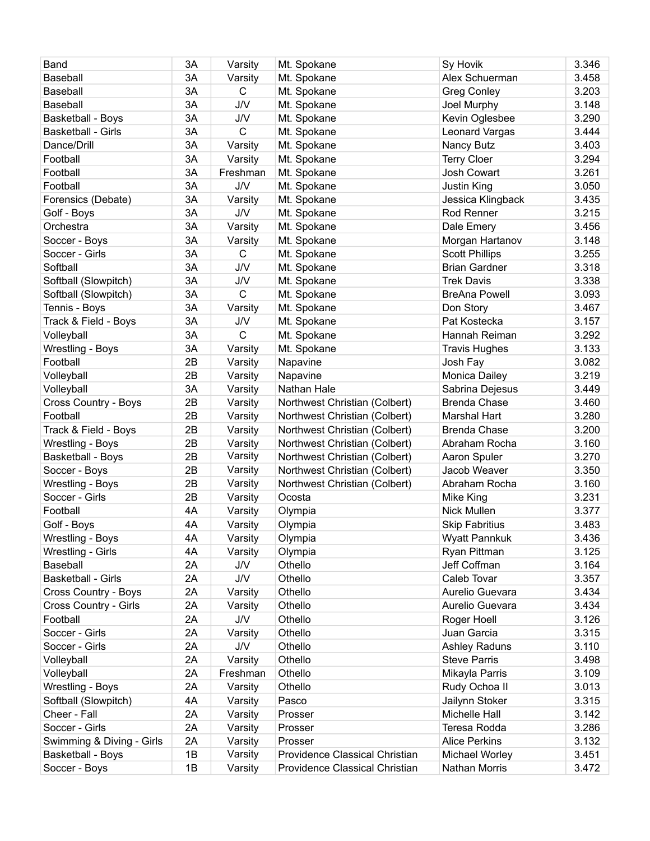| Band                      | 3A | Varsity            | Mt. Spokane                    | Sy Hovik              | 3.346 |
|---------------------------|----|--------------------|--------------------------------|-----------------------|-------|
| Baseball                  | 3A | Varsity            | Mt. Spokane                    | Alex Schuerman        | 3.458 |
| Baseball                  | 3A | $\mathsf{C}$       | Mt. Spokane                    | <b>Greg Conley</b>    | 3.203 |
| Baseball                  | 3A | <b>J/V</b>         | Mt. Spokane                    | Joel Murphy           | 3.148 |
| Basketball - Boys         | 3A | <b>J/V</b>         | Mt. Spokane                    | Kevin Oglesbee        | 3.290 |
| Basketball - Girls        | 3A | $\mathsf{C}$       | Mt. Spokane                    | Leonard Vargas        | 3.444 |
| Dance/Drill               | 3A | Varsity            | Mt. Spokane                    | Nancy Butz            | 3.403 |
| Football                  | 3A | Varsity            | Mt. Spokane                    | <b>Terry Cloer</b>    | 3.294 |
| Football                  | 3A | Freshman           | Mt. Spokane                    | Josh Cowart           | 3.261 |
| Football                  | 3A | <b>J/V</b>         | Mt. Spokane                    | Justin King           | 3.050 |
| Forensics (Debate)        | 3A | Varsity            | Mt. Spokane                    | Jessica Klingback     | 3.435 |
| Golf - Boys               | 3A | <b>J/V</b>         | Mt. Spokane                    | Rod Renner            | 3.215 |
| Orchestra                 | 3A | Varsity            | Mt. Spokane                    | Dale Emery            | 3.456 |
| Soccer - Boys             | 3A | Varsity            | Mt. Spokane                    | Morgan Hartanov       | 3.148 |
| Soccer - Girls            | 3A | C                  | Mt. Spokane                    | <b>Scott Phillips</b> | 3.255 |
| Softball                  | 3A | <b>J/V</b>         | Mt. Spokane                    | <b>Brian Gardner</b>  | 3.318 |
| Softball (Slowpitch)      | 3A | J/V                | Mt. Spokane                    | <b>Trek Davis</b>     | 3.338 |
| Softball (Slowpitch)      | 3A | $\mathbf C$        | Mt. Spokane                    | <b>BreAna Powell</b>  | 3.093 |
| Tennis - Boys             | 3A | Varsity            | Mt. Spokane                    | Don Story             | 3.467 |
| Track & Field - Boys      | 3A | <b>J/V</b>         | Mt. Spokane                    | Pat Kostecka          | 3.157 |
| Volleyball                | 3A | $\mathsf{C}$       | Mt. Spokane                    | Hannah Reiman         | 3.292 |
| Wrestling - Boys          | 3A | Varsity            | Mt. Spokane                    | <b>Travis Hughes</b>  | 3.133 |
| Football                  | 2B | Varsity            | Napavine                       | Josh Fay              | 3.082 |
| Volleyball                | 2B | Varsity            | Napavine                       | Monica Dailey         | 3.219 |
| Volleyball                | 3A | Varsity            | Nathan Hale                    | Sabrina Dejesus       | 3.449 |
| Cross Country - Boys      | 2B | Varsity            | Northwest Christian (Colbert)  | <b>Brenda Chase</b>   | 3.460 |
| Football                  | 2B | Varsity            | Northwest Christian (Colbert)  | <b>Marshal Hart</b>   | 3.280 |
| Track & Field - Boys      | 2B | Varsity            | Northwest Christian (Colbert)  | <b>Brenda Chase</b>   | 3.200 |
| Wrestling - Boys          | 2B | Varsity            | Northwest Christian (Colbert)  | Abraham Rocha         | 3.160 |
| Basketball - Boys         | 2B | Varsity            | Northwest Christian (Colbert)  | Aaron Spuler          | 3.270 |
| Soccer - Boys             | 2B | Varsity            | Northwest Christian (Colbert)  | Jacob Weaver          | 3.350 |
| Wrestling - Boys          | 2B | Varsity            | Northwest Christian (Colbert)  | Abraham Rocha         | 3.160 |
| Soccer - Girls            | 2B | Varsity            | Ocosta                         | Mike King             | 3.231 |
| Football                  | 4A | Varsity            | Olympia                        | Nick Mullen           | 3.377 |
| Golf - Boys               | 4A | Varsity            | Olympia                        | <b>Skip Fabritius</b> | 3.483 |
| Wrestling - Boys          | 4A | Varsity            | Olympia                        | Wyatt Pannkuk         | 3.436 |
| Wrestling - Girls         | 4A | Varsity            | Olympia                        | Ryan Pittman          | 3.125 |
| Baseball                  | 2A | <b>J/V</b>         | Othello                        | Jeff Coffman          | 3.164 |
| <b>Basketball - Girls</b> | 2A | <b>J/V</b>         | Othello                        | Caleb Tovar           | 3.357 |
| Cross Country - Boys      | 2A | Varsity            | Othello                        | Aurelio Guevara       | 3.434 |
| Cross Country - Girls     | 2A | Varsity            | Othello                        | Aurelio Guevara       | 3.434 |
| Football                  | 2A | <b>J/V</b>         | Othello                        | Roger Hoell           | 3.126 |
| Soccer - Girls            | 2A | Varsity            | Othello                        | Juan Garcia           | 3.315 |
| Soccer - Girls            | 2A | <b>J/V</b>         | Othello                        | Ashley Raduns         | 3.110 |
| Volleyball                | 2A | Varsity            | Othello                        | <b>Steve Parris</b>   | 3.498 |
| Volleyball                | 2A | Freshman           | Othello                        | Mikayla Parris        | 3.109 |
| Wrestling - Boys          | 2A | Varsity            | Othello                        | Rudy Ochoa II         | 3.013 |
| Softball (Slowpitch)      | 4A | Varsity            | Pasco                          | Jailynn Stoker        | 3.315 |
| Cheer - Fall              | 2A | Varsity            | Prosser                        | Michelle Hall         | 3.142 |
| Soccer - Girls            | 2A | Varsity            | Prosser                        | Teresa Rodda          | 3.286 |
| Swimming & Diving - Girls | 2A |                    | Prosser                        | <b>Alice Perkins</b>  | 3.132 |
|                           |    | Varsity<br>Varsity | Providence Classical Christian |                       | 3.451 |
| Basketball - Boys         | 1B |                    |                                | Michael Worley        |       |
| Soccer - Boys             | 1B | Varsity            | Providence Classical Christian | Nathan Morris         | 3.472 |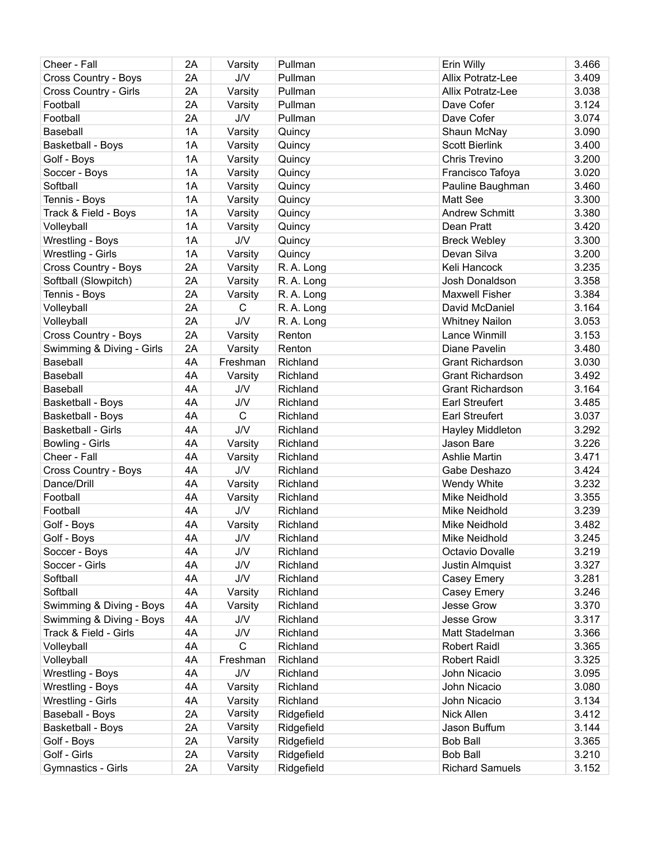| Cheer - Fall                | 2A | Varsity         | Pullman    | Erin Willy              | 3.466 |
|-----------------------------|----|-----------------|------------|-------------------------|-------|
| <b>Cross Country - Boys</b> | 2A | J/V             | Pullman    | Allix Potratz-Lee       | 3.409 |
| Cross Country - Girls       | 2A | Varsity         | Pullman    | Allix Potratz-Lee       | 3.038 |
| Football                    | 2A | Varsity         | Pullman    | Dave Cofer              | 3.124 |
| Football                    | 2A | <b>J/V</b>      | Pullman    | Dave Cofer              | 3.074 |
| Baseball                    | 1A | Varsity         | Quincy     | Shaun McNay             | 3.090 |
| Basketball - Boys           | 1A | Varsity         | Quincy     | <b>Scott Bierlink</b>   | 3.400 |
| Golf - Boys                 | 1A | Varsity         | Quincy     | Chris Trevino           | 3.200 |
| Soccer - Boys               | 1A | Varsity         | Quincy     | Francisco Tafoya        | 3.020 |
| Softball                    | 1A | Varsity         | Quincy     | Pauline Baughman        | 3.460 |
| Tennis - Boys               | 1A | Varsity         | Quincy     | Matt See                | 3.300 |
| Track & Field - Boys        | 1A | Varsity         | Quincy     | <b>Andrew Schmitt</b>   | 3.380 |
| Volleyball                  | 1A | Varsity         | Quincy     | Dean Pratt              | 3.420 |
| Wrestling - Boys            | 1A | <b>J/V</b>      | Quincy     | <b>Breck Webley</b>     | 3.300 |
| Wrestling - Girls           | 1A | Varsity         | Quincy     | Devan Silva             | 3.200 |
| Cross Country - Boys        | 2A | Varsity         | R. A. Long | Keli Hancock            | 3.235 |
| Softball (Slowpitch)        | 2A | Varsity         | R. A. Long | Josh Donaldson          | 3.358 |
| Tennis - Boys               | 2A | Varsity         | R. A. Long | <b>Maxwell Fisher</b>   | 3.384 |
| Volleyball                  | 2A | $\mathsf{C}$    | R. A. Long | David McDaniel          | 3.164 |
| Volleyball                  | 2A | <b>J/V</b>      | R. A. Long | <b>Whitney Nailon</b>   | 3.053 |
| <b>Cross Country - Boys</b> | 2A | Varsity         | Renton     | Lance Winmill           | 3.153 |
| Swimming & Diving - Girls   | 2A | Varsity         | Renton     | Diane Pavelin           | 3.480 |
| Baseball                    | 4A | Freshman        | Richland   | <b>Grant Richardson</b> | 3.030 |
| Baseball                    | 4A | Varsity         | Richland   | <b>Grant Richardson</b> | 3.492 |
| Baseball                    | 4A | <b>J/V</b>      | Richland   | <b>Grant Richardson</b> | 3.164 |
| <b>Basketball - Boys</b>    | 4A | J/V             | Richland   | <b>Earl Streufert</b>   | 3.485 |
| Basketball - Boys           | 4A | $\mathsf{C}$    | Richland   | <b>Earl Streufert</b>   | 3.037 |
| <b>Basketball - Girls</b>   | 4A | <b>J/V</b>      | Richland   | Hayley Middleton        | 3.292 |
| Bowling - Girls             | 4A | Varsity         | Richland   | Jason Bare              | 3.226 |
| Cheer - Fall                | 4A | Varsity         | Richland   | <b>Ashlie Martin</b>    | 3.471 |
| Cross Country - Boys        | 4A | <b>J/V</b>      | Richland   | Gabe Deshazo            | 3.424 |
| Dance/Drill                 | 4A | Varsity         | Richland   | Wendy White             | 3.232 |
| Football                    | 4A | Varsity         | Richland   | Mike Neidhold           | 3.355 |
| Football                    | 4A | <b>J/V</b>      | Richland   | Mike Neidhold           | 3.239 |
| Golf - Boys                 | 4A | Varsity         | Richland   | Mike Neidhold           | 3.482 |
| Golf - Boys                 | 4A | <b>J/V</b>      | Richland   | Mike Neidhold           | 3.245 |
| Soccer - Boys               | 4A | <b>J/V</b>      | Richland   | Octavio Dovalle         | 3.219 |
| Soccer - Girls              | 4A | J/V             | Richland   | Justin Almquist         | 3.327 |
| Softball                    | 4A | ${\sf J}/\sf V$ | Richland   | Casey Emery             | 3.281 |
| Softball                    | 4A | Varsity         | Richland   | Casey Emery             | 3.246 |
| Swimming & Diving - Boys    | 4A | Varsity         | Richland   | Jesse Grow              | 3.370 |
| Swimming & Diving - Boys    | 4A | <b>J/V</b>      | Richland   | Jesse Grow              | 3.317 |
| Track & Field - Girls       | 4A | J/V             |            |                         | 3.366 |
|                             |    | $\mathsf{C}$    | Richland   | Matt Stadelman          |       |
| Volleyball                  | 4A |                 | Richland   | <b>Robert Raidl</b>     | 3.365 |
| Volleyball                  | 4A | Freshman        | Richland   | <b>Robert Raidl</b>     | 3.325 |
| Wrestling - Boys            | 4A | J/V             | Richland   | John Nicacio            | 3.095 |
| Wrestling - Boys            | 4A | Varsity         | Richland   | John Nicacio            | 3.080 |
| Wrestling - Girls           | 4A | Varsity         | Richland   | John Nicacio            | 3.134 |
| Baseball - Boys             | 2A | Varsity         | Ridgefield | Nick Allen              | 3.412 |
| <b>Basketball - Boys</b>    | 2A | Varsity         | Ridgefield | Jason Buffum            | 3.144 |
| Golf - Boys                 | 2A | Varsity         | Ridgefield | <b>Bob Ball</b>         | 3.365 |
| Golf - Girls                | 2A | Varsity         | Ridgefield | <b>Bob Ball</b>         | 3.210 |
| Gymnastics - Girls          | 2A | Varsity         | Ridgefield | <b>Richard Samuels</b>  | 3.152 |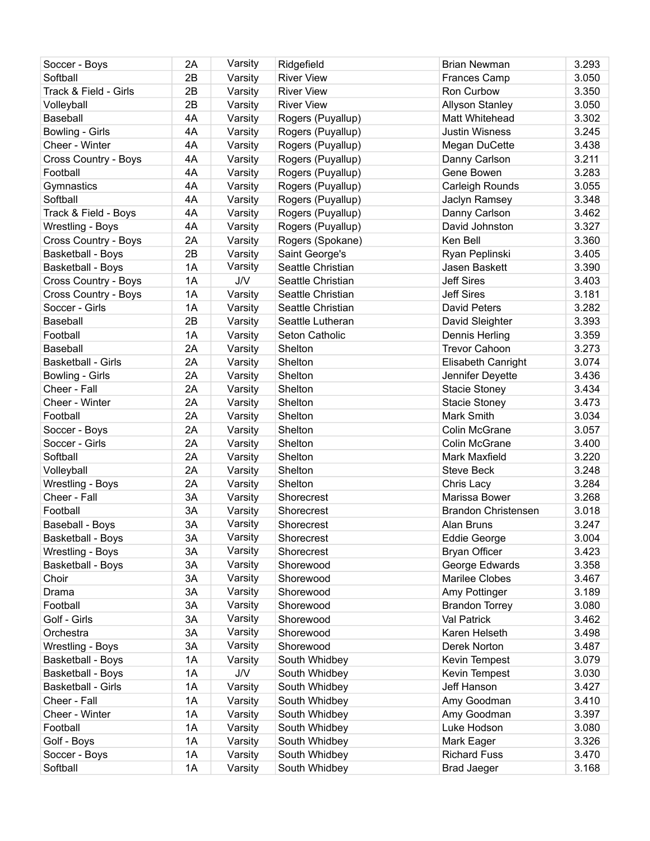| Soccer - Boys                         | 2A | Varsity | Ridgefield        | <b>Brian Newman</b>        | 3.293 |
|---------------------------------------|----|---------|-------------------|----------------------------|-------|
| Softball                              | 2B | Varsity | <b>River View</b> | <b>Frances Camp</b>        | 3.050 |
| Track & Field - Girls                 | 2B | Varsity | <b>River View</b> | Ron Curbow                 | 3.350 |
| Volleyball                            | 2B | Varsity | <b>River View</b> | <b>Allyson Stanley</b>     | 3.050 |
| Baseball                              | 4A | Varsity | Rogers (Puyallup) | Matt Whitehead             | 3.302 |
| Bowling - Girls                       | 4A | Varsity | Rogers (Puyallup) | <b>Justin Wisness</b>      | 3.245 |
| Cheer - Winter                        | 4A | Varsity | Rogers (Puyallup) | Megan DuCette              | 3.438 |
| Cross Country - Boys                  | 4A | Varsity | Rogers (Puyallup) | Danny Carlson              | 3.211 |
| Football                              | 4A | Varsity | Rogers (Puyallup) | Gene Bowen                 | 3.283 |
| Gymnastics                            | 4A | Varsity | Rogers (Puyallup) | Carleigh Rounds            | 3.055 |
| Softball                              | 4A | Varsity | Rogers (Puyallup) | Jaclyn Ramsey              | 3.348 |
| Track & Field - Boys                  | 4A | Varsity | Rogers (Puyallup) | Danny Carlson              | 3.462 |
| Wrestling - Boys                      | 4A | Varsity | Rogers (Puyallup) | David Johnston             | 3.327 |
| Cross Country - Boys                  | 2A | Varsity | Rogers (Spokane)  | Ken Bell                   | 3.360 |
| Basketball - Boys                     | 2B | Varsity | Saint George's    | Ryan Peplinski             | 3.405 |
| Basketball - Boys                     | 1A | Varsity | Seattle Christian | Jasen Baskett              | 3.390 |
| Cross Country - Boys                  | 1A | J/V     | Seattle Christian | <b>Jeff Sires</b>          | 3.403 |
| Cross Country - Boys                  | 1A | Varsity | Seattle Christian | <b>Jeff Sires</b>          | 3.181 |
| Soccer - Girls                        | 1A | Varsity | Seattle Christian | David Peters               | 3.282 |
| <b>Baseball</b>                       | 2B | Varsity | Seattle Lutheran  | David Sleighter            | 3.393 |
| Football                              | 1A | Varsity | Seton Catholic    | Dennis Herling             | 3.359 |
|                                       | 2A | Varsity | Shelton           | <b>Trevor Cahoon</b>       | 3.273 |
| <b>Baseball</b><br>Basketball - Girls | 2A |         |                   |                            | 3.074 |
|                                       | 2A | Varsity | Shelton           | Elisabeth Canright         |       |
| Bowling - Girls                       |    | Varsity | Shelton           | Jennifer Deyette           | 3.436 |
| Cheer - Fall                          | 2A | Varsity | Shelton           | <b>Stacie Stoney</b>       | 3.434 |
| Cheer - Winter                        | 2A | Varsity | Shelton           | <b>Stacie Stoney</b>       | 3.473 |
| Football                              | 2A | Varsity | Shelton           | Mark Smith                 | 3.034 |
| Soccer - Boys                         | 2A | Varsity | Shelton           | Colin McGrane              | 3.057 |
| Soccer - Girls                        | 2A | Varsity | Shelton           | Colin McGrane              | 3.400 |
| Softball                              | 2A | Varsity | Shelton           | Mark Maxfield              | 3.220 |
| Volleyball                            | 2A | Varsity | Shelton           | Steve Beck                 | 3.248 |
| Wrestling - Boys                      | 2A | Varsity | Shelton           | Chris Lacy                 | 3.284 |
| Cheer - Fall                          | 3A | Varsity | Shorecrest        | Marissa Bower              | 3.268 |
| Football                              | 3A | Varsity | Shorecrest        | <b>Brandon Christensen</b> | 3.018 |
| Baseball - Boys                       | 3A | Varsity | Shorecrest        | Alan Bruns                 | 3.247 |
| <b>Basketball - Boys</b>              | 3A | Varsity | Shorecrest        | <b>Eddie George</b>        | 3.004 |
| Wrestling - Boys                      | 3A | Varsity | Shorecrest        | <b>Bryan Officer</b>       | 3.423 |
| <b>Basketball - Boys</b>              | 3A | Varsity | Shorewood         | George Edwards             | 3.358 |
| Choir                                 | 3A | Varsity | Shorewood         | <b>Marilee Clobes</b>      | 3.467 |
| Drama                                 | 3A | Varsity | Shorewood         | Amy Pottinger              | 3.189 |
| Football                              | 3A | Varsity | Shorewood         | <b>Brandon Torrey</b>      | 3.080 |
| Golf - Girls                          | 3A | Varsity | Shorewood         | Val Patrick                | 3.462 |
| Orchestra                             | 3A | Varsity | Shorewood         | Karen Helseth              | 3.498 |
| Wrestling - Boys                      | 3A | Varsity | Shorewood         | Derek Norton               | 3.487 |
| Basketball - Boys                     | 1A | Varsity | South Whidbey     | Kevin Tempest              | 3.079 |
| <b>Basketball - Boys</b>              | 1A | J/V     | South Whidbey     | Kevin Tempest              | 3.030 |
| Basketball - Girls                    | 1A | Varsity | South Whidbey     | Jeff Hanson                | 3.427 |
| Cheer - Fall                          | 1A | Varsity | South Whidbey     | Amy Goodman                | 3.410 |
| Cheer - Winter                        | 1A | Varsity | South Whidbey     | Amy Goodman                | 3.397 |
| Football                              | 1A | Varsity | South Whidbey     | Luke Hodson                | 3.080 |
| Golf - Boys                           | 1A | Varsity | South Whidbey     | Mark Eager                 | 3.326 |
| Soccer - Boys                         | 1A | Varsity | South Whidbey     | <b>Richard Fuss</b>        | 3.470 |
| Softball                              | 1A | Varsity | South Whidbey     | <b>Brad Jaeger</b>         | 3.168 |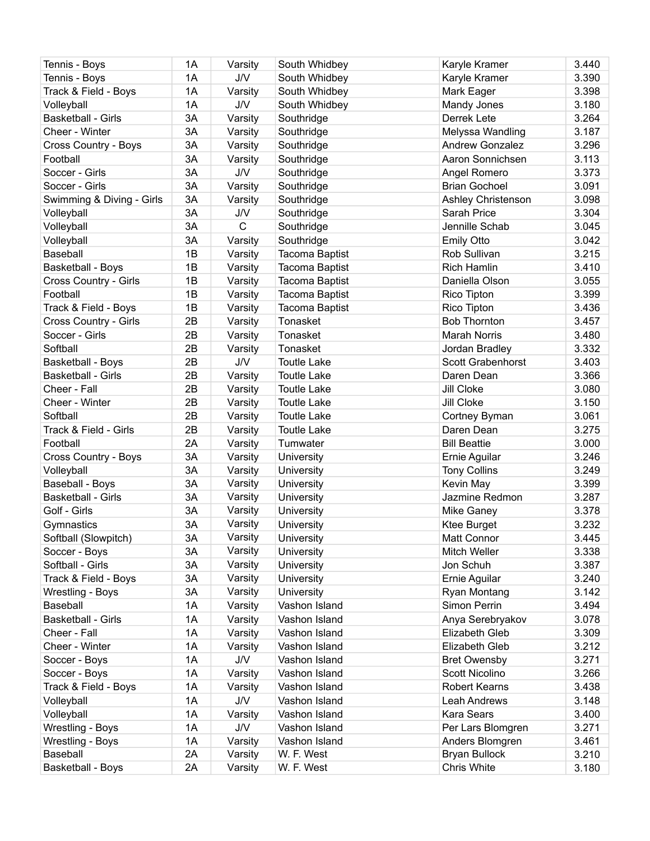| Tennis - Boys                      | 1A | Varsity      | South Whidbey            | Karyle Kramer                     | 3.440 |
|------------------------------------|----|--------------|--------------------------|-----------------------------------|-------|
| Tennis - Boys                      | 1A | J/V          | South Whidbey            | Karyle Kramer                     | 3.390 |
| Track & Field - Boys               | 1A | Varsity      | South Whidbey            | Mark Eager                        | 3.398 |
| Volleyball                         | 1A | <b>J/V</b>   | South Whidbey            | Mandy Jones                       | 3.180 |
| <b>Basketball - Girls</b>          | 3A | Varsity      | Southridge               | Derrek Lete                       | 3.264 |
| Cheer - Winter                     | 3A | Varsity      | Southridge               | Melyssa Wandling                  | 3.187 |
| Cross Country - Boys               | 3A | Varsity      | Southridge               | <b>Andrew Gonzalez</b>            | 3.296 |
| Football                           | 3A | Varsity      | Southridge               | Aaron Sonnichsen                  | 3.113 |
| Soccer - Girls                     | 3A | J/V          | Southridge               | Angel Romero                      | 3.373 |
| Soccer - Girls                     | 3A | Varsity      | Southridge               | <b>Brian Gochoel</b>              | 3.091 |
| Swimming & Diving - Girls          | 3A | Varsity      | Southridge               | Ashley Christenson                | 3.098 |
| Volleyball                         | 3A | <b>J/V</b>   | Southridge               | Sarah Price                       | 3.304 |
| Volleyball                         | 3A | $\mathsf{C}$ | Southridge               | Jennille Schab                    | 3.045 |
| Volleyball                         | 3A | Varsity      | Southridge               | <b>Emily Otto</b>                 | 3.042 |
| Baseball                           | 1B | Varsity      | Tacoma Baptist           | Rob Sullivan                      | 3.215 |
| Basketball - Boys                  | 1B | Varsity      | Tacoma Baptist           | <b>Rich Hamlin</b>                | 3.410 |
| Cross Country - Girls              | 1B | Varsity      | Tacoma Baptist           | Daniella Olson                    | 3.055 |
| Football                           | 1B | Varsity      | Tacoma Baptist           | Rico Tipton                       | 3.399 |
| Track & Field - Boys               | 1B | Varsity      | <b>Tacoma Baptist</b>    | Rico Tipton                       | 3.436 |
| Cross Country - Girls              | 2B | Varsity      | Tonasket                 | <b>Bob Thornton</b>               | 3.457 |
| Soccer - Girls                     | 2B | Varsity      | Tonasket                 | <b>Marah Norris</b>               | 3.480 |
| Softball                           | 2B | Varsity      | Tonasket                 | Jordan Bradley                    | 3.332 |
| Basketball - Boys                  | 2B | <b>J/V</b>   | <b>Toutle Lake</b>       | Scott Grabenhorst                 | 3.403 |
| <b>Basketball - Girls</b>          | 2B | Varsity      | <b>Toutle Lake</b>       | Daren Dean                        | 3.366 |
| Cheer - Fall                       | 2B | Varsity      | <b>Toutle Lake</b>       | Jill Cloke                        | 3.080 |
| Cheer - Winter                     | 2B | Varsity      | <b>Toutle Lake</b>       | Jill Cloke                        | 3.150 |
| Softball                           | 2B | Varsity      | <b>Toutle Lake</b>       | Cortney Byman                     | 3.061 |
| Track & Field - Girls              | 2B | Varsity      | <b>Toutle Lake</b>       | Daren Dean                        | 3.275 |
| Football                           | 2A | Varsity      | Tumwater                 | <b>Bill Beattie</b>               | 3.000 |
| Cross Country - Boys               | 3A | Varsity      | University               | Ernie Aguilar                     | 3.246 |
| Volleyball                         | 3A | Varsity      | University               | <b>Tony Collins</b>               | 3.249 |
| Baseball - Boys                    | 3A | Varsity      | University               | Kevin May                         | 3.399 |
| <b>Basketball - Girls</b>          | 3A | Varsity      | University               | Jazmine Redmon                    | 3.287 |
| Golf - Girls                       | 3A | Varsity      | University               |                                   | 3.378 |
|                                    | 3A | Varsity      |                          | Mike Ganey                        | 3.232 |
| Gymnastics<br>Softball (Slowpitch) | 3A | Varsity      | University<br>University | <b>Ktee Burget</b><br>Matt Connor | 3.445 |
| Soccer - Boys                      | 3A | Varsity      |                          |                                   | 3.338 |
| Softball - Girls                   | 3A | Varsity      | University               | Mitch Weller                      |       |
|                                    |    |              | University               | Jon Schuh                         | 3.387 |
| Track & Field - Boys               | 3A | Varsity      | <b>University</b>        | Ernie Aguilar                     | 3.240 |
| Wrestling - Boys                   | 3A | Varsity      | University               | Ryan Montang                      | 3.142 |
| Baseball                           | 1A | Varsity      | Vashon Island            | Simon Perrin                      | 3.494 |
| <b>Basketball - Girls</b>          | 1A | Varsity      | Vashon Island            | Anya Serebryakov                  | 3.078 |
| Cheer - Fall                       | 1A | Varsity      | Vashon Island            | Elizabeth Gleb                    | 3.309 |
| Cheer - Winter                     | 1A | Varsity      | Vashon Island            | Elizabeth Gleb                    | 3.212 |
| Soccer - Boys                      | 1A | <b>J/V</b>   | Vashon Island            | <b>Bret Owensby</b>               | 3.271 |
| Soccer - Boys                      | 1A | Varsity      | Vashon Island            | Scott Nicolino                    | 3.266 |
| Track & Field - Boys               | 1A | Varsity      | Vashon Island            | <b>Robert Kearns</b>              | 3.438 |
| Volleyball                         | 1A | J/V          | Vashon Island            | Leah Andrews                      | 3.148 |
| Volleyball                         | 1A | Varsity      | Vashon Island            | <b>Kara Sears</b>                 | 3.400 |
| Wrestling - Boys                   | 1A | <b>J/V</b>   | Vashon Island            | Per Lars Blomgren                 | 3.271 |
| Wrestling - Boys                   | 1A | Varsity      | Vashon Island            | Anders Blomgren                   | 3.461 |
| Baseball                           | 2A | Varsity      | W. F. West               | <b>Bryan Bullock</b>              | 3.210 |
| Basketball - Boys                  | 2A | Varsity      | W. F. West               | <b>Chris White</b>                | 3.180 |